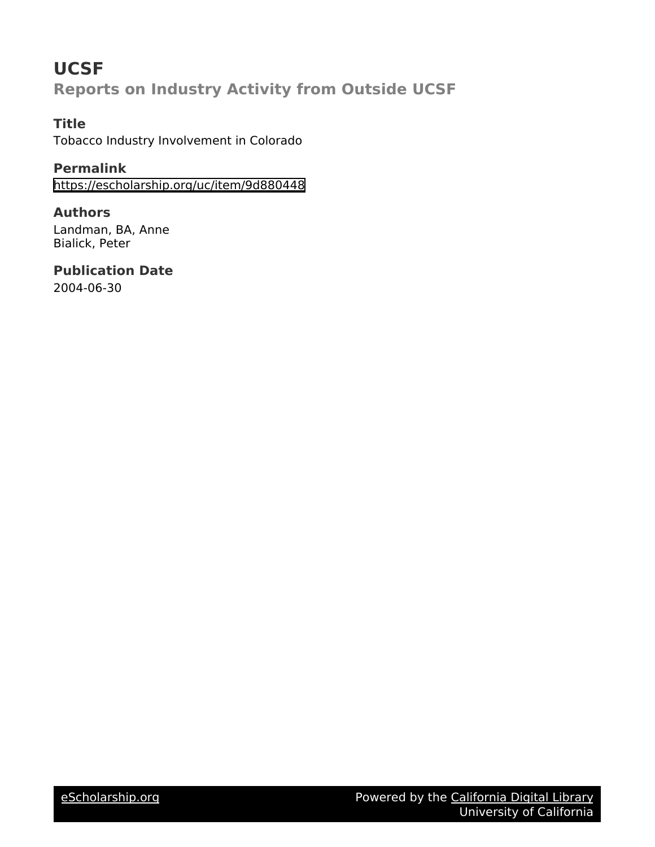# **UCSF Reports on Industry Activity from Outside UCSF**

**Title** Tobacco Industry Involvement in Colorado

**Permalink** <https://escholarship.org/uc/item/9d880448>

**Authors** Landman, BA, Anne Bialick, Peter

**Publication Date** 2004-06-30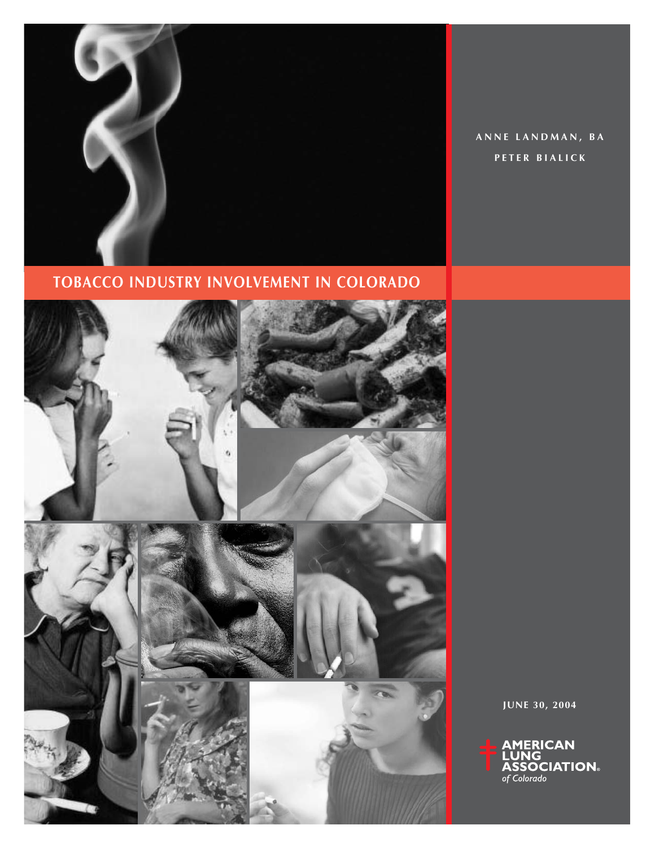

**ANNE LANDMAN, BA PETER BIALICK**

**TOBACCO INDUSTRY INVOLVEMENT IN COLORADO**



**JUNE 30, 2004**

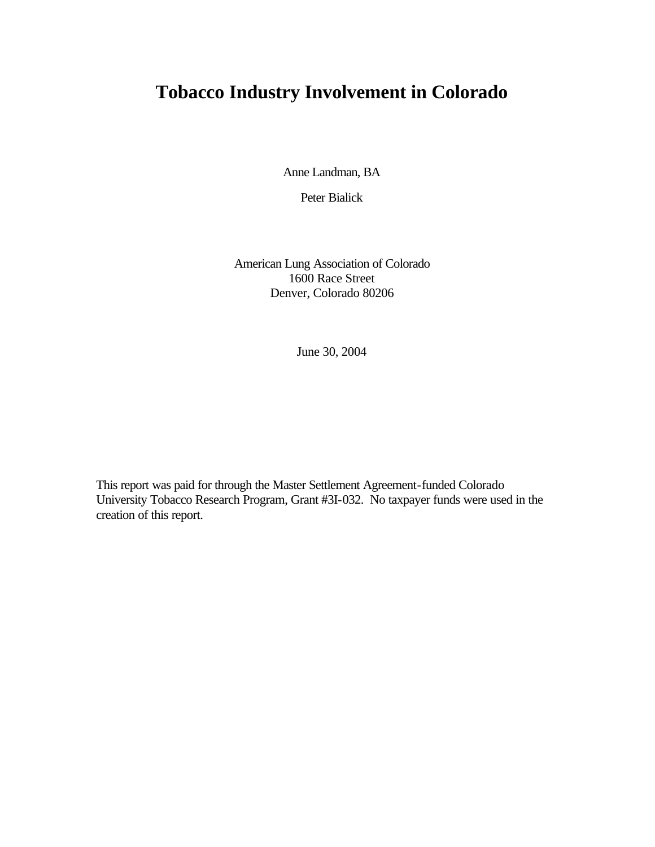# **Tobacco Industry Involvement in Colorado**

Anne Landman, BA

Peter Bialick

American Lung Association of Colorado 1600 Race Street Denver, Colorado 80206

June 30, 2004

This report was paid for through the Master Settlement Agreement-funded Colorado University Tobacco Research Program, Grant #3I-032. No taxpayer funds were used in the creation of this report.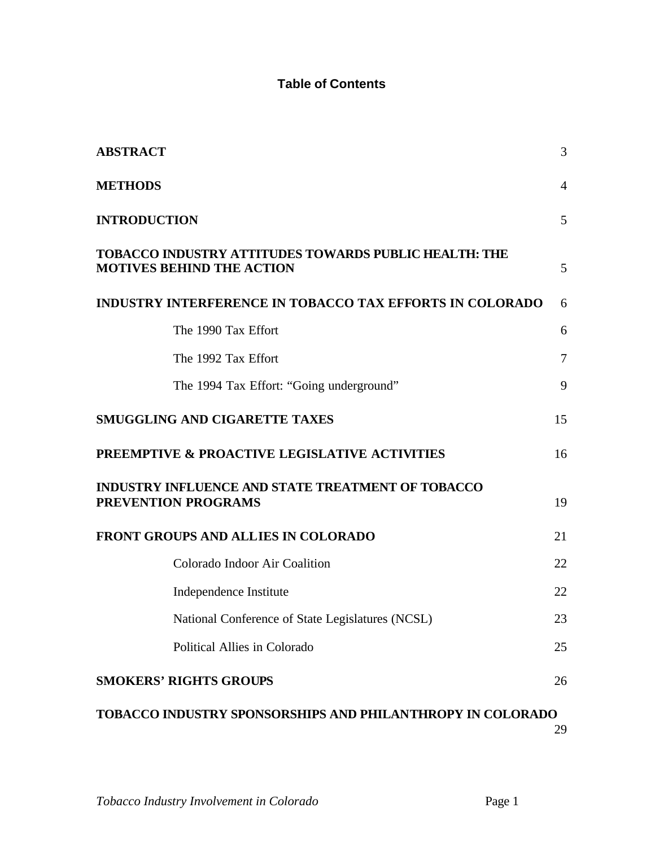# **Table of Contents**

| <b>ABSTRACT</b>                                                                                  | 3              |
|--------------------------------------------------------------------------------------------------|----------------|
| <b>METHODS</b>                                                                                   | $\overline{4}$ |
| <b>INTRODUCTION</b>                                                                              | 5              |
| <b>TOBACCO INDUSTRY ATTITUDES TOWARDS PUBLIC HEALTH: THE</b><br><b>MOTIVES BEHIND THE ACTION</b> | 5              |
| <b>INDUSTRY INTERFERENCE IN TOBACCO TAX EFFORTS IN COLORADO</b>                                  | 6              |
| The 1990 Tax Effort                                                                              | 6              |
| The 1992 Tax Effort                                                                              | $\tau$         |
| The 1994 Tax Effort: "Going underground"                                                         | 9              |
| <b>SMUGGLING AND CIGARETTE TAXES</b>                                                             | 15             |
| <b>PREEMPTIVE &amp; PROACTIVE LEGISLATIVE ACTIVITIES</b>                                         | 16             |
| <b>INDUSTRY INFLUENCE AND STATE TREATMENT OF TOBACCO</b><br><b>PREVENTION PROGRAMS</b>           | 19             |
| FRONT GROUPS AND ALLIES IN COLORADO                                                              | 21             |
| Colorado Indoor Air Coalition                                                                    | 22             |
| Independence Institute                                                                           | 22             |
| National Conference of State Legislatures (NCSL)                                                 | 23             |
| Political Allies in Colorado                                                                     | 25             |
| <b>SMOKERS' RIGHTS GROUPS</b>                                                                    | 26             |
| <b>TOBACCO INDUSTRY SPONSORSHIPS AND PHILANTHROPY IN COLORADO</b>                                | 29             |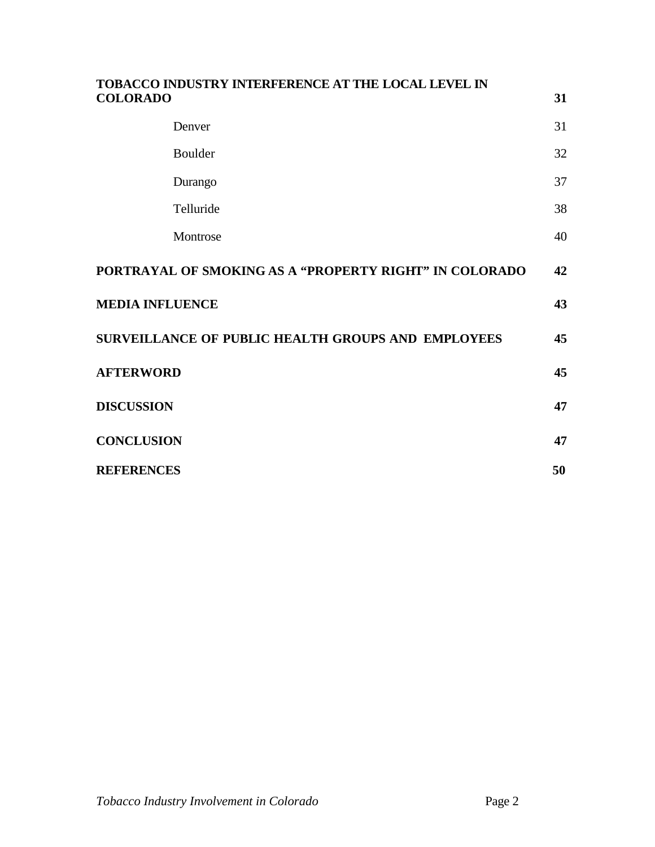| TOBACCO INDUSTRY INTERFERENCE AT THE LOCAL LEVEL IN<br><b>COLORADO</b> | 31 |
|------------------------------------------------------------------------|----|
| Denver                                                                 | 31 |
| Boulder                                                                | 32 |
| Durango                                                                | 37 |
| Telluride                                                              | 38 |
| Montrose                                                               | 40 |
| PORTRAYAL OF SMOKING AS A "PROPERTY RIGHT" IN COLORADO                 | 42 |
| <b>MEDIA INFLUENCE</b>                                                 | 43 |
| SURVEILLANCE OF PUBLIC HEALTH GROUPS AND EMPLOYEES                     | 45 |
| <b>AFTERWORD</b>                                                       | 45 |
| <b>DISCUSSION</b>                                                      | 47 |
| <b>CONCLUSION</b>                                                      | 47 |
| <b>REFERENCES</b>                                                      | 50 |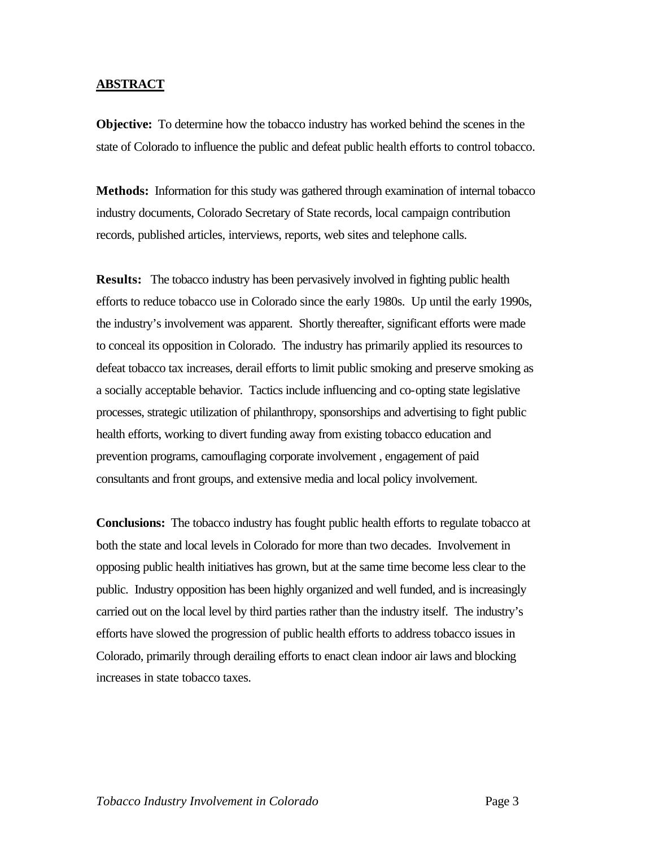#### **ABSTRACT**

**Objective:** To determine how the tobacco industry has worked behind the scenes in the state of Colorado to influence the public and defeat public health efforts to control tobacco.

**Methods:** Information for this study was gathered through examination of internal tobacco industry documents, Colorado Secretary of State records, local campaign contribution records, published articles, interviews, reports, web sites and telephone calls.

**Results:** The tobacco industry has been pervasively involved in fighting public health efforts to reduce tobacco use in Colorado since the early 1980s. Up until the early 1990s, the industry's involvement was apparent. Shortly thereafter, significant efforts were made to conceal its opposition in Colorado. The industry has primarily applied its resources to defeat tobacco tax increases, derail efforts to limit public smoking and preserve smoking as a socially acceptable behavior. Tactics include influencing and co-opting state legislative processes, strategic utilization of philanthropy, sponsorships and advertising to fight public health efforts, working to divert funding away from existing tobacco education and prevention programs, camouflaging corporate involvement , engagement of paid consultants and front groups, and extensive media and local policy involvement.

**Conclusions:** The tobacco industry has fought public health efforts to regulate tobacco at both the state and local levels in Colorado for more than two decades. Involvement in opposing public health initiatives has grown, but at the same time become less clear to the public. Industry opposition has been highly organized and well funded, and is increasingly carried out on the local level by third parties rather than the industry itself. The industry's efforts have slowed the progression of public health efforts to address tobacco issues in Colorado, primarily through derailing efforts to enact clean indoor air laws and blocking increases in state tobacco taxes.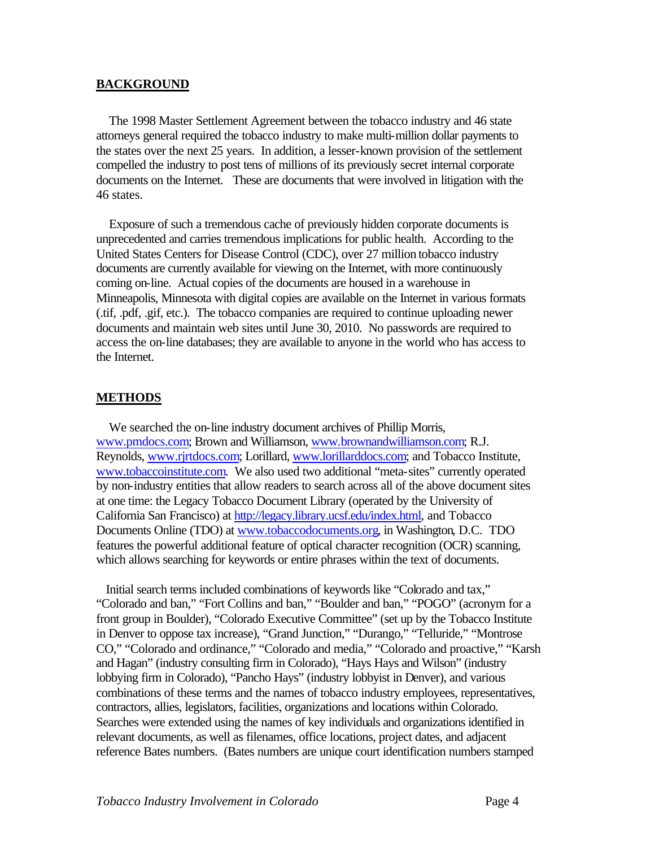#### **BACKGROUND**

 The 1998 Master Settlement Agreement between the tobacco industry and 46 state attorneys general required the tobacco industry to make multi-million dollar payments to the states over the next 25 years. In addition, a lesser-known provision of the settlement compelled the industry to post tens of millions of its previously secret internal corporate documents on the Internet. These are documents that were involved in litigation with the 46 states.

 Exposure of such a tremendous cache of previously hidden corporate documents is unprecedented and carries tremendous implications for public health. According to the United States Centers for Disease Control (CDC), over 27 million tobacco industry documents are currently available for viewing on the Internet, with more continuously coming on-line. Actual copies of the documents are housed in a warehouse in Minneapolis, Minnesota with digital copies are available on the Internet in various formats (.tif, .pdf, .gif, etc.). The tobacco companies are required to continue uploading newer documents and maintain web sites until June 30, 2010. No passwords are required to access the on-line databases; they are available to anyone in the world who has access to the Internet.

#### **METHODS**

 We searched the on-line industry document archives of Phillip Morris, [www.pmdocs.com;](www.pmdocs.com) Brown and Williamson, [www.brownandwilliamson.com;](www.bwdocs.com) R.J. Reynolds, [www.rjrtdocs.com;](http://www.rjrtdocs.com/rjrtdocs/index.wmt?tab=home) Lorillard, [www.lorillarddocs.com;](www.lorillarddocs.com) and Tobacco Institute, [www.tobaccoinstitute.com.](www.tobaccoinstitute.com) We also used two additional "meta-sites" currently operated by non-industry entities that allow readers to search across all of the above document sites at one time: the Legacy Tobacco Document Library (operated by the University of California San Francisco) at [http://legacy.library.ucsf.edu/index.html,](http://legacy.library.ucsf.edu/index.html) and Tobacco Documents Online (TDO) at [www.tobaccodocuments.org,](www.tobaccodocuments.org) in Washington, D.C. TDO features the powerful additional feature of optical character recognition (OCR) scanning, which allows searching for keywords or entire phrases within the text of documents.

 Initial search terms included combinations of keywords like "Colorado and tax," "Colorado and ban," "Fort Collins and ban," "Boulder and ban," "POGO" (acronym for a front group in Boulder), "Colorado Executive Committee" (set up by the Tobacco Institute in Denver to oppose tax increase), "Grand Junction," "Durango," "Telluride," "Montrose CO," "Colorado and ordinance," "Colorado and media," "Colorado and proactive," "Karsh and Hagan" (industry consulting firm in Colorado), "Hays Hays and Wilson" (industry lobbying firm in Colorado), "Pancho Hays" (industry lobbyist in Denver), and various combinations of these terms and the names of tobacco industry employees, representatives, contractors, allies, legislators, facilities, organizations and locations within Colorado. Searches were extended using the names of key individuals and organizations identified in relevant documents, as well as filenames, office locations, project dates, and adjacent reference Bates numbers. (Bates numbers are unique court identification numbers stamped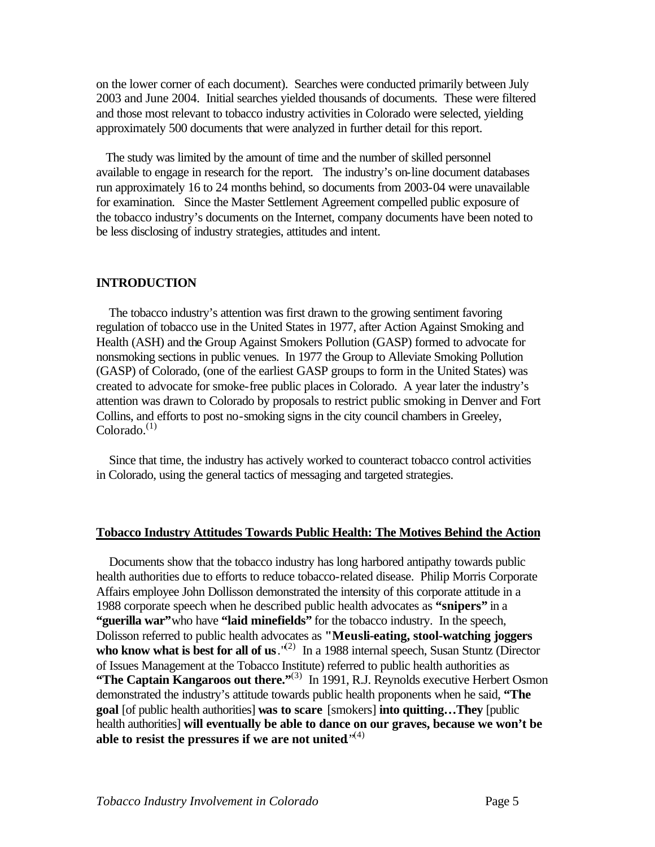on the lower corner of each document). Searches were conducted primarily between July 2003 and June 2004. Initial searches yielded thousands of documents. These were filtered and those most relevant to tobacco industry activities in Colorado were selected, yielding approximately 500 documents that were analyzed in further detail for this report.

 The study was limited by the amount of time and the number of skilled personnel available to engage in research for the report. The industry's on-line document databases run approximately 16 to 24 months behind, so documents from 2003-04 were unavailable for examination. Since the Master Settlement Agreement compelled public exposure of the tobacco industry's documents on the Internet, company documents have been noted to be less disclosing of industry strategies, attitudes and intent.

#### **INTRODUCTION**

 The tobacco industry's attention was first drawn to the growing sentiment favoring regulation of tobacco use in the United States in 1977, after Action Against Smoking and Health (ASH) and the Group Against Smokers Pollution (GASP) formed to advocate for nonsmoking sections in public venues. In 1977 the Group to Alleviate Smoking Pollution (GASP) of Colorado, (one of the earliest GASP groups to form in the United States) was created to advocate for smoke-free public places in Colorado. A year later the industry's attention was drawn to Colorado by proposals to restrict public smoking in Denver and Fort Collins, and efforts to post no-smoking signs in the city council chambers in Greeley,  $Colorado.<sup>(1)</sup>$ 

 Since that time, the industry has actively worked to counteract tobacco control activities in Colorado, using the general tactics of messaging and targeted strategies.

#### **Tobacco Industry Attitudes Towards Public Health: The Motives Behind the Action**

 Documents show that the tobacco industry has long harbored antipathy towards public health authorities due to efforts to reduce tobacco-related disease. Philip Morris Corporate Affairs employee John Dollisson demonstrated the intensity of this corporate attitude in a 1988 corporate speech when he described public health advocates as **"snipers"** in a **"guerilla war"**who have **"laid minefields"** for the tobacco industry. In the speech, Dolisson referred to public health advocates as **"Meusli-eating, stool-watching joggers**  who know what is best for all of us.<sup>"(2)</sup> In a 1988 internal speech, Susan Stuntz (Director of Issues Management at the Tobacco Institute) referred to public health authorities as **The Captain Kangaroos out there.**"<sup>(3)</sup> In 1991, R.J. Reynolds executive Herbert Osmon demonstrated the industry's attitude towards public health proponents when he said, **"The goal** [of public health authorities] **was to scare** [smokers] **into quitting…They** [public health authorities] **will eventually be able to dance on our graves, because we won't be able to resist the pressures if we are not united**."(4)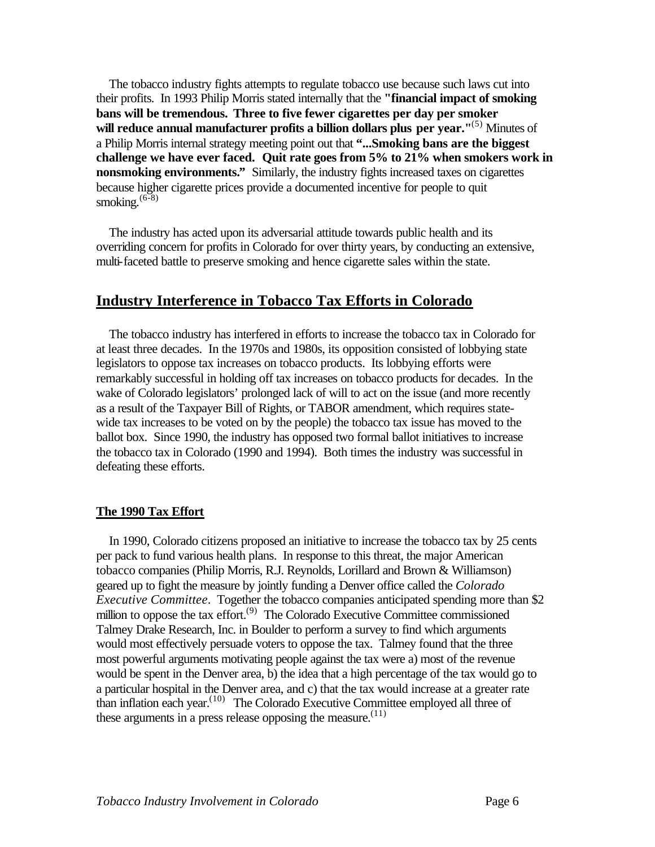The tobacco industry fights attempts to regulate tobacco use because such laws cut into their profits. In 1993 Philip Morris stated internally that the **"financial impact of smoking bans will be tremendous. Three to five fewer cigarettes per day per smoker will reduce annual manufacturer profits a billion dollars plus per year."**(5) Minutes of a Philip Morris internal strategy meeting point out that **"...Smoking bans are the biggest challenge we have ever faced. Quit rate goes from 5% to 21% when smokers work in nonsmoking environments."** Similarly, the industry fights increased taxes on cigarettes because higher cigarette prices provide a documented incentive for people to quit smoking. $(6-8)$ 

 The industry has acted upon its adversarial attitude towards public health and its overriding concern for profits in Colorado for over thirty years, by conducting an extensive, multi-faceted battle to preserve smoking and hence cigarette sales within the state.

# **Industry Interference in Tobacco Tax Efforts in Colorado**

 The tobacco industry has interfered in efforts to increase the tobacco tax in Colorado for at least three decades. In the 1970s and 1980s, its opposition consisted of lobbying state legislators to oppose tax increases on tobacco products. Its lobbying efforts were remarkably successful in holding off tax increases on tobacco products for decades. In the wake of Colorado legislators' prolonged lack of will to act on the issue (and more recently as a result of the Taxpayer Bill of Rights, or TABOR amendment, which requires statewide tax increases to be voted on by the people) the tobacco tax issue has moved to the ballot box. Since 1990, the industry has opposed two formal ballot initiatives to increase the tobacco tax in Colorado (1990 and 1994). Both times the industry was successful in defeating these efforts.

#### **The 1990 Tax Effort**

 In 1990, Colorado citizens proposed an initiative to increase the tobacco tax by 25 cents per pack to fund various health plans. In response to this threat, the major American tobacco companies (Philip Morris, R.J. Reynolds, Lorillard and Brown & Williamson) geared up to fight the measure by jointly funding a Denver office called the *Colorado Executive Committee*. Together the tobacco companies anticipated spending more than \$2 million to oppose the tax effort.<sup> $(9)$ </sup> The Colorado Executive Committee commissioned Talmey Drake Research, Inc. in Boulder to perform a survey to find which arguments would most effectively persuade voters to oppose the tax. Talmey found that the three most powerful arguments motivating people against the tax were a) most of the revenue would be spent in the Denver area, b) the idea that a high percentage of the tax would go to a particular hospital in the Denver area, and c) that the tax would increase at a greater rate than inflation each year.<sup>(10)</sup> The Colorado Executive Committee employed all three of these arguments in a press release opposing the measure.<sup> $(11)$ </sup>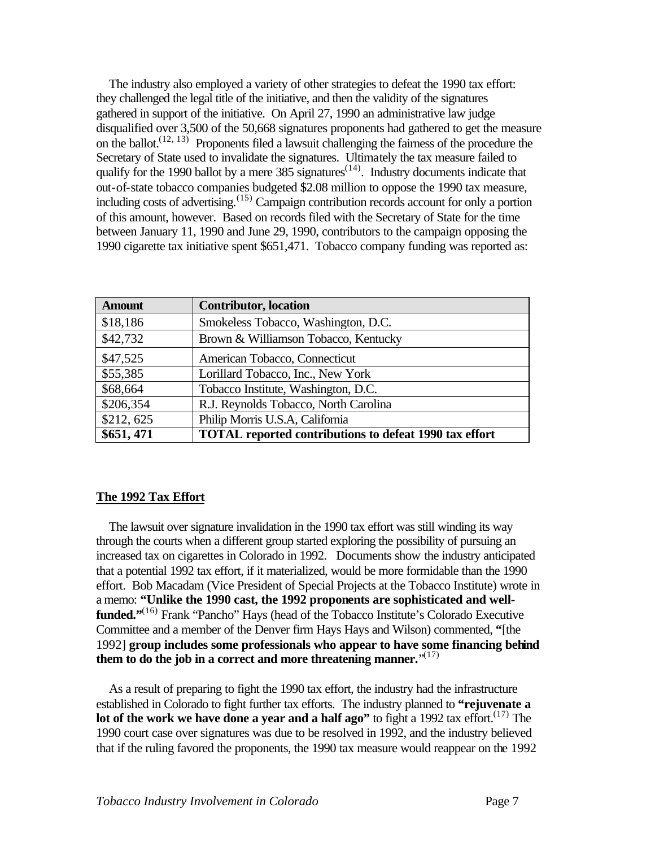The industry also employed a variety of other strategies to defeat the 1990 tax effort: they challenged the legal title of the initiative, and then the validity of the signatures gathered in support of the initiative. On April 27, 1990 an administrative law judge disqualified over 3,500 of the 50,668 signatures proponents had gathered to get the measure on the ballot.<sup> $(12, 13)$ </sup> Proponents filed a lawsuit challenging the fairness of the procedure the Secretary of State used to invalidate the signatures. Ultimately the tax measure failed to qualify for the 1990 ballot by a mere  $385$  signatures<sup> $(14)$ </sup>. Industry documents indicate that out-of-state tobacco companies budgeted \$2.08 million to oppose the 1990 tax measure, including costs of advertising.<sup> $(15)$ </sup> Campaign contribution records account for only a portion of this amount, however. Based on records filed with the Secretary of State for the time between January 11, 1990 and June 29, 1990, contributors to the campaign opposing the 1990 cigarette tax initiative spent \$651,471. Tobacco company funding was reported as:

| <b>Amount</b> | <b>Contributor</b> , location                                 |
|---------------|---------------------------------------------------------------|
| \$18,186      | Smokeless Tobacco, Washington, D.C.                           |
| \$42,732      | Brown & Williamson Tobacco, Kentucky                          |
| \$47,525      | American Tobacco, Connecticut                                 |
| \$55,385      | Lorillard Tobacco, Inc., New York                             |
| \$68,664      | Tobacco Institute, Washington, D.C.                           |
| \$206,354     | R.J. Reynolds Tobacco, North Carolina                         |
| \$212,625     | Philip Morris U.S.A, California                               |
| \$651,471     | <b>TOTAL reported contributions to defeat 1990 tax effort</b> |

#### **The 1992 Tax Effort**

 The lawsuit over signature invalidation in the 1990 tax effort was still winding its way through the courts when a different group started exploring the possibility of pursuing an increased tax on cigarettes in Colorado in 1992. Documents show the industry anticipated that a potential 1992 tax effort, if it materialized, would be more formidable than the 1990 effort. Bob Macadam (Vice President of Special Projects at the Tobacco Institute) wrote in a memo: **"Unlike the 1990 cast, the 1992 proponents are sophisticated and wellfunded.**"<sup>(16)</sup> Frank "Pancho" Hays (head of the Tobacco Institute's Colorado Executive Committee and a member of the Denver firm Hays Hays and Wilson) commented, **"**[the 1992] **group includes some professionals who appear to have some financing behind them to do the job in a correct and more threatening manner.**" (17)

 As a result of preparing to fight the 1990 tax effort, the industry had the infrastructure established in Colorado to fight further tax efforts. The industry planned to **"rejuvenate a lot of the work we have done a year and a half ago"** to fight a 1992 tax effort.<sup>(17)</sup> The 1990 court case over signatures was due to be resolved in 1992, and the industry believed that if the ruling favored the proponents, the 1990 tax measure would reappear on the 1992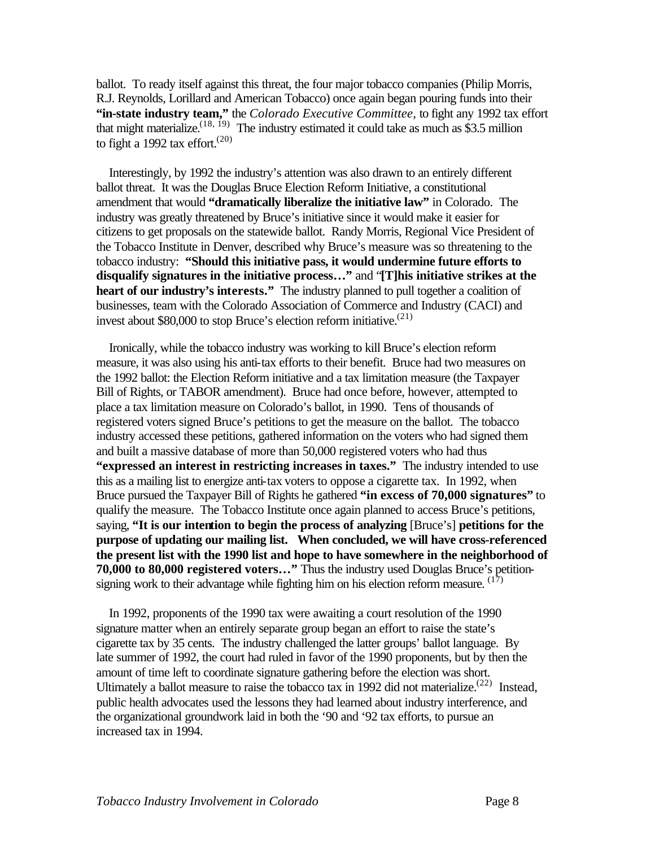ballot. To ready itself against this threat, the four major tobacco companies (Philip Morris, R.J. Reynolds, Lorillard and American Tobacco) once again began pouring funds into their **"in-state industry team,"** the *Colorado Executive Committee,* to fight any 1992 tax effort that might materialize.<sup>(18, 19)</sup> The industry estimated it could take as much as \$3.5 million to fight a 1992 tax effort.<sup> $(20)$ </sup>

 Interestingly, by 1992 the industry's attention was also drawn to an entirely different ballot threat. It was the Douglas Bruce Election Reform Initiative, a constitutional amendment that would **"dramatically liberalize the initiative law"** in Colorado. The industry was greatly threatened by Bruce's initiative since it would make it easier for citizens to get proposals on the statewide ballot. Randy Morris, Regional Vice President of the Tobacco Institute in Denver, described why Bruce's measure was so threatening to the tobacco industry: **"Should this initiative pass, it would undermine future efforts to disqualify signatures in the initiative process…"** and "**[T]his initiative strikes at the heart of our industry's interests."** The industry planned to pull together a coalition of businesses, team with the Colorado Association of Commerce and Industry (CACI) and invest about \$80,000 to stop Bruce's election reform initiative.<sup> $(21)$ </sup>

 Ironically, while the tobacco industry was working to kill Bruce's election reform measure, it was also using his anti-tax efforts to their benefit. Bruce had two measures on the 1992 ballot: the Election Reform initiative and a tax limitation measure (the Taxpayer Bill of Rights, or TABOR amendment). Bruce had once before, however, attempted to place a tax limitation measure on Colorado's ballot, in 1990. Tens of thousands of registered voters signed Bruce's petitions to get the measure on the ballot. The tobacco industry accessed these petitions, gathered information on the voters who had signed them and built a massive database of more than 50,000 registered voters who had thus **"expressed an interest in restricting increases in taxes."** The industry intended to use this as a mailing list to energize anti-tax voters to oppose a cigarette tax. In 1992, when Bruce pursued the Taxpayer Bill of Rights he gathered **"in excess of 70,000 signatures"** to qualify the measure. The Tobacco Institute once again planned to access Bruce's petitions, saying, **"It is our intention to begin the process of analyzing** [Bruce's] **petitions for the purpose of updating our mailing list. When concluded, we will have cross-referenced the present list with the 1990 list and hope to have somewhere in the neighborhood of 70,000 to 80,000 registered voters…"** Thus the industry used Douglas Bruce's petitionsigning work to their advantage while fighting him on his election reform measure.  $(17)$ 

 In 1992, proponents of the 1990 tax were awaiting a court resolution of the 1990 signature matter when an entirely separate group began an effort to raise the state's cigarette tax by 35 cents. The industry challenged the latter groups' ballot language. By late summer of 1992, the court had ruled in favor of the 1990 proponents, but by then the amount of time left to coordinate signature gathering before the election was short. Ultimately a ballot measure to raise the tobacco tax in 1992 did not materialize.<sup>(22)</sup> Instead, public health advocates used the lessons they had learned about industry interference, and the organizational groundwork laid in both the '90 and '92 tax efforts, to pursue an increased tax in 1994.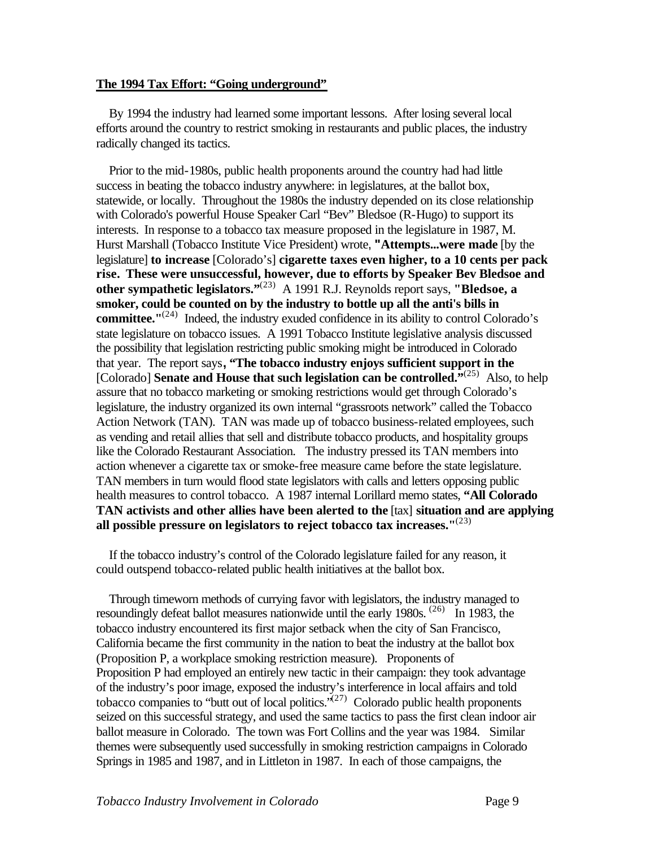#### **The 1994 Tax Effort: "Going underground"**

 By 1994 the industry had learned some important lessons. After losing several local efforts around the country to restrict smoking in restaurants and public places, the industry radically changed its tactics.

 Prior to the mid-1980s, public health proponents around the country had had little success in beating the tobacco industry anywhere: in legislatures, at the ballot box, statewide, or locally. Throughout the 1980s the industry depended on its close relationship with Colorado's powerful House Speaker Carl "Bev" Bledsoe (R-Hugo) to support its interests. In response to a tobacco tax measure proposed in the legislature in 1987, M. Hurst Marshall (Tobacco Institute Vice President) wrote, **"Attempts...were made** [by the legislature] **to increase** [Colorado's] **cigarette taxes even higher, to a 10 cents per pack rise. These were unsuccessful, however, due to efforts by Speaker Bev Bledsoe and other sympathetic legislators."**(23) A 1991 R.J. Reynolds report says, **"Bledsoe, a smoker, could be counted on by the industry to bottle up all the anti's bills in**  committee.<sup>"(24)</sup> Indeed, the industry exuded confidence in its ability to control Colorado's state legislature on tobacco issues. A 1991 Tobacco Institute legislative analysis discussed the possibility that legislation restricting public smoking might be introduced in Colorado that year. The report says**, "The tobacco industry enjoys sufficient support in the**  [Colorado] **Senate and House that such legislation can be controlled.**<sup>"(25)</sup> Also, to help assure that no tobacco marketing or smoking restrictions would get through Colorado's legislature, the industry organized its own internal "grassroots network" called the Tobacco Action Network (TAN). TAN was made up of tobacco business-related employees, such as vending and retail allies that sell and distribute tobacco products, and hospitality groups like the Colorado Restaurant Association. The industry pressed its TAN members into action whenever a cigarette tax or smoke-free measure came before the state legislature. TAN members in turn would flood state legislators with calls and letters opposing public health measures to control tobacco. A 1987 internal Lorillard memo states, **"All Colorado TAN activists and other allies have been alerted to the** [tax] **situation and are applying all possible pressure on legislators to reject tobacco tax increases."**(23)

 If the tobacco industry's control of the Colorado legislature failed for any reason, it could outspend tobacco-related public health initiatives at the ballot box.

 Through timeworn methods of currying favor with legislators, the industry managed to resoundingly defeat ballot measures nationwide until the early 1980s.  $(26)$  In 1983, the tobacco industry encountered its first major setback when the city of San Francisco, California became the first community in the nation to beat the industry at the ballot box (Proposition P, a workplace smoking restriction measure). Proponents of Proposition P had employed an entirely new tactic in their campaign: they took advantage of the industry's poor image, exposed the industry's interference in local affairs and told tobacco companies to "butt out of local politics." $(27)$  Colorado public health proponents seized on this successful strategy, and used the same tactics to pass the first clean indoor air ballot measure in Colorado. The town was Fort Collins and the year was 1984. Similar themes were subsequently used successfully in smoking restriction campaigns in Colorado Springs in 1985 and 1987, and in Littleton in 1987. In each of those campaigns, the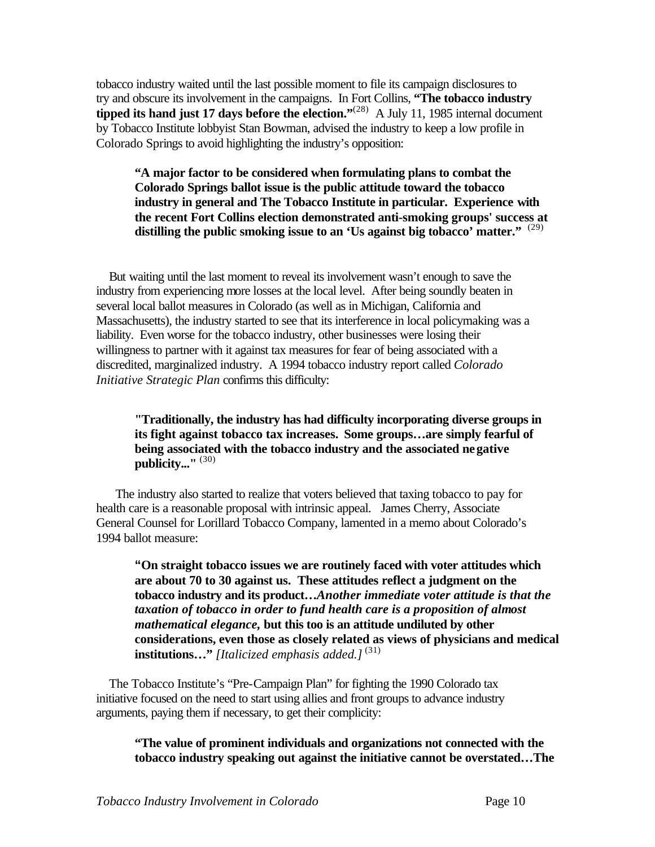tobacco industry waited until the last possible moment to file its campaign disclosures to try and obscure its involvement in the campaigns. In Fort Collins, **"The tobacco industry tipped its hand just 17 days before the election."<sup>(28)</sup> A July 11, 1985 internal document** by Tobacco Institute lobbyist Stan Bowman, advised the industry to keep a low profile in Colorado Springs to avoid highlighting the industry's opposition:

**"A major factor to be considered when formulating plans to combat the Colorado Springs ballot issue is the public attitude toward the tobacco industry in general and The Tobacco Institute in particular. Experience with the recent Fort Collins election demonstrated anti-smoking groups' success at distilling the public smoking issue to an 'Us against big tobacco' matter."**  (29)

But waiting until the last moment to reveal its involvement wasn't enough to save the industry from experiencing more losses at the local level. After being soundly beaten in several local ballot measures in Colorado (as well as in Michigan, California and Massachusetts), the industry started to see that its interference in local policymaking was a liability. Even worse for the tobacco industry, other businesses were losing their willingness to partner with it against tax measures for fear of being associated with a discredited, marginalized industry. A 1994 tobacco industry report called *Colorado Initiative Strategic Plan* confirms this difficulty:

## **"Traditionally, the industry has had difficulty incorporating diverse groups in its fight against tobacco tax increases. Some groups…are simply fearful of being associated with the tobacco industry and the associated negative publicity..."** (30)

 The industry also started to realize that voters believed that taxing tobacco to pay for health care is a reasonable proposal with intrinsic appeal. James Cherry, Associate General Counsel for Lorillard Tobacco Company, lamented in a memo about Colorado's 1994 ballot measure:

**"On straight tobacco issues we are routinely faced with voter attitudes which are about 70 to 30 against us. These attitudes reflect a judgment on the tobacco industry and its product…***Another immediate voter attitude is that the taxation of tobacco in order to fund health care is a proposition of almost mathematical elegance,* **but this too is an attitude undiluted by other considerations, even those as closely related as views of physicians and medical institutions…"** *[Italicized emphasis added.]* (31)

 The Tobacco Institute's "Pre-Campaign Plan" for fighting the 1990 Colorado tax initiative focused on the need to start using allies and front groups to advance industry arguments, paying them if necessary, to get their complicity:

#### **"The value of prominent individuals and organizations not connected with the tobacco industry speaking out against the initiative cannot be overstated…The**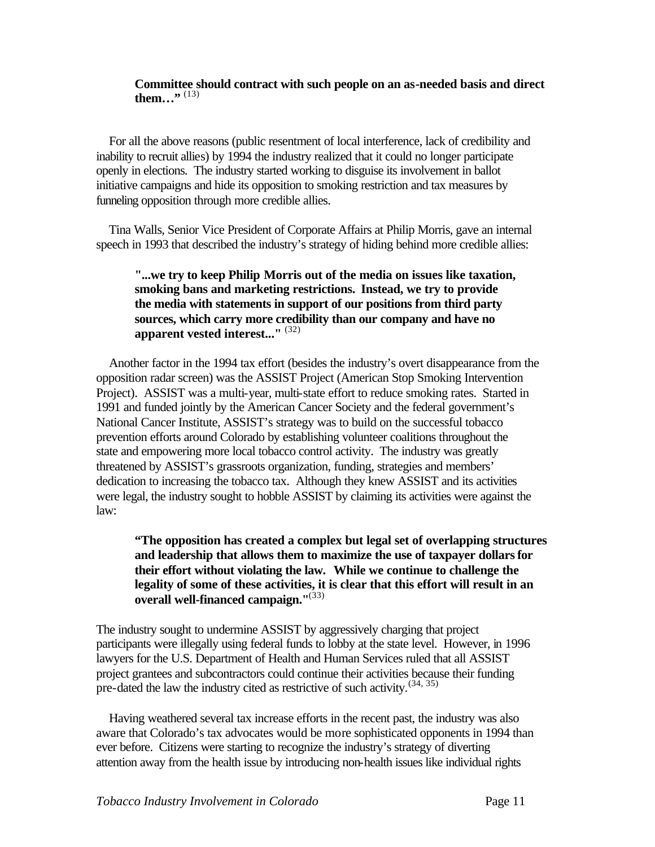#### **Committee should contract with such people on an as-needed basis and direct them...**" <sup>(13)</sup>

 For all the above reasons (public resentment of local interference, lack of credibility and inability to recruit allies) by 1994 the industry realized that it could no longer participate openly in elections. The industry started working to disguise its involvement in ballot initiative campaigns and hide its opposition to smoking restriction and tax measures by funneling opposition through more credible allies.

 Tina Walls, Senior Vice President of Corporate Affairs at Philip Morris, gave an internal speech in 1993 that described the industry's strategy of hiding behind more credible allies:

### **"...we try to keep Philip Morris out of the media on issues like taxation, smoking bans and marketing restrictions. Instead, we try to provide the media with statements in support of our positions from third party sources, which carry more credibility than our company and have no apparent vested interest..."** (32)

 Another factor in the 1994 tax effort (besides the industry's overt disappearance from the opposition radar screen) was the ASSIST Project (American Stop Smoking Intervention Project). ASSIST was a multi-year, multi-state effort to reduce smoking rates. Started in 1991 and funded jointly by the American Cancer Society and the federal government's National Cancer Institute, ASSIST's strategy was to build on the successful tobacco prevention efforts around Colorado by establishing volunteer coalitions throughout the state and empowering more local tobacco control activity. The industry was greatly threatened by ASSIST's grassroots organization, funding, strategies and members' dedication to increasing the tobacco tax. Although they knew ASSIST and its activities were legal, the industry sought to hobble ASSIST by claiming its activities were against the law:

# **"The opposition has created a complex but legal set of overlapping structures and leadership that allows them to maximize the use of taxpayer dollars for their effort without violating the law. While we continue to challenge the legality of some of these activities, it is clear that this effort will result in an overall well-financed campaign."**(33)

The industry sought to undermine ASSIST by aggressively charging that project participants were illegally using federal funds to lobby at the state level. However, in 1996 lawyers for the U.S. Department of Health and Human Services ruled that all ASSIST project grantees and subcontractors could continue their activities because their funding pre-dated the law the industry cited as restrictive of such activity. $(34, 35)$ 

 Having weathered several tax increase efforts in the recent past, the industry was also aware that Colorado's tax advocates would be more sophisticated opponents in 1994 than ever before. Citizens were starting to recognize the industry's strategy of diverting attention away from the health issue by introducing non-health issues like individual rights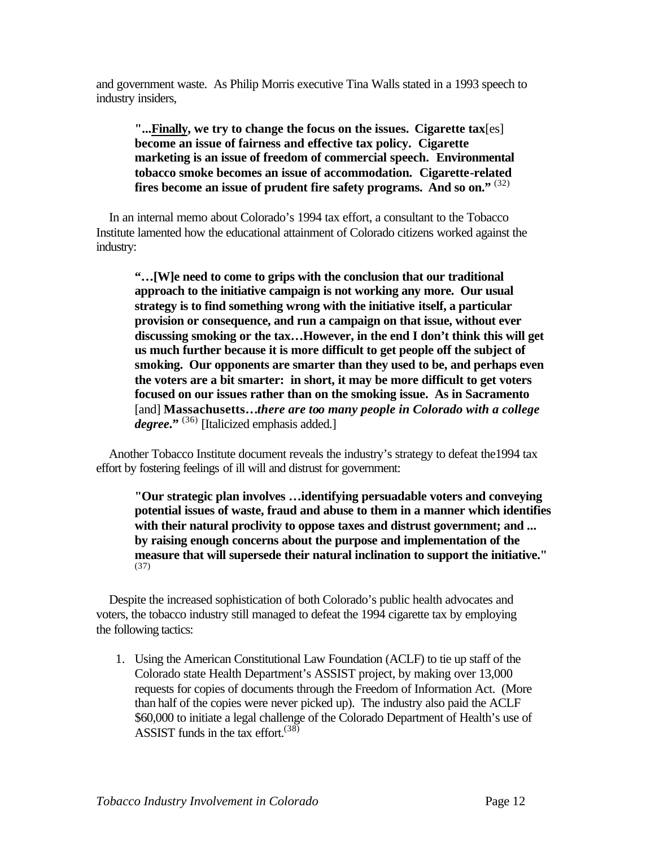and government waste. As Philip Morris executive Tina Walls stated in a 1993 speech to industry insiders,

**"...Finally, we try to change the focus on the issues. Cigarette tax**[es] **become an issue of fairness and effective tax policy. Cigarette marketing is an issue of freedom of commercial speech. Environmental tobacco smoke becomes an issue of accommodation. Cigarette-related fires become an issue of prudent fire safety programs. And so on."** (32)

 In an internal memo about Colorado's 1994 tax effort, a consultant to the Tobacco Institute lamented how the educational attainment of Colorado citizens worked against the industry:

**"…[W]e need to come to grips with the conclusion that our traditional approach to the initiative campaign is not working any more. Our usual strategy is to find something wrong with the initiative itself, a particular provision or consequence, and run a campaign on that issue, without ever discussing smoking or the tax…However, in the end I don't think this will get us much further because it is more difficult to get people off the subject of smoking. Our opponents are smarter than they used to be, and perhaps even the voters are a bit smarter: in short, it may be more difficult to get voters focused on our issues rather than on the smoking issue. As in Sacramento**  [and] **Massachusetts…***there are too many people in Colorado with a college degree***."** (36) [Italicized emphasis added.]

 Another Tobacco Institute document reveals the industry's strategy to defeat the1994 tax effort by fostering feelings of ill will and distrust for government:

**"Our strategic plan involves …identifying persuadable voters and conveying potential issues of waste, fraud and abuse to them in a manner which identifies with their natural proclivity to oppose taxes and distrust government; and ... by raising enough concerns about the purpose and implementation of the measure that will supersede their natural inclination to support the initiative."** (37)

 Despite the increased sophistication of both Colorado's public health advocates and voters, the tobacco industry still managed to defeat the 1994 cigarette tax by employing the following tactics:

1. Using the American Constitutional Law Foundation (ACLF) to tie up staff of the Colorado state Health Department's ASSIST project, by making over 13,000 requests for copies of documents through the Freedom of Information Act. (More than half of the copies were never picked up). The industry also paid the ACLF \$60,000 to initiate a legal challenge of the Colorado Department of Health's use of ASSIST funds in the tax effort.  $(38)$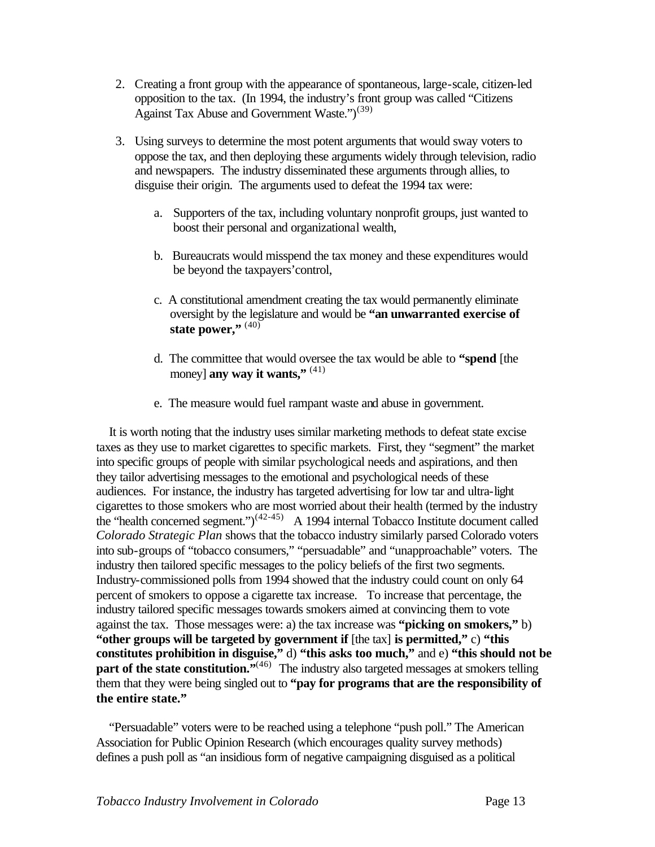- 2. Creating a front group with the appearance of spontaneous, large-scale, citizen-led opposition to the tax. (In 1994, the industry's front group was called "Citizens Against Tax Abuse and Government Waste.")<sup>(39)</sup>
- 3. Using surveys to determine the most potent arguments that would sway voters to oppose the tax, and then deploying these arguments widely through television, radio and newspapers. The industry disseminated these arguments through allies, to disguise their origin. The arguments used to defeat the 1994 tax were:
	- a. Supporters of the tax, including voluntary nonprofit groups, just wanted to boost their personal and organizational wealth,
	- b. Bureaucrats would misspend the tax money and these expenditures would be beyond the taxpayers'control,
	- c. A constitutional amendment creating the tax would permanently eliminate oversight by the legislature and would be **"an unwarranted exercise of**  state power."<sup>(40)</sup>
	- d. The committee that would oversee the tax would be able to **"spend** [the money] **any way it wants,"** (41)
	- e. The measure would fuel rampant waste and abuse in government.

 It is worth noting that the industry uses similar marketing methods to defeat state excise taxes as they use to market cigarettes to specific markets. First, they "segment" the market into specific groups of people with similar psychological needs and aspirations, and then they tailor advertising messages to the emotional and psychological needs of these audiences. For instance, the industry has targeted advertising for low tar and ultra-light cigarettes to those smokers who are most worried about their health (termed by the industry the "health concerned segment.")(42-45) A 1994 internal Tobacco Institute document called *Colorado Strategic Plan* shows that the tobacco industry similarly parsed Colorado voters into sub-groups of "tobacco consumers," "persuadable" and "unapproachable" voters. The industry then tailored specific messages to the policy beliefs of the first two segments. Industry-commissioned polls from 1994 showed that the industry could count on only 64 percent of smokers to oppose a cigarette tax increase. To increase that percentage, the industry tailored specific messages towards smokers aimed at convincing them to vote against the tax. Those messages were: a) the tax increase was **"picking on smokers,"** b) **"other groups will be targeted by government if** [the tax] is permitted," c) "this **constitutes prohibition in disguise,"** d) **"this asks too much,"** and e) **"this should not be part of the state constitution."**<sup>(46)</sup> The industry also targeted messages at smokers telling them that they were being singled out to **"pay for programs that are the responsibility of the entire state."**

 "Persuadable" voters were to be reached using a telephone "push poll." The American Association for Public Opinion Research (which encourages quality survey methods) defines a push poll as "an insidious form of negative campaigning disguised as a political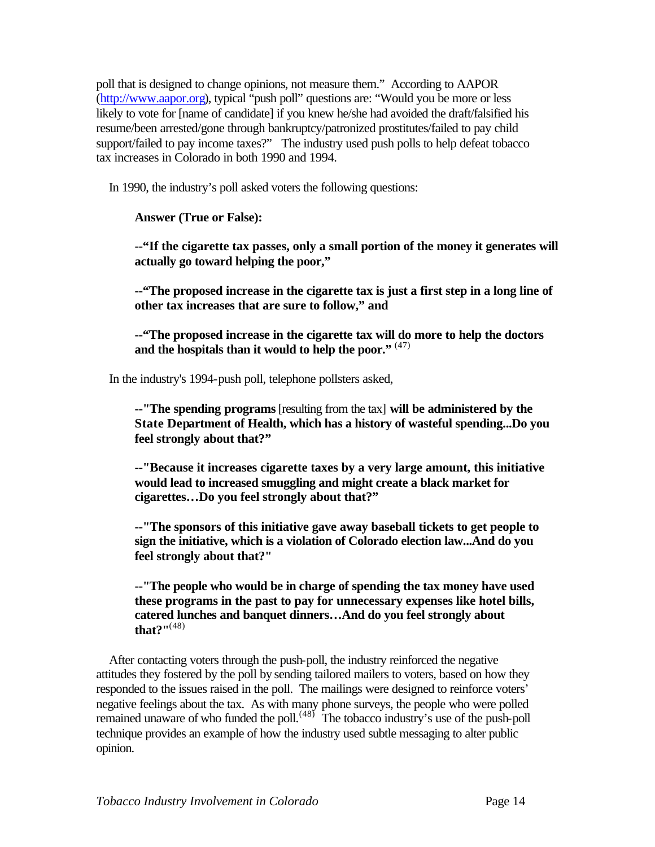poll that is designed to change opinions, not measure them." According to AAPOR [\(http://www.aapor.org\),](http://www.aapor.org) typical "push poll" questions are: "Would you be more or less likely to vote for [name of candidate] if you knew he/she had avoided the draft/falsified his resume/been arrested/gone through bankruptcy/patronized prostitutes/failed to pay child support/failed to pay income taxes?" The industry used push polls to help defeat tobacco tax increases in Colorado in both 1990 and 1994.

In 1990, the industry's poll asked voters the following questions:

**Answer (True or False):** 

**--"If the cigarette tax passes, only a small portion of the money it generates will actually go toward helping the poor,"** 

**--"The proposed increase in the cigarette tax is just a first step in a long line of other tax increases that are sure to follow," and** 

**--"The proposed increase in the cigarette tax will do more to help the doctors and the hospitals than it would to help the poor."** (47)

In the industry's 1994-push poll, telephone pollsters asked,

**--"The spending programs** [resulting from the tax] **will be administered by the State Department of Health, which has a history of wasteful spending...Do you feel strongly about that?"**

**--"Because it increases cigarette taxes by a very large amount, this initiative would lead to increased smuggling and might create a black market for cigarettes…Do you feel strongly about that?"**

**--"The sponsors of this initiative gave away baseball tickets to get people to sign the initiative, which is a violation of Colorado election law...And do you feel strongly about that?"**

**--"The people who would be in charge of spending the tax money have used these programs in the past to pay for unnecessary expenses like hotel bills, catered lunches and banquet dinners…And do you feel strongly about that?"**(48)

 After contacting voters through the push-poll, the industry reinforced the negative attitudes they fostered by the poll by sending tailored mailers to voters, based on how they responded to the issues raised in the poll. The mailings were designed to reinforce voters' negative feelings about the tax. As with many phone surveys, the people who were polled remained unaware of who funded the poll.<sup> $(48)$ </sup> The tobacco industry's use of the push-poll technique provides an example of how the industry used subtle messaging to alter public opinion.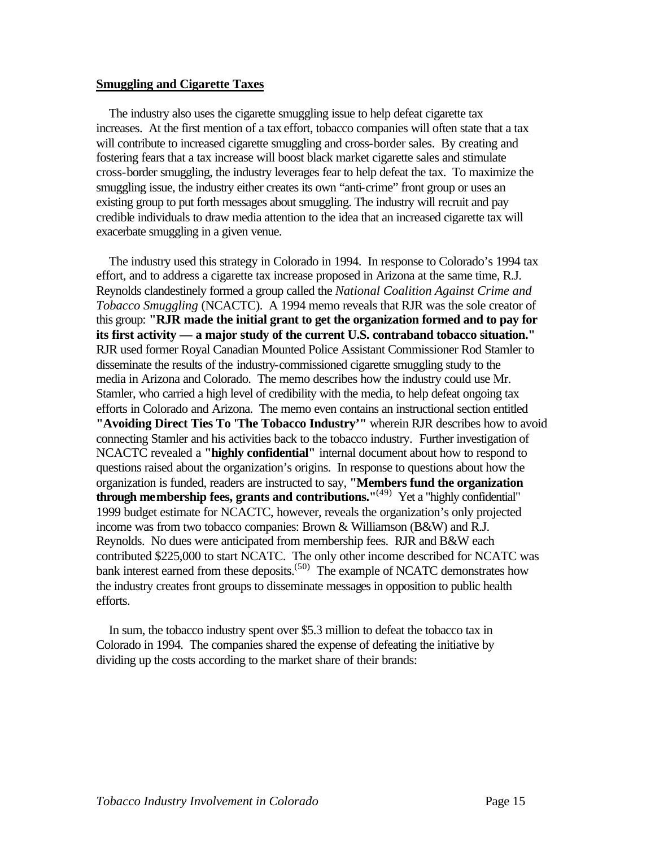#### **Smuggling and Cigarette Taxes**

 The industry also uses the cigarette smuggling issue to help defeat cigarette tax increases. At the first mention of a tax effort, tobacco companies will often state that a tax will contribute to increased cigarette smuggling and cross-border sales. By creating and fostering fears that a tax increase will boost black market cigarette sales and stimulate cross-border smuggling, the industry leverages fear to help defeat the tax. To maximize the smuggling issue, the industry either creates its own "anti-crime" front group or uses an existing group to put forth messages about smuggling. The industry will recruit and pay credible individuals to draw media attention to the idea that an increased cigarette tax will exacerbate smuggling in a given venue.

 The industry used this strategy in Colorado in 1994. In response to Colorado's 1994 tax effort, and to address a cigarette tax increase proposed in Arizona at the same time, R.J. Reynolds clandestinely formed a group called the *National Coalition Against Crime and Tobacco Smuggling* (NCACTC). A 1994 memo reveals that RJR was the sole creator of this group: **"RJR made the initial grant to get the organization formed and to pay for its first activity — a major study of the current U.S. contraband tobacco situation."**  RJR used former Royal Canadian Mounted Police Assistant Commissioner Rod Stamler to disseminate the results of the industry-commissioned cigarette smuggling study to the media in Arizona and Colorado. The memo describes how the industry could use Mr. Stamler, who carried a high level of credibility with the media, to help defeat ongoing tax efforts in Colorado and Arizona. The memo even contains an instructional section entitled **"Avoiding Direct Ties To 'The Tobacco Industry'"** wherein RJR describes how to avoid connecting Stamler and his activities back to the tobacco industry. Further investigation of NCACTC revealed a **"highly confidential"** internal document about how to respond to questions raised about the organization's origins. In response to questions about how the organization is funded, readers are instructed to say, **"Members fund the organization through membership fees, grants and contributions.**<sup>"(49)</sup> Yet a "highly confidential" 1999 budget estimate for NCACTC, however, reveals the organization's only projected income was from two tobacco companies: Brown & Williamson (B&W) and R.J. Reynolds. No dues were anticipated from membership fees. RJR and B&W each contributed \$225,000 to start NCATC. The only other income described for NCATC was bank interest earned from these deposits.<sup> $(50)$ </sup> The example of NCATC demonstrates how the industry creates front groups to disseminate messages in opposition to public health efforts.

 In sum, the tobacco industry spent over \$5.3 million to defeat the tobacco tax in Colorado in 1994. The companies shared the expense of defeating the initiative by dividing up the costs according to the market share of their brands: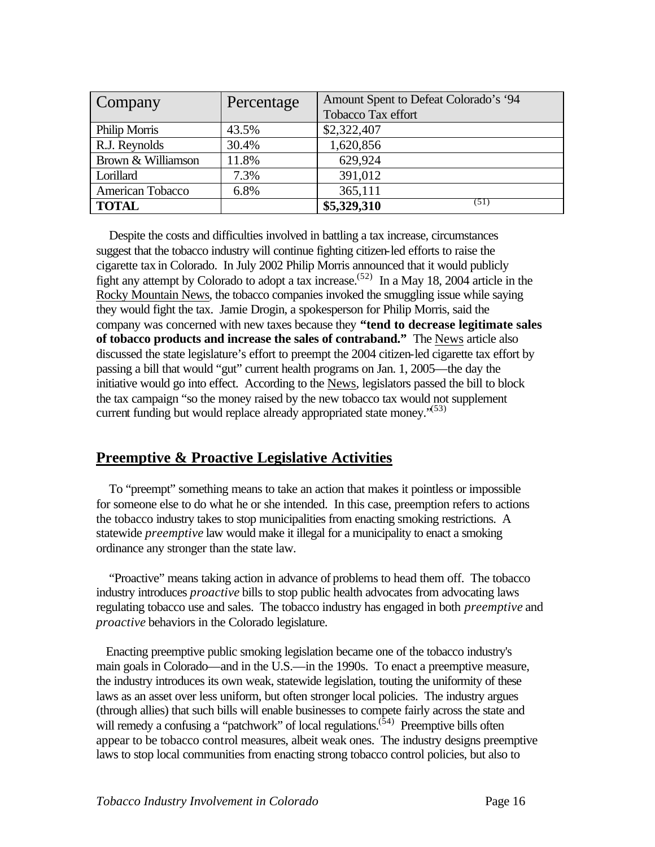| Company            | Percentage | Amount Spent to Defeat Colorado's '94 |  |
|--------------------|------------|---------------------------------------|--|
|                    |            | Tobacco Tax effort                    |  |
| Philip Morris      | 43.5%      | \$2,322,407                           |  |
| R.J. Reynolds      | 30.4%      | 1,620,856                             |  |
| Brown & Williamson | 11.8%      | 629,924                               |  |
| Lorillard          | 7.3%       | 391,012                               |  |
| American Tobacco   | 6.8%       | 365,111                               |  |
| <b>TOTAL</b>       |            | (51)<br>\$5,329,310                   |  |

 Despite the costs and difficulties involved in battling a tax increase, circumstances suggest that the tobacco industry will continue fighting citizen-led efforts to raise the cigarette tax in Colorado. In July 2002 Philip Morris announced that it would publicly fight any attempt by Colorado to adopt a tax increase.<sup> $(52)$ </sup> In a May 18, 2004 article in the Rocky Mountain News, the tobacco companies invoked the smuggling issue while saying they would fight the tax. Jamie Drogin, a spokesperson for Philip Morris, said the company was concerned with new taxes because they **"tend to decrease legitimate sales of tobacco products and increase the sales of contraband."** The News article also discussed the state legislature's effort to preempt the 2004 citizen-led cigarette tax effort by passing a bill that would "gut" current health programs on Jan. 1, 2005—the day the initiative would go into effect. According to the News, legislators passed the bill to block the tax campaign "so the money raised by the new tobacco tax would not supplement current funding but would replace already appropriated state money.<sup> $(53)$ </sup>

# **Preemptive & Proactive Legislative Activities**

 To "preempt" something means to take an action that makes it pointless or impossible for someone else to do what he or she intended. In this case, preemption refers to actions the tobacco industry takes to stop municipalities from enacting smoking restrictions. A statewide *preemptive* law would make it illegal for a municipality to enact a smoking ordinance any stronger than the state law.

 "Proactive" means taking action in advance of problems to head them off. The tobacco industry introduces *proactive* bills to stop public health advocates from advocating laws regulating tobacco use and sales. The tobacco industry has engaged in both *preemptive* and *proactive* behaviors in the Colorado legislature.

 Enacting preemptive public smoking legislation became one of the tobacco industry's main goals in Colorado—and in the U.S.—in the 1990s. To enact a preemptive measure, the industry introduces its own weak, statewide legislation, touting the uniformity of these laws as an asset over less uniform, but often stronger local policies. The industry argues (through allies) that such bills will enable businesses to compete fairly across the state and will remedy a confusing a "patchwork" of local regulations.  $(54)$  Preemptive bills often appear to be tobacco control measures, albeit weak ones. The industry designs preemptive laws to stop local communities from enacting strong tobacco control policies, but also to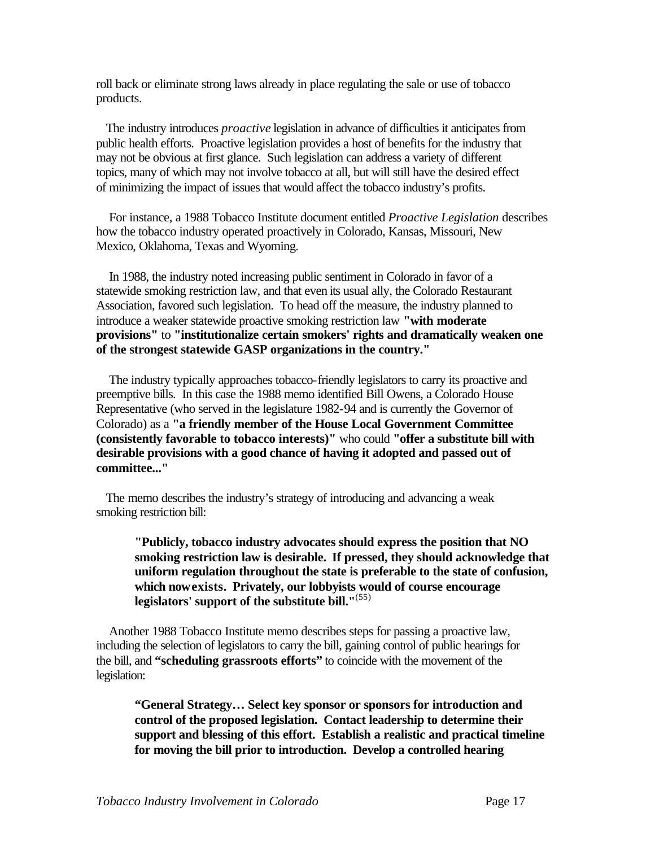roll back or eliminate strong laws already in place regulating the sale or use of tobacco products.

 The industry introduces *proactive* legislation in advance of difficulties it anticipates from public health efforts. Proactive legislation provides a host of benefits for the industry that may not be obvious at first glance. Such legislation can address a variety of different topics, many of which may not involve tobacco at all, but will still have the desired effect of minimizing the impact of issues that would affect the tobacco industry's profits.

For instance, a 1988 Tobacco Institute document entitled *Proactive Legislation* describes how the tobacco industry operated proactively in Colorado, Kansas, Missouri, New Mexico, Oklahoma, Texas and Wyoming.

 In 1988, the industry noted increasing public sentiment in Colorado in favor of a statewide smoking restriction law, and that even its usual ally, the Colorado Restaurant Association, favored such legislation. To head off the measure, the industry planned to introduce a weaker statewide proactive smoking restriction law **"with moderate provisions"** to **"institutionalize certain smokers' rights and dramatically weaken one of the strongest statewide GASP organizations in the country."**

 The industry typically approaches tobacco-friendly legislators to carry its proactive and preemptive bills. In this case the 1988 memo identified Bill Owens, a Colorado House Representative (who served in the legislature 1982-94 and is currently the Governor of Colorado) as a **"a friendly member of the House Local Government Committee (consistently favorable to tobacco interests)"** who could **"offer a substitute bill with desirable provisions with a good chance of having it adopted and passed out of committee..."** 

 The memo describes the industry's strategy of introducing and advancing a weak smoking restriction bill:

**"Publicly, tobacco industry advocates should express the position that NO smoking restriction law is desirable. If pressed, they should acknowledge that uniform regulation throughout the state is preferable to the state of confusion, which now exists. Privately, our lobbyists would of course encourage legislators' support of the substitute bill."**(55)

 Another 1988 Tobacco Institute memo describes steps for passing a proactive law, including the selection of legislators to carry the bill, gaining control of public hearings for the bill, and **"scheduling grassroots efforts"** to coincide with the movement of the legislation:

**"General Strategy… Select key sponsor or sponsors for introduction and control of the proposed legislation. Contact leadership to determine their support and blessing of this effort. Establish a realistic and practical timeline for moving the bill prior to introduction. Develop a controlled hearing**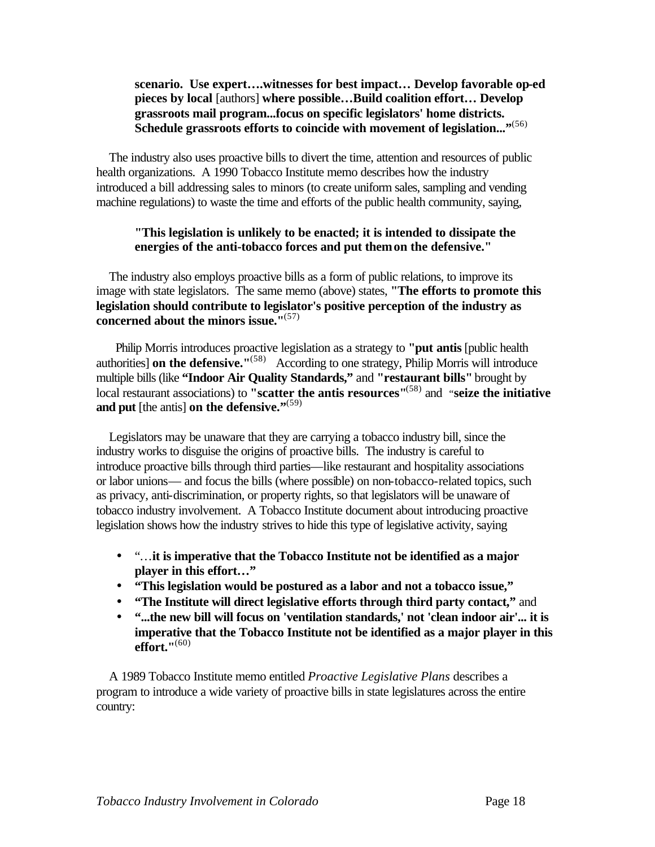## **scenario. Use expert….witnesses for best impact… Develop favorable op-ed pieces by local** [authors] **where possible…Build coalition effort… Develop grassroots mail program...focus on specific legislators' home districts.**  Schedule grassroots efforts to coincide with movement of legislation..."<sup>(56)</sup>

 The industry also uses proactive bills to divert the time, attention and resources of public health organizations. A 1990 Tobacco Institute memo describes how the industry introduced a bill addressing sales to minors (to create uniform sales, sampling and vending machine regulations) to waste the time and efforts of the public health community, saying,

#### **"This legislation is unlikely to be enacted; it is intended to dissipate the energies of the anti-tobacco forces and put them on the defensive."**

 The industry also employs proactive bills as a form of public relations, to improve its image with state legislators. The same memo (above) states, **"The efforts to promote this legislation should contribute to legislator's positive perception of the industry as concerned about the minors issue."**(57) 

 Philip Morris introduces proactive legislation as a strategy to **"put antis** [public health authorities] **on the defensive."**(58) According to one strategy, Philip Morris will introduce multiple bills (like **"Indoor Air Quality Standards,"** and **"restaurant bills"** brought by local restaurant associations) to **"scatter the antis resources"**(58) and "**seize the initiative**  and put [the antis] on the defensive."<sup>(59)</sup>

 Legislators may be unaware that they are carrying a tobacco industry bill, since the industry works to disguise the origins of proactive bills. The industry is careful to introduce proactive bills through third parties—like restaurant and hospitality associations or labor unions— and focus the bills (where possible) on non-tobacco-related topics, such as privacy, anti-discrimination, or property rights, so that legislators will be unaware of tobacco industry involvement. A Tobacco Institute document about introducing proactive legislation shows how the industry strives to hide this type of legislative activity, saying

- "…**it is imperative that the Tobacco Institute not be identified as a major player in this effort…"**
- **"This legislation would be postured as a labor and not a tobacco issue,"**
- **"The Institute will direct legislative efforts through third party contact,"** and
- **"...the new bill will focus on 'ventilation standards,' not 'clean indoor air'... it is imperative that the Tobacco Institute not be identified as a major player in this effort."**(60)

 A 1989 Tobacco Institute memo entitled *Proactive Legislative Plans* describes a program to introduce a wide variety of proactive bills in state legislatures across the entire country: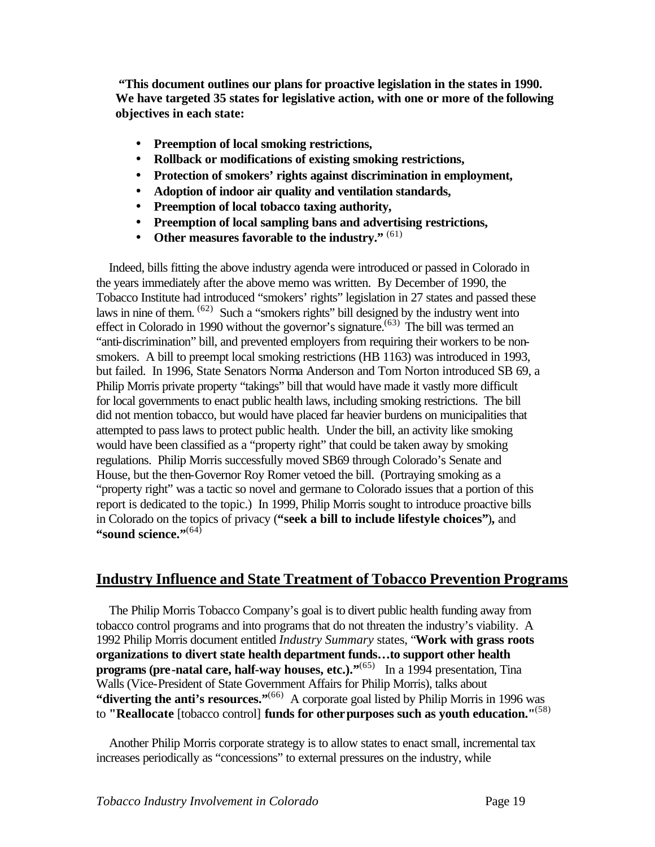**"This document outlines our plans for proactive legislation in the states in 1990. We have targeted 35 states for legislative action, with one or more of the following objectives in each state:**

- **Preemption of local smoking restrictions,**
- **Rollback or modifications of existing smoking restrictions,**
- **Protection of smokers' rights against discrimination in employment,**
- **Adoption of indoor air quality and ventilation standards,**
- **Preemption of local tobacco taxing authority,**
- **Preemption of local sampling bans and advertising restrictions,**
- **Other measures favorable to the industry."** (61)

 Indeed, bills fitting the above industry agenda were introduced or passed in Colorado in the years immediately after the above memo was written. By December of 1990, the Tobacco Institute had introduced "smokers' rights" legislation in 27 states and passed these laws in nine of them.  $(62)$  Such a "smokers rights" bill designed by the industry went into effect in Colorado in 1990 without the governor's signature.<sup> $(63)$ </sup> The bill was termed an "anti-discrimination" bill, and prevented employers from requiring their workers to be nonsmokers. A bill to preempt local smoking restrictions (HB 1163) was introduced in 1993, but failed. In 1996, State Senators Norma Anderson and Tom Norton introduced SB 69, a Philip Morris private property "takings" bill that would have made it vastly more difficult for local governments to enact public health laws, including smoking restrictions. The bill did not mention tobacco, but would have placed far heavier burdens on municipalities that attempted to pass laws to protect public health. Under the bill, an activity like smoking would have been classified as a "property right" that could be taken away by smoking regulations. Philip Morris successfully moved SB69 through Colorado's Senate and House, but the then-Governor Roy Romer vetoed the bill. (Portraying smoking as a "property right" was a tactic so novel and germane to Colorado issues that a portion of this report is dedicated to the topic.) In 1999, Philip Morris sought to introduce proactive bills in Colorado on the topics of privacy (**"seek a bill to include lifestyle choices"**)**,** and "sound science."<sup>(64)</sup>

# **Industry Influence and State Treatment of Tobacco Prevention Programs**

 The Philip Morris Tobacco Company's goal is to divert public health funding away from tobacco control programs and into programs that do not threaten the industry's viability. A 1992 Philip Morris document entitled *Industry Summary* states, "**Work with grass roots organizations to divert state health department funds…to support other health programs (pre-natal care, half-way houses, etc.).**"<sup>(65)</sup> In a 1994 presentation, Tina Walls (Vice-President of State Government Affairs for Philip Morris), talks about **"diverting the anti's resources."**<sup>(66)</sup> A corporate goal listed by Philip Morris in 1996 was to **"Reallocate** [tobacco control] **funds for otherpurposes such as youth education."**(58)

 Another Philip Morris corporate strategy is to allow states to enact small, incremental tax increases periodically as "concessions" to external pressures on the industry, while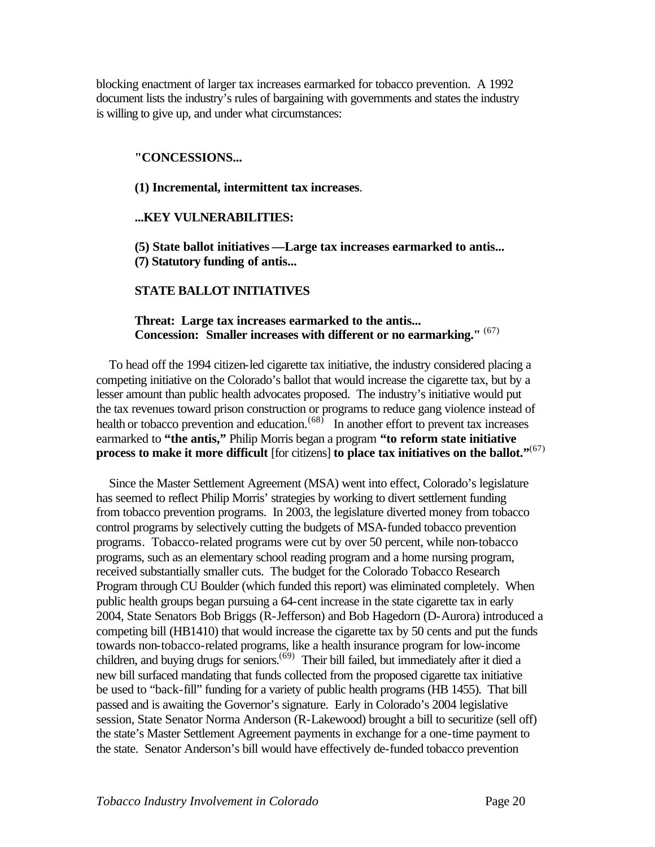blocking enactment of larger tax increases earmarked for tobacco prevention. A 1992 document lists the industry's rules of bargaining with governments and states the industry is willing to give up, and under what circumstances:

#### **"CONCESSIONS...**

**(1) Incremental, intermittent tax increases**.

#### **...KEY VULNERABILITIES:**

**(5) State ballot initiatives —Large tax increases earmarked to antis... (7) Statutory funding of antis...**

#### **STATE BALLOT INITIATIVES**

#### **Threat: Large tax increases earmarked to the antis... Concession: Smaller increases with different or no earmarking."** (67)

 To head off the 1994 citizen-led cigarette tax initiative, the industry considered placing a competing initiative on the Colorado's ballot that would increase the cigarette tax, but by a lesser amount than public health advocates proposed. The industry's initiative would put the tax revenues toward prison construction or programs to reduce gang violence instead of health or tobacco prevention and education.<sup> $(68)$ </sup> In another effort to prevent tax increases earmarked to **"the antis,"** Philip Morris began a program **"to reform state initiative process to make it more difficult** [for citizens] **to place tax initiatives on the ballot."**(67)

 Since the Master Settlement Agreement (MSA) went into effect, Colorado's legislature has seemed to reflect Philip Morris' strategies by working to divert settlement funding from tobacco prevention programs. In 2003, the legislature diverted money from tobacco control programs by selectively cutting the budgets of MSA-funded tobacco prevention programs. Tobacco-related programs were cut by over 50 percent, while non-tobacco programs, such as an elementary school reading program and a home nursing program, received substantially smaller cuts. The budget for the Colorado Tobacco Research Program through CU Boulder (which funded this report) was eliminated completely. When public health groups began pursuing a 64-cent increase in the state cigarette tax in early 2004, State Senators Bob Briggs (R-Jefferson) and Bob Hagedorn (D-Aurora) introduced a competing bill (HB1410) that would increase the cigarette tax by 50 cents and put the funds towards non-tobacco-related programs, like a health insurance program for low-income children, and buying drugs for seniors.<sup> $(69)$ </sup> Their bill failed, but immediately after it died a new bill surfaced mandating that funds collected from the proposed cigarette tax initiative be used to "back-fill" funding for a variety of public health programs (HB 1455). That bill passed and is awaiting the Governor's signature. Early in Colorado's 2004 legislative session, State Senator Norma Anderson (R-Lakewood) brought a bill to securitize (sell off) the state's Master Settlement Agreement payments in exchange for a one-time payment to the state. Senator Anderson's bill would have effectively de-funded tobacco prevention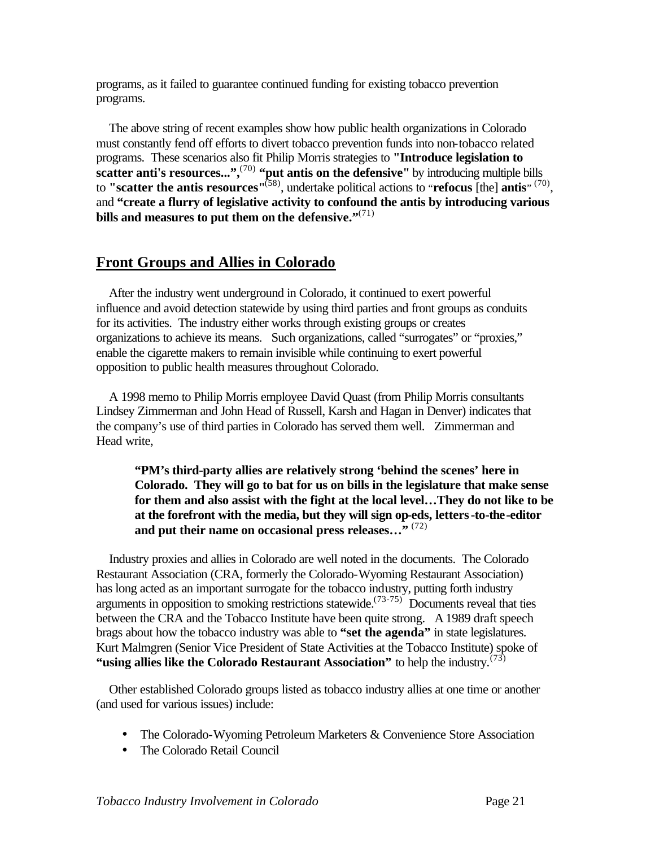programs, as it failed to guarantee continued funding for existing tobacco prevention programs.

 The above string of recent examples show how public health organizations in Colorado must constantly fend off efforts to divert tobacco prevention funds into non-tobacco related programs. These scenarios also fit Philip Morris strategies to **"Introduce legislation to scatter anti's resources...",**(70) **"put antis on the defensive"** by introducing multiple bills to **"scatter the antis resources"**(58), undertake political actions to "**refocus** [the] **antis**" (70) , and **"create a flurry of legislative activity to confound the antis by introducing various bills and measures to put them on the defensive."**(71)

# **Front Groups and Allies in Colorado**

 After the industry went underground in Colorado, it continued to exert powerful influence and avoid detection statewide by using third parties and front groups as conduits for its activities. The industry either works through existing groups or creates organizations to achieve its means. Such organizations, called "surrogates" or "proxies," enable the cigarette makers to remain invisible while continuing to exert powerful opposition to public health measures throughout Colorado.

 A 1998 memo to Philip Morris employee David Quast (from Philip Morris consultants Lindsey Zimmerman and John Head of Russell, Karsh and Hagan in Denver) indicates that the company's use of third parties in Colorado has served them well. Zimmerman and Head write,

**"PM's third-party allies are relatively strong 'behind the scenes' here in Colorado. They will go to bat for us on bills in the legislature that make sense for them and also assist with the fight at the local level…They do not like to be at the forefront with the media, but they will sign op-eds, letters-to-the-editor and put their name on occasional press releases…"** (72)

 Industry proxies and allies in Colorado are well noted in the documents. The Colorado Restaurant Association (CRA, formerly the Colorado-Wyoming Restaurant Association) has long acted as an important surrogate for the tobacco industry, putting forth industry arguments in opposition to smoking restrictions statewide.<sup> $(73-75)$ </sup> Documents reveal that ties between the CRA and the Tobacco Institute have been quite strong. A 1989 draft speech brags about how the tobacco industry was able to **"set the agenda"** in state legislatures. Kurt Malmgren (Senior Vice President of State Activities at the Tobacco Institute) spoke of **"using allies like the Colorado Restaurant Association"** to help the industry.(73)

 Other established Colorado groups listed as tobacco industry allies at one time or another (and used for various issues) include:

- The Colorado-Wyoming Petroleum Marketers & Convenience Store Association
- The Colorado Retail Council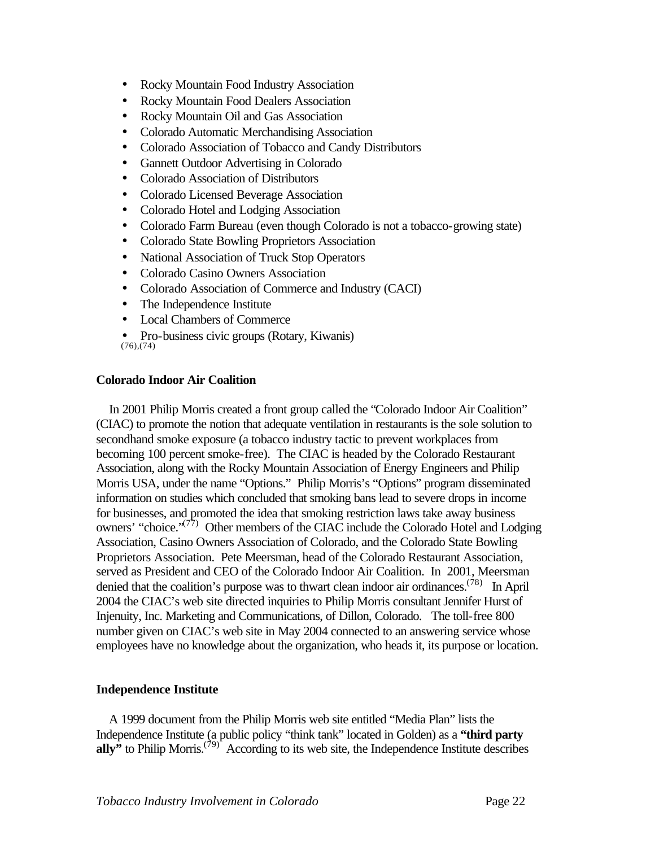- Rocky Mountain Food Industry Association
- Rocky Mountain Food Dealers Association
- Rocky Mountain Oil and Gas Association
- Colorado Automatic Merchandising Association
- Colorado Association of Tobacco and Candy Distributors
- Gannett Outdoor Advertising in Colorado
- Colorado Association of Distributors
- Colorado Licensed Beverage Association
- Colorado Hotel and Lodging Association
- Colorado Farm Bureau (even though Colorado is not a tobacco-growing state)
- Colorado State Bowling Proprietors Association
- National Association of Truck Stop Operators
- Colorado Casino Owners Association
- Colorado Association of Commerce and Industry (CACI)
- The Independence Institute
- Local Chambers of Commerce
- Pro-business civic groups (Rotary, Kiwanis) (76),(74)

#### **Colorado Indoor Air Coalition**

 In 2001 Philip Morris created a front group called the "Colorado Indoor Air Coalition" (CIAC) to promote the notion that adequate ventilation in restaurants is the sole solution to secondhand smoke exposure (a tobacco industry tactic to prevent workplaces from becoming 100 percent smoke-free). The CIAC is headed by the Colorado Restaurant Association, along with the Rocky Mountain Association of Energy Engineers and Philip Morris USA, under the name "Options." Philip Morris's "Options" program disseminated information on studies which concluded that smoking bans lead to severe drops in income for businesses, and promoted the idea that smoking restriction laws take away business owners' "choice."<sup>(77)</sup> Other members of the CIAC include the Colorado Hotel and Lodging Association, Casino Owners Association of Colorado, and the Colorado State Bowling Proprietors Association. Pete Meersman, head of the Colorado Restaurant Association, served as President and CEO of the Colorado Indoor Air Coalition. In 2001, Meersman denied that the coalition's purpose was to thwart clean indoor air ordinances.<sup> $(78)$ </sup> In April 2004 the CIAC's web site directed inquiries to Philip Morris consultant Jennifer Hurst of Injenuity, Inc. Marketing and Communications, of Dillon, Colorado. The toll-free 800 number given on CIAC's web site in May 2004 connected to an answering service whose employees have no knowledge about the organization, who heads it, its purpose or location.

#### **Independence Institute**

 A 1999 document from the Philip Morris web site entitled "Media Plan" lists the Independence Institute (a public policy "think tank" located in Golden) as a **"third party ally**<sup> $\dot{y}$ </sup> to Philip Morris.<sup>(79)</sup> According to its web site, the Independence Institute describes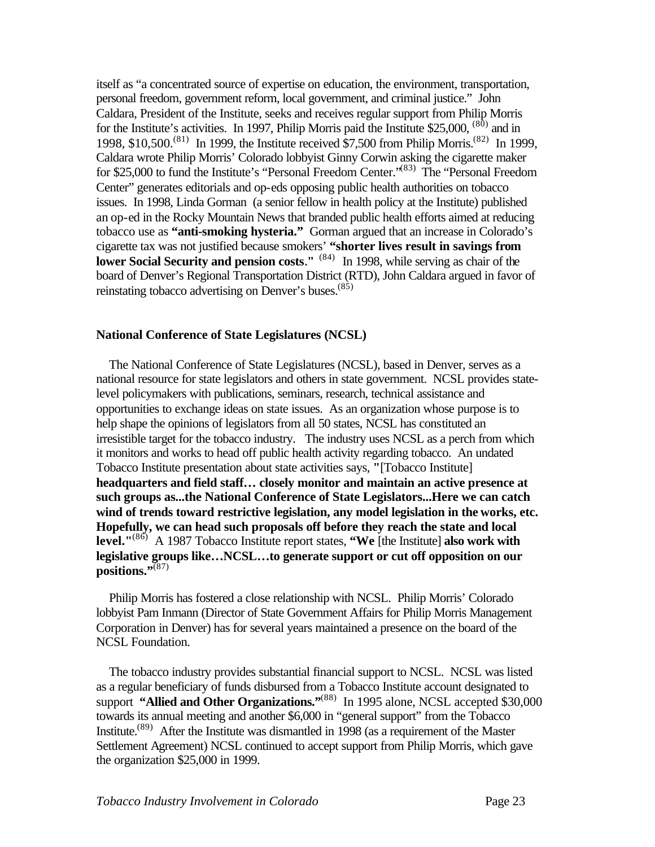itself as "a concentrated source of expertise on education, the environment, transportation, personal freedom, government reform, local government, and criminal justice." John Caldara, President of the Institute, seeks and receives regular support from Philip Morris for the Institute's activities. In 1997, Philip Morris paid the Institute  $$25,000,$   $^{(80)}$  and in 1998, \$10,500.<sup>(81)</sup> In 1999, the Institute received \$7,500 from Philip Morris.<sup>(82)</sup> In 1999, Caldara wrote Philip Morris' Colorado lobbyist Ginny Corwin asking the cigarette maker for \$25,000 to fund the Institute's "Personal Freedom Center."(83) The "Personal Freedom Center" generates editorials and op-eds opposing public health authorities on tobacco issues. In 1998, Linda Gorman (a senior fellow in health policy at the Institute) published an op-ed in the Rocky Mountain News that branded public health efforts aimed at reducing tobacco use as **"anti-smoking hysteria."** Gorman argued that an increase in Colorado's cigarette tax was not justified because smokers' **"shorter lives result in savings from**  lower Social Security and pension costs.<sup>" (84)</sup> In 1998, while serving as chair of the board of Denver's Regional Transportation District (RTD), John Caldara argued in favor of reinstating tobacco advertising on Denver's buses.<sup>(85)</sup>

#### **National Conference of State Legislatures (NCSL)**

 The National Conference of State Legislatures (NCSL), based in Denver, serves as a national resource for state legislators and others in state government. NCSL provides statelevel policymakers with publications, seminars, research, technical assistance and opportunities to exchange ideas on state issues. As an organization whose purpose is to help shape the opinions of legislators from all 50 states, NCSL has constituted an irresistible target for the tobacco industry. The industry uses NCSL as a perch from which it monitors and works to head off public health activity regarding tobacco. An undated Tobacco Institute presentation about state activities says, **"**[Tobacco Institute] **headquarters and field staff… closely monitor and maintain an active presence at such groups as...the National Conference of State Legislators...Here we can catch wind of trends toward restrictive legislation, any model legislation in the works, etc. Hopefully, we can head such proposals off before they reach the state and local level."**(86) A 1987 Tobacco Institute report states, **"We** [the Institute] **also work with legislative groups like…NCSL…to generate support or cut off opposition on our positions."**(87)

 Philip Morris has fostered a close relationship with NCSL. Philip Morris' Colorado lobbyist Pam Inmann (Director of State Government Affairs for Philip Morris Management Corporation in Denver) has for several years maintained a presence on the board of the NCSL Foundation.

 The tobacco industry provides substantial financial support to NCSL. NCSL was listed as a regular beneficiary of funds disbursed from a Tobacco Institute account designated to support **"Allied and Other Organizations."**<sup>(88)</sup> In 1995 alone, NCSL accepted \$30,000 towards its annual meeting and another \$6,000 in "general support" from the Tobacco Institute.<sup> $(89)$ </sup> After the Institute was dismantled in 1998 (as a requirement of the Master Settlement Agreement) NCSL continued to accept support from Philip Morris, which gave the organization \$25,000 in 1999.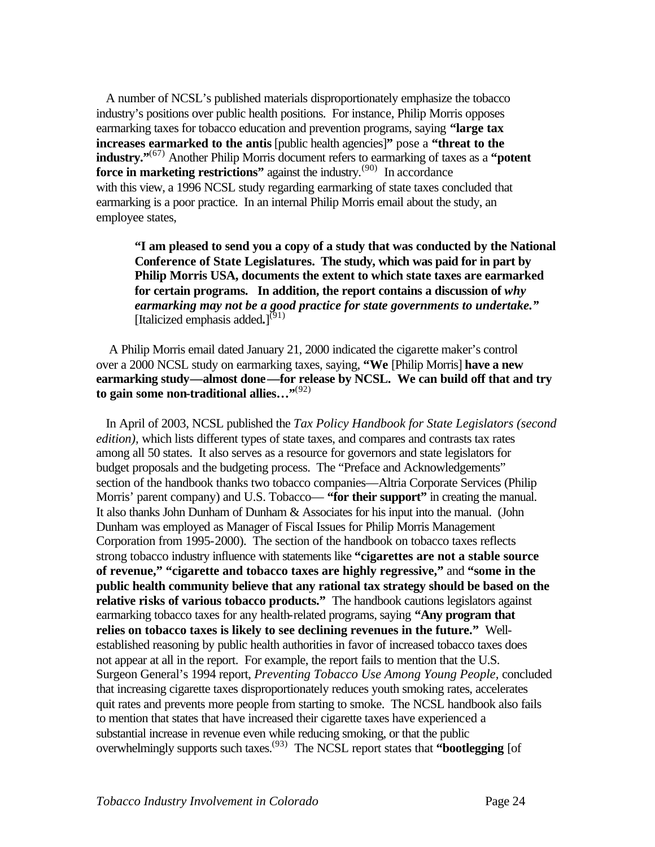A number of NCSL's published materials disproportionately emphasize the tobacco industry's positions over public health positions. For instance, Philip Morris opposes earmarking taxes for tobacco education and prevention programs, saying **"large tax increases earmarked to the antis** [public health agencies]**"** pose a **"threat to the industry."**(67) Another Philip Morris document refers to earmarking of taxes as a **"potent force in marketing restrictions"** against the industry.<sup>(90)</sup> In accordance with this view, a 1996 NCSL study regarding earmarking of state taxes concluded that earmarking is a poor practice. In an internal Philip Morris email about the study, an employee states,

**"I am pleased to send you a copy of a study that was conducted by the National Conference of State Legislatures. The study, which was paid for in part by Philip Morris USA, documents the extent to which state taxes are earmarked for certain programs. In addition, the report contains a discussion of** *why earmarking may not be a good practice for state governments to undertake."* [Italicized emphasis added.]<sup>(91)</sup>

 A Philip Morris email dated January 21, 2000 indicated the cigarette maker's control over a 2000 NCSL study on earmarking taxes, saying, **"We** [Philip Morris] **have a new earmarking study—almost done—for release by NCSL. We can build off that and try to gain some non-traditional allies…"**(92)

 In April of 2003, NCSL published the *Tax Policy Handbook for State Legislators (second edition),* which lists different types of state taxes, and compares and contrasts tax rates among all 50 states. It also serves as a resource for governors and state legislators for budget proposals and the budgeting process. The "Preface and Acknowledgements" section of the handbook thanks two tobacco companies—Altria Corporate Services (Philip Morris' parent company) and U.S. Tobacco— **"for their support"** in creating the manual. It also thanks John Dunham of Dunham & Associates for his input into the manual. (John Dunham was employed as Manager of Fiscal Issues for Philip Morris Management Corporation from 1995-2000). The section of the handbook on tobacco taxes reflects strong tobacco industry influence with statements like **"cigarettes are not a stable source of revenue," "cigarette and tobacco taxes are highly regressive,"** and **"some in the public health community believe that any rational tax strategy should be based on the relative risks of various tobacco products."** The handbook cautions legislators against earmarking tobacco taxes for any health-related programs, saying **"Any program that relies on tobacco taxes is likely to see declining revenues in the future."** Wellestablished reasoning by public health authorities in favor of increased tobacco taxes does not appear at all in the report. For example, the report fails to mention that the U.S. Surgeon General's 1994 report, *Preventing Tobacco Use Among Young People,* concluded that increasing cigarette taxes disproportionately reduces youth smoking rates, accelerates quit rates and prevents more people from starting to smoke. The NCSL handbook also fails to mention that states that have increased their cigarette taxes have experienced a substantial increase in revenue even while reducing smoking, or that the public overwhelmingly supports such taxes.(93) The NCSL report states that **"bootlegging** [of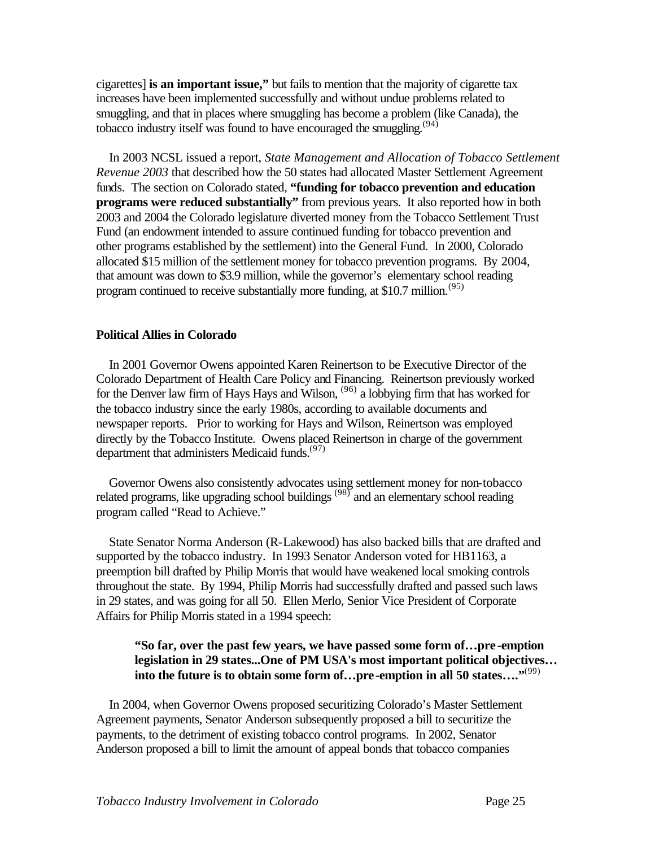cigarettes] **is an important issue,"** but fails to mention that the majority of cigarette tax increases have been implemented successfully and without undue problems related to smuggling, and that in places where smuggling has become a problem (like Canada), the tobacco industry itself was found to have encouraged the smuggling.<sup>(94)</sup>

 In 2003 NCSL issued a report, *State Management and Allocation of Tobacco Settlement Revenue 2003* that described how the 50 states had allocated Master Settlement Agreement funds. The section on Colorado stated, **"funding for tobacco prevention and education programs were reduced substantially"** from previous years. It also reported how in both 2003 and 2004 the Colorado legislature diverted money from the Tobacco Settlement Trust Fund (an endowment intended to assure continued funding for tobacco prevention and other programs established by the settlement) into the General Fund. In 2000, Colorado allocated \$15 million of the settlement money for tobacco prevention programs. By 2004, that amount was down to \$3.9 million, while the governor's elementary school reading program continued to receive substantially more funding, at \$10.7 million.<sup> $(95)$ </sup>

### **Political Allies in Colorado**

 In 2001 Governor Owens appointed Karen Reinertson to be Executive Director of the Colorado Department of Health Care Policy and Financing. Reinertson previously worked for the Denver law firm of Hays Hays and Wilson, (96) a lobbying firm that has worked for the tobacco industry since the early 1980s, according to available documents and newspaper reports. Prior to working for Hays and Wilson, Reinertson was employed directly by the Tobacco Institute. Owens placed Reinertson in charge of the government department that administers Medicaid funds.<sup>(97)</sup>

 Governor Owens also consistently advocates using settlement money for non-tobacco related programs, like upgrading school buildings  $(98)$  and an elementary school reading program called "Read to Achieve."

 State Senator Norma Anderson (R-Lakewood) has also backed bills that are drafted and supported by the tobacco industry. In 1993 Senator Anderson voted for HB1163, a preemption bill drafted by Philip Morris that would have weakened local smoking controls throughout the state. By 1994, Philip Morris had successfully drafted and passed such laws in 29 states, and was going for all 50. Ellen Merlo, Senior Vice President of Corporate Affairs for Philip Morris stated in a 1994 speech:

### **"So far, over the past few years, we have passed some form of…pre -emption legislation in 29 states...One of PM USA's most important political objectives… into the future is to obtain some form of…pre-emption in all 50 states…."**(99)

 In 2004, when Governor Owens proposed securitizing Colorado's Master Settlement Agreement payments, Senator Anderson subsequently proposed a bill to securitize the payments, to the detriment of existing tobacco control programs. In 2002, Senator Anderson proposed a bill to limit the amount of appeal bonds that tobacco companies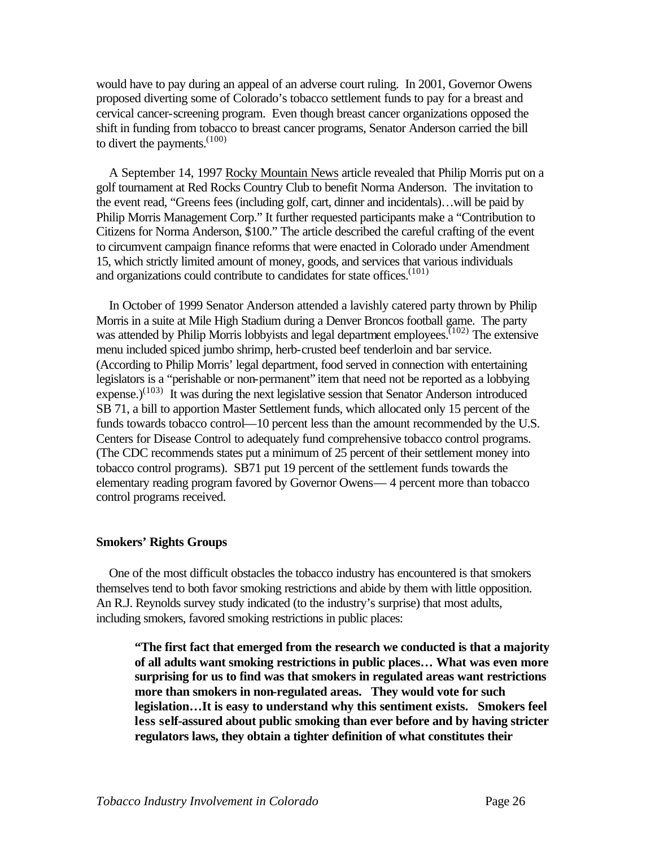would have to pay during an appeal of an adverse court ruling. In 2001, Governor Owens proposed diverting some of Colorado's tobacco settlement funds to pay for a breast and cervical cancer-screening program. Even though breast cancer organizations opposed the shift in funding from tobacco to breast cancer programs, Senator Anderson carried the bill to divert the payments.  $(100)$ 

 A September 14, 1997 Rocky Mountain News article revealed that Philip Morris put on a golf tournament at Red Rocks Country Club to benefit Norma Anderson. The invitation to the event read, "Greens fees (including golf, cart, dinner and incidentals)…will be paid by Philip Morris Management Corp." It further requested participants make a "Contribution to Citizens for Norma Anderson, \$100." The article described the careful crafting of the event to circumvent campaign finance reforms that were enacted in Colorado under Amendment 15, which strictly limited amount of money, goods, and services that various individuals and organizations could contribute to candidates for state offices.<sup>(101)</sup>

 In October of 1999 Senator Anderson attended a lavishly catered party thrown by Philip Morris in a suite at Mile High Stadium during a Denver Broncos football game. The party was attended by Philip Morris lobbyists and legal department employees.<sup> $(102)$ </sup> The extensive menu included spiced jumbo shrimp, herb-crusted beef tenderloin and bar service. (According to Philip Morris' legal department, food served in connection with entertaining legislators is a "perishable or non-permanent" item that need not be reported as a lobbying expense.)<sup>(103)</sup> It was during the next legislative session that Senator Anderson introduced SB 71, a bill to apportion Master Settlement funds, which allocated only 15 percent of the funds towards tobacco control—10 percent less than the amount recommended by the U.S. Centers for Disease Control to adequately fund comprehensive tobacco control programs. (The CDC recommends states put a minimum of 25 percent of their settlement money into tobacco control programs). SB71 put 19 percent of the settlement funds towards the elementary reading program favored by Governor Owens— 4 percent more than tobacco control programs received.

#### **Smokers' Rights Groups**

 One of the most difficult obstacles the tobacco industry has encountered is that smokers themselves tend to both favor smoking restrictions and abide by them with little opposition. An R.J. Reynolds survey study indicated (to the industry's surprise) that most adults, including smokers, favored smoking restrictions in public places:

**"The first fact that emerged from the research we conducted is that a majority of all adults want smoking restrictions in public places… What was even more surprising for us to find was that smokers in regulated areas want restrictions more than smokers in non-regulated areas. They would vote for such legislation…It is easy to understand why this sentiment exists. Smokers feel less self-assured about public smoking than ever before and by having stricter regulators laws, they obtain a tighter definition of what constitutes their**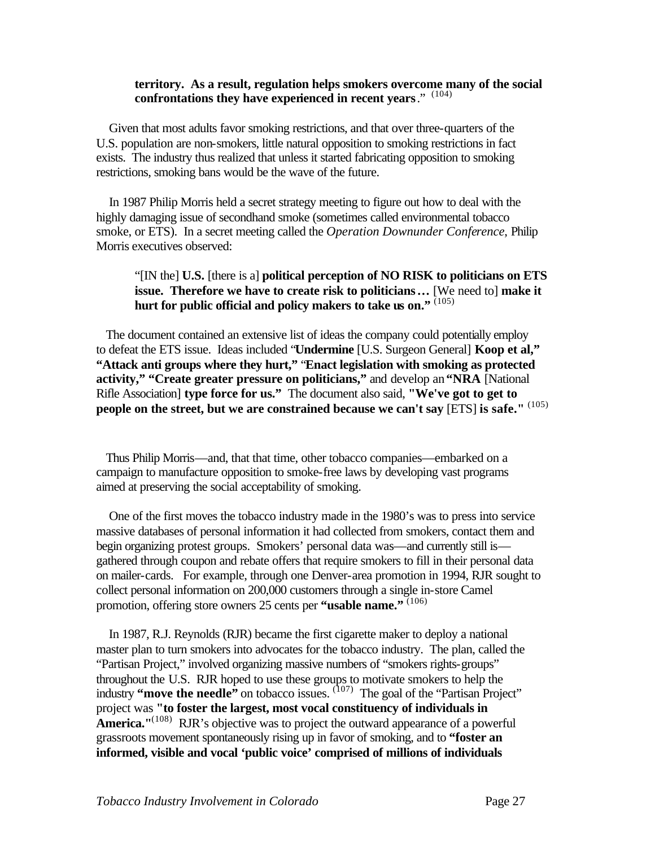#### **territory. As a result, regulation helps smokers overcome many of the social confrontations they have experienced in recent years**." (104)

 Given that most adults favor smoking restrictions, and that over three-quarters of the U.S. population are non-smokers, little natural opposition to smoking restrictions in fact exists. The industry thus realized that unless it started fabricating opposition to smoking restrictions, smoking bans would be the wave of the future.

 In 1987 Philip Morris held a secret strategy meeting to figure out how to deal with the highly damaging issue of secondhand smoke (sometimes called environmental tobacco smoke, or ETS). In a secret meeting called the *Operation Downunder Conference*, Philip Morris executives observed:

# "[IN the] **U.S.** [there is a] **political perception of NO RISK to politicians on ETS issue. Therefore we have to create risk to politicians…** [We need to] **make it**  hurt for public official and policy makers to take us on."<sup>7(105)</sup>

 The document contained an extensive list of ideas the company could potentially employ to defeat the ETS issue. Ideas included "**Undermine** [U.S. Surgeon General] **Koop et al," "Attack anti groups where they hurt,"** "**Enact legislation with smoking as protected activity," "Create greater pressure on politicians,"** and develop an **"NRA** [National Rifle Association] **type force for us."** The document also said, **"We've got to get to people on the street, but we are constrained because we can't say** [ETS] **is safe."** (105)

 Thus Philip Morris—and, that that time, other tobacco companies—embarked on a campaign to manufacture opposition to smoke-free laws by developing vast programs aimed at preserving the social acceptability of smoking.

 One of the first moves the tobacco industry made in the 1980's was to press into service massive databases of personal information it had collected from smokers, contact them and begin organizing protest groups. Smokers' personal data was—and currently still is gathered through coupon and rebate offers that require smokers to fill in their personal data on mailer-cards. For example, through one Denver-area promotion in 1994, RJR sought to collect personal information on 200,000 customers through a single in-store Camel promotion, offering store owners 25 cents per **"usable name."** (106)

 In 1987, R.J. Reynolds (RJR) became the first cigarette maker to deploy a national master plan to turn smokers into advocates for the tobacco industry. The plan, called the "Partisan Project," involved organizing massive numbers of "smokers rights-groups" throughout the U.S. RJR hoped to use these groups to motivate smokers to help the industry "move the needle" on tobacco issues. <sup>(107)</sup> The goal of the "Partisan Project" project was **"to foster the largest, most vocal constituency of individuals in America.**"<sup>(108)</sup> RJR's objective was to project the outward appearance of a powerful grassroots movement spontaneously rising up in favor of smoking, and to **"foster an informed, visible and vocal 'public voice' comprised of millions of individuals**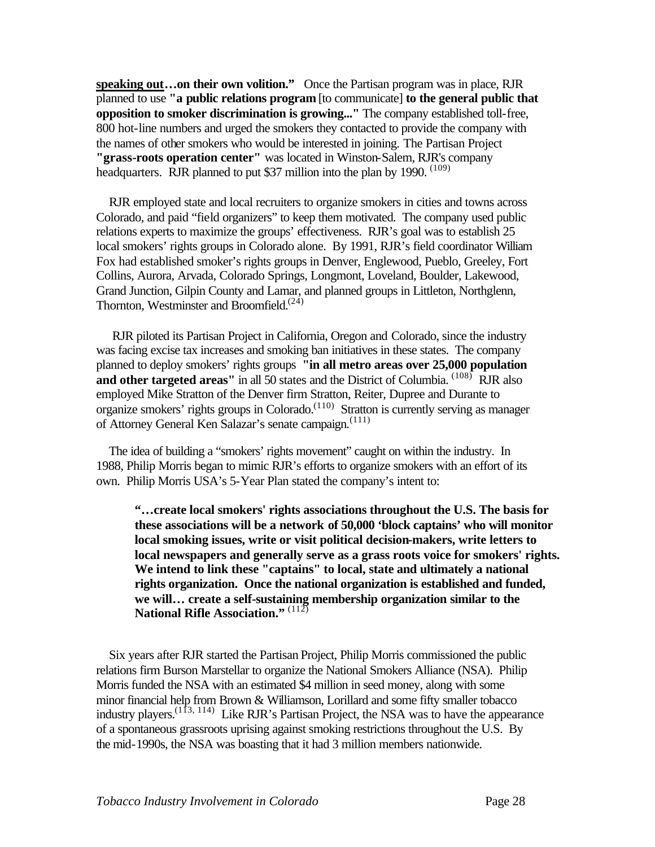**speaking out…on their own volition."** Once the Partisan program was in place, RJR planned to use **"a public relations program** [to communicate] **to the general public that opposition to smoker discrimination is growing..."** The company established toll-free, 800 hot-line numbers and urged the smokers they contacted to provide the company with the names of other smokers who would be interested in joining. The Partisan Project **"grass-roots operation center"** was located in Winston-Salem, RJR's company headquarters. RJR planned to put \$37 million into the plan by 1990.  $(109)$ 

 RJR employed state and local recruiters to organize smokers in cities and towns across Colorado, and paid "field organizers" to keep them motivated. The company used public relations experts to maximize the groups' effectiveness. RJR's goal was to establish 25 local smokers' rights groups in Colorado alone. By 1991, RJR's field coordinator William Fox had established smoker's rights groups in Denver, Englewood, Pueblo, Greeley, Fort Collins, Aurora, Arvada, Colorado Springs, Longmont, Loveland, Boulder, Lakewood, Grand Junction, Gilpin County and Lamar, and planned groups in Littleton, Northglenn, Thornton, Westminster and Broomfield.<sup> $(24)$ </sup>

 RJR piloted its Partisan Project in California, Oregon and Colorado, since the industry was facing excise tax increases and smoking ban initiatives in these states. The company planned to deploy smokers' rights groups **"in all metro areas over 25,000 population**  and other targeted areas" in all 50 states and the District of Columbia. <sup>(108)</sup> RJR also employed Mike Stratton of the Denver firm Stratton, Reiter, Dupree and Durante to organize smokers' rights groups in Colorado. $(110)$  Stratton is currently serving as manager of Attorney General Ken Salazar's senate campaign.<sup>(111)</sup>

 The idea of building a "smokers' rights movement" caught on within the industry. In 1988, Philip Morris began to mimic RJR's efforts to organize smokers with an effort of its own. Philip Morris USA's 5-Year Plan stated the company's intent to:

**"…create local smokers' rights associations throughout the U.S. The basis for these associations will be a network of 50,000 'block captains' who will monitor local smoking issues, write or visit political decision-makers, write letters to local newspapers and generally serve as a grass roots voice for smokers' rights. We intend to link these "captains" to local, state and ultimately a national rights organization. Once the national organization is established and funded, we will… create a self-sustaining membership organization similar to the National Rifle Association."** (112)

 Six years after RJR started the Partisan Project, Philip Morris commissioned the public relations firm Burson Marstellar to organize the National Smokers Alliance (NSA). Philip Morris funded the NSA with an estimated \$4 million in seed money, along with some minor financial help from Brown & Williamson, Lorillard and some fifty smaller tobacco industry players.<sup> $(1\bar{1}3, 114)$ </sup> Like RJR's Partisan Project, the NSA was to have the appearance of a spontaneous grassroots uprising against smoking restrictions throughout the U.S. By the mid-1990s, the NSA was boasting that it had 3 million members nationwide.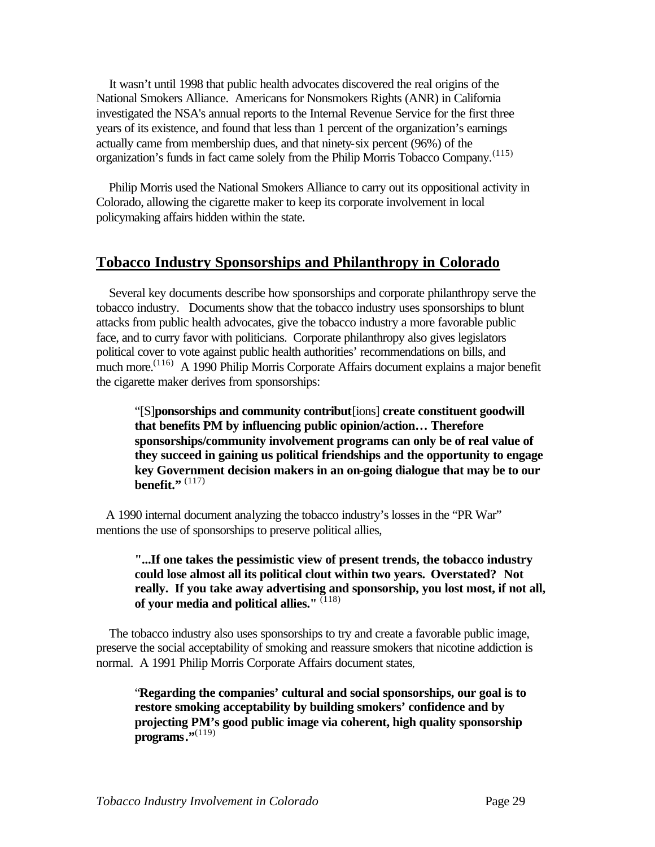It wasn't until 1998 that public health advocates discovered the real origins of the National Smokers Alliance. Americans for Nonsmokers Rights (ANR) in California investigated the NSA's annual reports to the Internal Revenue Service for the first three years of its existence, and found that less than 1 percent of the organization's earnings actually came from membership dues, and that ninety-six percent (96%) of the organization's funds in fact came solely from the Philip Morris Tobacco Company.<sup>(115)</sup>

 Philip Morris used the National Smokers Alliance to carry out its oppositional activity in Colorado, allowing the cigarette maker to keep its corporate involvement in local policymaking affairs hidden within the state.

# **Tobacco Industry Sponsorships and Philanthropy in Colorado**

 Several key documents describe how sponsorships and corporate philanthropy serve the tobacco industry. Documents show that the tobacco industry uses sponsorships to blunt attacks from public health advocates, give the tobacco industry a more favorable public face, and to curry favor with politicians. Corporate philanthropy also gives legislators political cover to vote against public health authorities' recommendations on bills, and much more.<sup>(116)</sup> A 1990 Philip Morris Corporate Affairs document explains a major benefit the cigarette maker derives from sponsorships:

"[S]**ponsorships and community contribut**[ions] **create constituent goodwill that benefits PM by influencing public opinion/action… Therefore sponsorships/community involvement programs can only be of real value of they succeed in gaining us political friendships and the opportunity to engage key Government decision makers in an on-going dialogue that may be to our benefit.**" (117)

 A 1990 internal document analyzing the tobacco industry's losses in the "PR War" mentions the use of sponsorships to preserve political allies,

**"...If one takes the pessimistic view of present trends, the tobacco industry could lose almost all its political clout within two years. Overstated? Not really. If you take away advertising and sponsorship, you lost most, if not all, of your media and political allies."** (118)

 The tobacco industry also uses sponsorships to try and create a favorable public image, preserve the social acceptability of smoking and reassure smokers that nicotine addiction is normal. A 1991 Philip Morris Corporate Affairs document states,

"**Regarding the companies' cultural and social sponsorships, our goal is to restore smoking acceptability by building smokers' confidence and by projecting PM's good public image via coherent, high quality sponsorship programs."**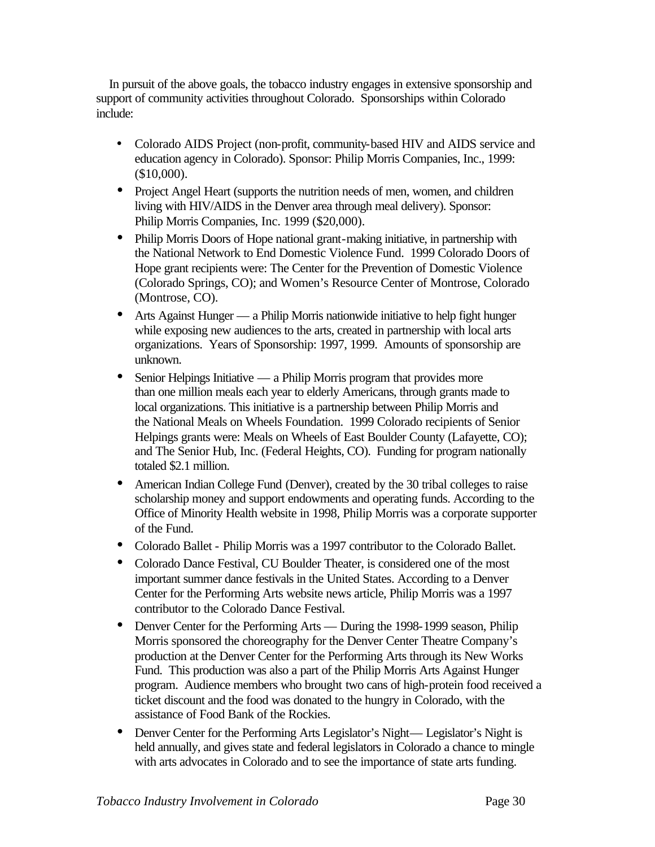In pursuit of the above goals, the tobacco industry engages in extensive sponsorship and support of community activities throughout Colorado. Sponsorships within Colorado include:

- Colorado AIDS Project (non-profit, community-based HIV and AIDS service and education agency in Colorado). Sponsor: Philip Morris Companies, Inc., 1999: (\$10,000).
- Project Angel Heart (supports the nutrition needs of men, women, and children living with HIV/AIDS in the Denver area through meal delivery). Sponsor: Philip Morris Companies, Inc. 1999 (\$20,000).
- Philip Morris Doors of Hope national grant-making initiative, in partnership with the National Network to End Domestic Violence Fund. 1999 Colorado Doors of Hope grant recipients were: The Center for the Prevention of Domestic Violence (Colorado Springs, CO); and Women's Resource Center of Montrose, Colorado (Montrose, CO).
- Arts Against Hunger a Philip Morris nationwide initiative to help fight hunger while exposing new audiences to the arts, created in partnership with local arts organizations. Years of Sponsorship: 1997, 1999. Amounts of sponsorship are unknown.
- Senior Helpings Initiative a Philip Morris program that provides more than one million meals each year to elderly Americans, through grants made to local organizations. This initiative is a partnership between Philip Morris and the National Meals on Wheels Foundation. 1999 Colorado recipients of Senior Helpings grants were: Meals on Wheels of East Boulder County (Lafayette, CO); and The Senior Hub, Inc. (Federal Heights, CO). Funding for program nationally totaled \$2.1 million.
- American Indian College Fund (Denver), created by the 30 tribal colleges to raise scholarship money and support endowments and operating funds. According to the Office of Minority Health website in 1998, Philip Morris was a corporate supporter of the Fund.
- Colorado Ballet Philip Morris was a 1997 contributor to the Colorado Ballet.
- Colorado Dance Festival, CU Boulder Theater, is considered one of the most important summer dance festivals in the United States. According to a Denver Center for the Performing Arts website news article, Philip Morris was a 1997 contributor to the Colorado Dance Festival.
- Denver Center for the Performing Arts During the 1998-1999 season, Philip Morris sponsored the choreography for the Denver Center Theatre Company's production at the Denver Center for the Performing Arts through its New Works Fund. This production was also a part of the Philip Morris Arts Against Hunger program. Audience members who brought two cans of high-protein food received a ticket discount and the food was donated to the hungry in Colorado, with the assistance of Food Bank of the Rockies.
- Denver Center for the Performing Arts Legislator's Night— Legislator's Night is held annually, and gives state and federal legislators in Colorado a chance to mingle with arts advocates in Colorado and to see the importance of state arts funding.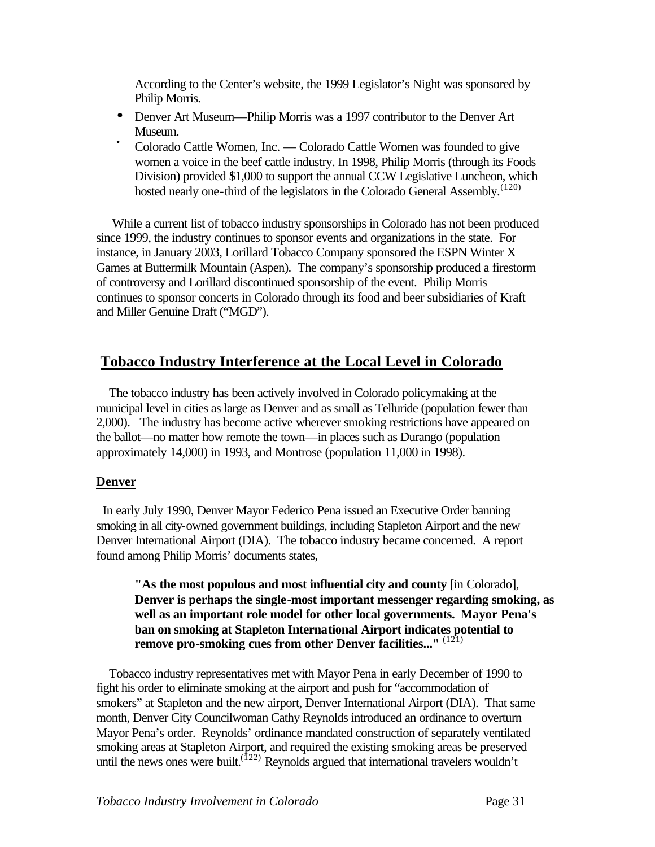According to the Center's website, the 1999 Legislator's Night was sponsored by Philip Morris.

- Denver Art Museum—Philip Morris was a 1997 contributor to the Denver Art Museum.
- Colorado Cattle Women, Inc. Colorado Cattle Women was founded to give women a voice in the beef cattle industry. In 1998, Philip Morris (through its Foods Division) provided \$1,000 to support the annual CCW Legislative Luncheon, which hosted nearly one-third of the legislators in the Colorado General Assembly.<sup>(120)</sup>

While a current list of tobacco industry sponsorships in Colorado has not been produced since 1999, the industry continues to sponsor events and organizations in the state. For instance, in January 2003, Lorillard Tobacco Company sponsored the ESPN Winter X Games at Buttermilk Mountain (Aspen). The company's sponsorship produced a firestorm of controversy and Lorillard discontinued sponsorship of the event. Philip Morris continues to sponsor concerts in Colorado through its food and beer subsidiaries of Kraft and Miller Genuine Draft ("MGD").

# **Tobacco Industry Interference at the Local Level in Colorado**

 The tobacco industry has been actively involved in Colorado policymaking at the municipal level in cities as large as Denver and as small as Telluride (population fewer than 2,000). The industry has become active wherever smoking restrictions have appeared on the ballot—no matter how remote the town—in places such as Durango (population approximately 14,000) in 1993, and Montrose (population 11,000 in 1998).

# **Denver**

 In early July 1990, Denver Mayor Federico Pena issued an Executive Order banning smoking in all city-owned government buildings, including Stapleton Airport and the new Denver International Airport (DIA). The tobacco industry became concerned. A report found among Philip Morris' documents states,

**"As the most populous and most influential city and county** [in Colorado], **Denver is perhaps the single-most important messenger regarding smoking, as well as an important role model for other local governments. Mayor Pena's ban on smoking at Stapleton International Airport indicates potential to remove pro-smoking cues from other Denver facilities..."** (121)

 Tobacco industry representatives met with Mayor Pena in early December of 1990 to fight his order to eliminate smoking at the airport and push for "accommodation of smokers" at Stapleton and the new airport, Denver International Airport (DIA). That same month, Denver City Councilwoman Cathy Reynolds introduced an ordinance to overturn Mayor Pena's order. Reynolds' ordinance mandated construction of separately ventilated smoking areas at Stapleton Airport, and required the existing smoking areas be preserved until the news ones were built.<sup> $(122)$ </sup> Reynolds argued that international travelers wouldn't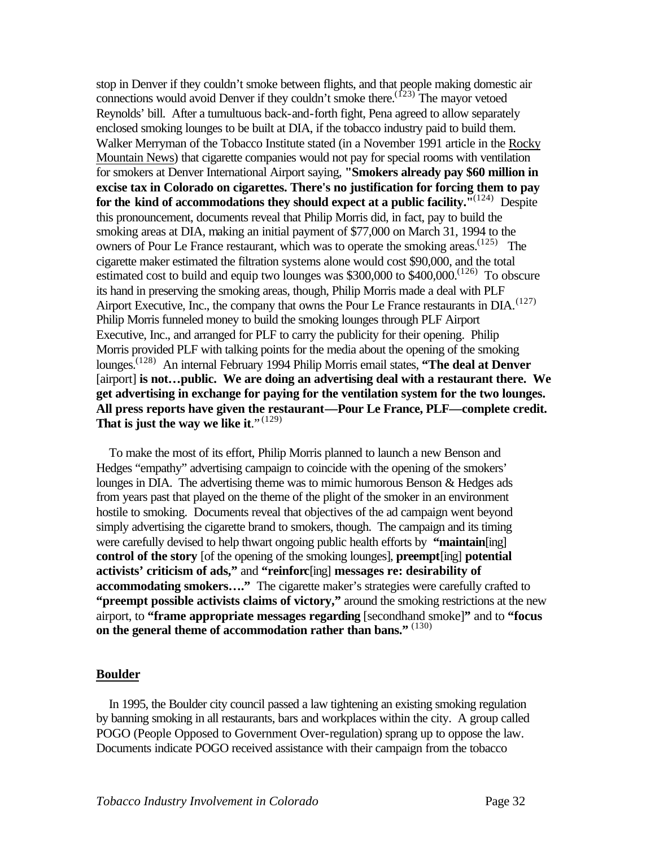stop in Denver if they couldn't smoke between flights, and that people making domestic air connections would avoid Denver if they couldn't smoke there.<sup>(123)</sup> The mayor vetoed Reynolds' bill. After a tumultuous back-and-forth fight, Pena agreed to allow separately enclosed smoking lounges to be built at DIA, if the tobacco industry paid to build them. Walker Merryman of the Tobacco Institute stated (in a November 1991 article in the Rocky Mountain News) that cigarette companies would not pay for special rooms with ventilation for smokers at Denver International Airport saying, **"Smokers already pay \$60 million in excise tax in Colorado on cigarettes. There's no justification for forcing them to pay**  for the kind of accommodations they should expect at a public facility.<sup>11(124)</sup> Despite this pronouncement, documents reveal that Philip Morris did, in fact, pay to build the smoking areas at DIA, making an initial payment of \$77,000 on March 31, 1994 to the owners of Pour Le France restaurant, which was to operate the smoking areas.<sup> $(125)$ </sup> The cigarette maker estimated the filtration systems alone would cost \$90,000, and the total estimated cost to build and equip two lounges was  $$300,000$  to  $$400,000$ .<sup> $(126)$ </sup> To obscure its hand in preserving the smoking areas, though, Philip Morris made a deal with PLF Airport Executive, Inc., the company that owns the Pour Le France restaurants in  $DIA.$ <sup>(127)</sup> Philip Morris funneled money to build the smoking lounges through PLF Airport Executive, Inc., and arranged for PLF to carry the publicity for their opening. Philip Morris provided PLF with talking points for the media about the opening of the smoking lounges.<sup>(128)</sup> An internal February 1994 Philip Morris email states, **"The deal at Denver**" [airport] **is not…public. We are doing an advertising deal with a restaurant there. We get advertising in exchange for paying for the ventilation system for the two lounges. All press reports have given the restaurant—Pour Le France, PLF—complete credit.**  That is just the way we like it."<sup>(129)</sup>

 To make the most of its effort, Philip Morris planned to launch a new Benson and Hedges "empathy" advertising campaign to coincide with the opening of the smokers' lounges in DIA. The advertising theme was to mimic humorous Benson & Hedges ads from years past that played on the theme of the plight of the smoker in an environment hostile to smoking. Documents reveal that objectives of the ad campaign went beyond simply advertising the cigarette brand to smokers, though. The campaign and its timing were carefully devised to help thwart ongoing public health efforts by **"maintain**[ing] **control of the story** [of the opening of the smoking lounges], **preempt**[ing] **potential activists' criticism of ads,"** and **"reinforc**[ing] **messages re: desirability of accommodating smokers…."** The cigarette maker's strategies were carefully crafted to **"preempt possible activists claims of victory,"** around the smoking restrictions at the new airport, to **"frame appropriate messages regarding** [secondhand smoke]**"** and to **"focus on the general theme of accommodation rather than bans."** (130)

#### **Boulder**

 In 1995, the Boulder city council passed a law tightening an existing smoking regulation by banning smoking in all restaurants, bars and workplaces within the city. A group called POGO (People Opposed to Government Over-regulation) sprang up to oppose the law. Documents indicate POGO received assistance with their campaign from the tobacco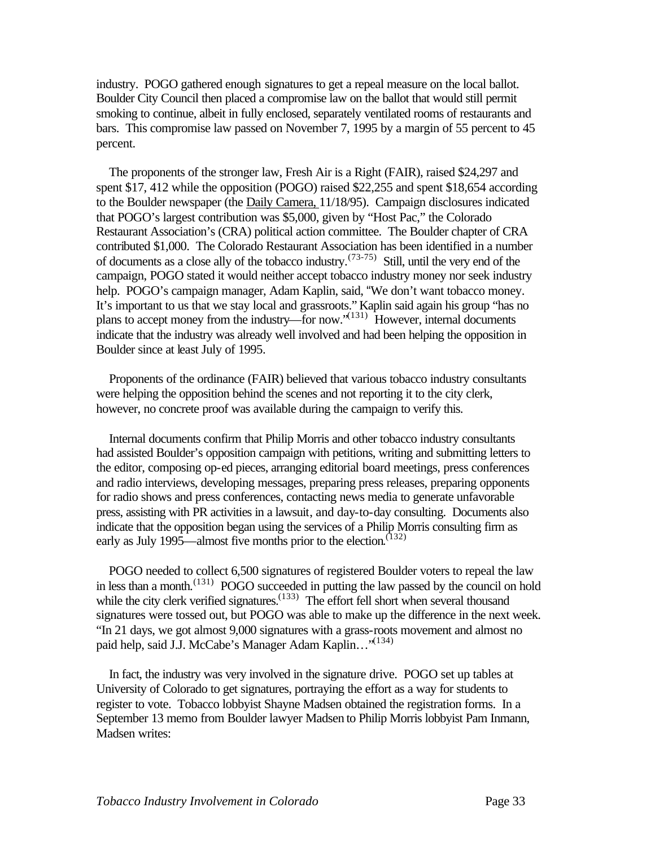industry. POGO gathered enough signatures to get a repeal measure on the local ballot. Boulder City Council then placed a compromise law on the ballot that would still permit smoking to continue, albeit in fully enclosed, separately ventilated rooms of restaurants and bars. This compromise law passed on November 7, 1995 by a margin of 55 percent to 45 percent.

 The proponents of the stronger law, Fresh Air is a Right (FAIR), raised \$24,297 and spent \$17, 412 while the opposition (POGO) raised \$22,255 and spent \$18,654 according to the Boulder newspaper (the Daily Camera, 11/18/95). Campaign disclosures indicated that POGO's largest contribution was \$5,000, given by "Host Pac," the Colorado Restaurant Association's (CRA) political action committee. The Boulder chapter of CRA contributed \$1,000. The Colorado Restaurant Association has been identified in a number of documents as a close ally of the tobacco industry.<sup> $(73-75)$ </sup> Still, until the very end of the campaign, POGO stated it would neither accept tobacco industry money nor seek industry help. POGO's campaign manager, Adam Kaplin, said, "We don't want tobacco money. It's important to us that we stay local and grassroots." Kaplin said again his group "has no plans to accept money from the industry—for now."(131) However, internal documents indicate that the industry was already well involved and had been helping the opposition in Boulder since at least July of 1995.

 Proponents of the ordinance (FAIR) believed that various tobacco industry consultants were helping the opposition behind the scenes and not reporting it to the city clerk, however, no concrete proof was available during the campaign to verify this.

 Internal documents confirm that Philip Morris and other tobacco industry consultants had assisted Boulder's opposition campaign with petitions, writing and submitting letters to the editor, composing op-ed pieces, arranging editorial board meetings, press conferences and radio interviews, developing messages, preparing press releases, preparing opponents for radio shows and press conferences, contacting news media to generate unfavorable press, assisting with PR activities in a lawsuit, and day-to-day consulting. Documents also indicate that the opposition began using the services of a Philip Morris consulting firm as early as July 1995—almost five months prior to the election. (132)

 POGO needed to collect 6,500 signatures of registered Boulder voters to repeal the law in less than a month.<sup>(131)</sup> POGO succeeded in putting the law passed by the council on hold while the city clerk verified signatures.<sup> $(133)$ </sup> The effort fell short when several thousand signatures were tossed out, but POGO was able to make up the difference in the next week. "In 21 days, we got almost 9,000 signatures with a grass-roots movement and almost no paid help, said J.J. McCabe's Manager Adam Kaplin..."<sup>(134)</sup>

 In fact, the industry was very involved in the signature drive. POGO set up tables at University of Colorado to get signatures, portraying the effort as a way for students to register to vote. Tobacco lobbyist Shayne Madsen obtained the registration forms. In a September 13 memo from Boulder lawyer Madsen to Philip Morris lobbyist Pam Inmann, Madsen writes: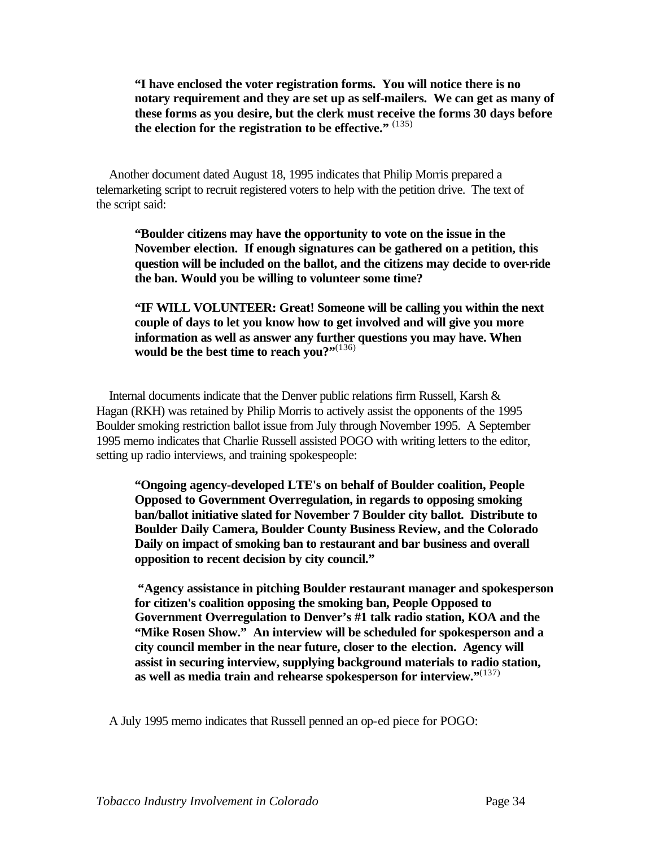**"I have enclosed the voter registration forms. You will notice there is no notary requirement and they are set up as self-mailers. We can get as many of these forms as you desire, but the clerk must receive the forms 30 days before the election for the registration to be effective."** (135)

 Another document dated August 18, 1995 indicates that Philip Morris prepared a telemarketing script to recruit registered voters to help with the petition drive. The text of the script said:

**"Boulder citizens may have the opportunity to vote on the issue in the November election. If enough signatures can be gathered on a petition, this question will be included on the ballot, and the citizens may decide to over-ride the ban. Would you be willing to volunteer some time?**

**"IF WILL VOLUNTEER: Great! Someone will be calling you within the next couple of days to let you know how to get involved and will give you more information as well as answer any further questions you may have. When**  would be the best time to reach you?"<sup>(136)</sup>

 Internal documents indicate that the Denver public relations firm Russell, Karsh & Hagan (RKH) was retained by Philip Morris to actively assist the opponents of the 1995 Boulder smoking restriction ballot issue from July through November 1995. A September 1995 memo indicates that Charlie Russell assisted POGO with writing letters to the editor, setting up radio interviews, and training spokespeople:

**"Ongoing agency-developed LTE's on behalf of Boulder coalition, People Opposed to Government Overregulation, in regards to opposing smoking ban/ballot initiative slated for November 7 Boulder city ballot. Distribute to Boulder Daily Camera, Boulder County Business Review, and the Colorado Daily on impact of smoking ban to restaurant and bar business and overall opposition to recent decision by city council."**

 **"Agency assistance in pitching Boulder restaurant manager and spokesperson for citizen's coalition opposing the smoking ban, People Opposed to Government Overregulation to Denver's #1 talk radio station, KOA and the "Mike Rosen Show." An interview will be scheduled for spokesperson and a city council member in the near future, closer to the election. Agency will assist in securing interview, supplying background materials to radio station, as well as media train and rehearse spokesperson for interview."**(137)

A July 1995 memo indicates that Russell penned an op-ed piece for POGO: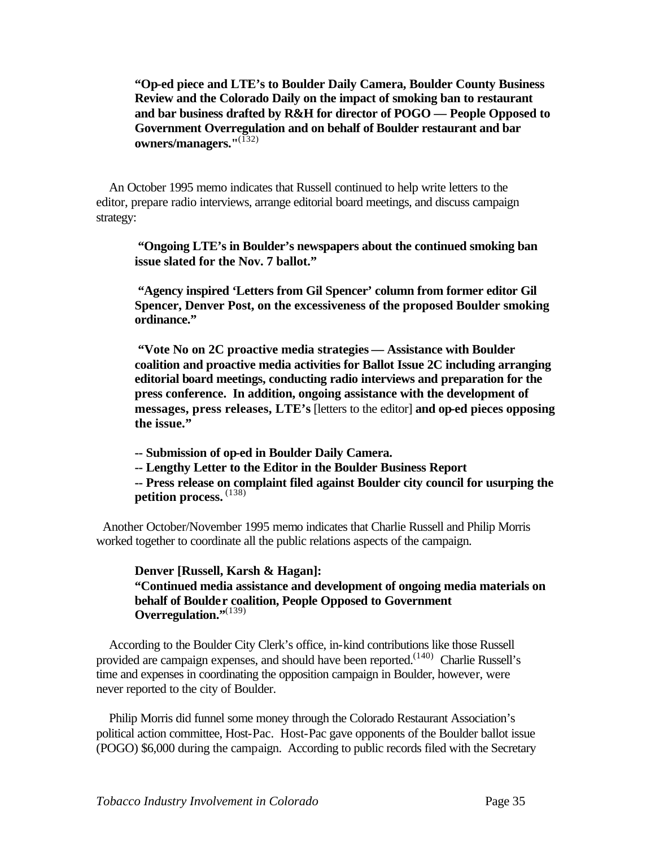**"Op-ed piece and LTE's to Boulder Daily Camera, Boulder County Business Review and the Colorado Daily on the impact of smoking ban to restaurant and bar business drafted by R&H for director of POGO — People Opposed to Government Overregulation and on behalf of Boulder restaurant and bar owners/managers."**(132)

 An October 1995 memo indicates that Russell continued to help write letters to the editor, prepare radio interviews, arrange editorial board meetings, and discuss campaign strategy:

**"Ongoing LTE's in Boulder's newspapers about the continued smoking ban issue slated for the Nov. 7 ballot."**

 **"Agency inspired 'Letters from Gil Spencer' column from former editor Gil Spencer, Denver Post, on the excessiveness of the proposed Boulder smoking ordinance."**

 **"Vote No on 2C proactive media strategies — Assistance with Boulder coalition and proactive media activities for Ballot Issue 2C including arranging editorial board meetings, conducting radio interviews and preparation for the press conference. In addition, ongoing assistance with the development of messages, press releases, LTE's** [letters to the editor] **and op-ed pieces opposing the issue."**

**-- Submission of op-ed in Boulder Daily Camera.**

**-- Lengthy Letter to the Editor in the Boulder Business Report**

**-- Press release on complaint filed against Boulder city council for usurping the petition process.** (138)

 Another October/November 1995 memo indicates that Charlie Russell and Philip Morris worked together to coordinate all the public relations aspects of the campaign.

**Denver [Russell, Karsh & Hagan]: "Continued media assistance and development of ongoing media materials on behalf of Boulder coalition, People Opposed to Government Overregulation."**(139)

 According to the Boulder City Clerk's office, in-kind contributions like those Russell provided are campaign expenses, and should have been reported.<sup> $(140)$ </sup> Charlie Russell's time and expenses in coordinating the opposition campaign in Boulder, however, were never reported to the city of Boulder.

 Philip Morris did funnel some money through the Colorado Restaurant Association's political action committee, Host-Pac. Host-Pac gave opponents of the Boulder ballot issue (POGO) \$6,000 during the campaign. According to public records filed with the Secretary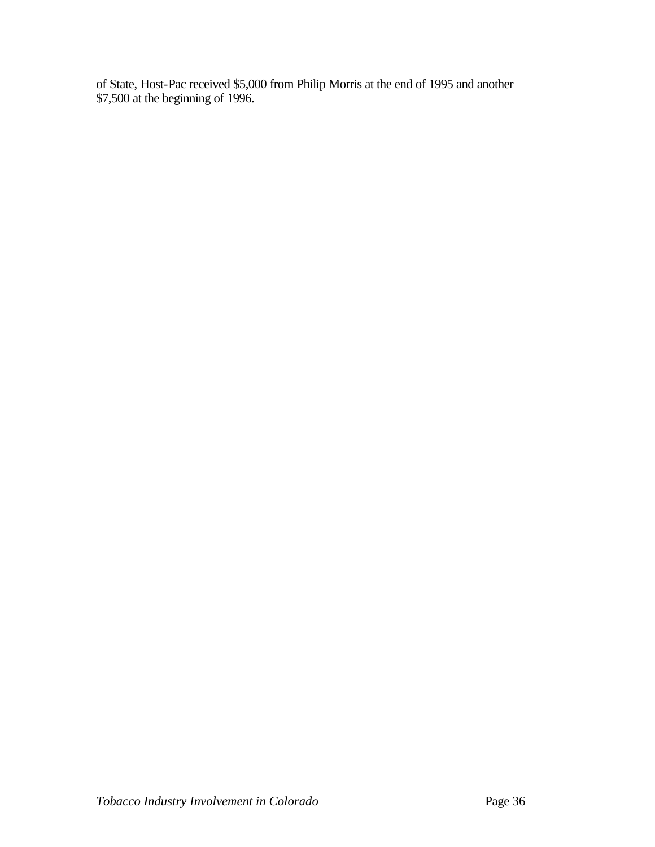of State, Host-Pac received \$5,000 from Philip Morris at the end of 1995 and another \$7,500 at the beginning of 1996.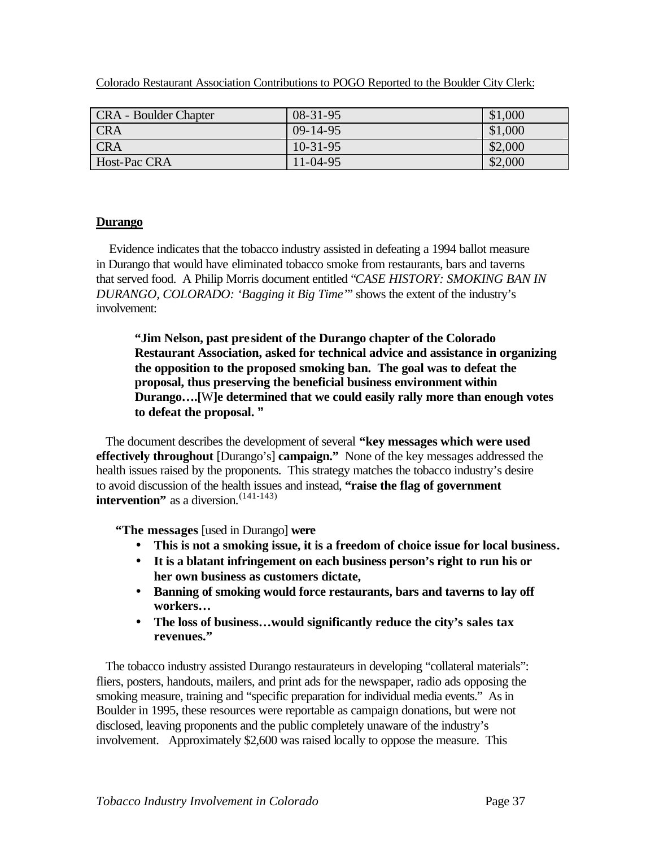| <b>CRA</b> - Boulder Chapter | $08 - 31 - 95$ | \$1,000 |
|------------------------------|----------------|---------|
| <b>CRA</b>                   | $09-14-95$     | \$1,000 |
| <b>CRA</b>                   | $10-31-95$     | \$2,000 |
| Host-Pac CRA                 | $11-04-95$     | \$2,000 |

Colorado Restaurant Association Contributions to POGO Reported to the Boulder City Clerk:

### **Durango**

 Evidence indicates that the tobacco industry assisted in defeating a 1994 ballot measure in Durango that would have eliminated tobacco smoke from restaurants, bars and taverns that served food. A Philip Morris document entitled "*CASE HISTORY: SMOKING BAN IN DURANGO, COLORADO: 'Bagging it Big Time'*" shows the extent of the industry's involvement:

**"Jim Nelson, past president of the Durango chapter of the Colorado Restaurant Association, asked for technical advice and assistance in organizing the opposition to the proposed smoking ban. The goal was to defeat the proposal, thus preserving the beneficial business environment within Durango….[**W**]e determined that we could easily rally more than enough votes to defeat the proposal. "** 

 The document describes the development of several **"key messages which were used effectively throughout** [Durango's] **campaign."** None of the key messages addressed the health issues raised by the proponents. This strategy matches the tobacco industry's desire to avoid discussion of the health issues and instead, **"raise the flag of government intervention**" as a diversion.<sup>(141-143)</sup>

**"The messages** [used in Durango] **were**

- **This is not a smoking issue, it is a freedom of choice issue for local business.**
- **It is a blatant infringement on each business person's right to run his or her own business as customers dictate,**
- **Banning of smoking would force restaurants, bars and taverns to lay off workers…**
- **The loss of business…would significantly reduce the city's sales tax revenues."**

 The tobacco industry assisted Durango restaurateurs in developing "collateral materials": fliers, posters, handouts, mailers, and print ads for the newspaper, radio ads opposing the smoking measure, training and "specific preparation for individual media events." As in Boulder in 1995, these resources were reportable as campaign donations, but were not disclosed, leaving proponents and the public completely unaware of the industry's involvement. Approximately \$2,600 was raised locally to oppose the measure. This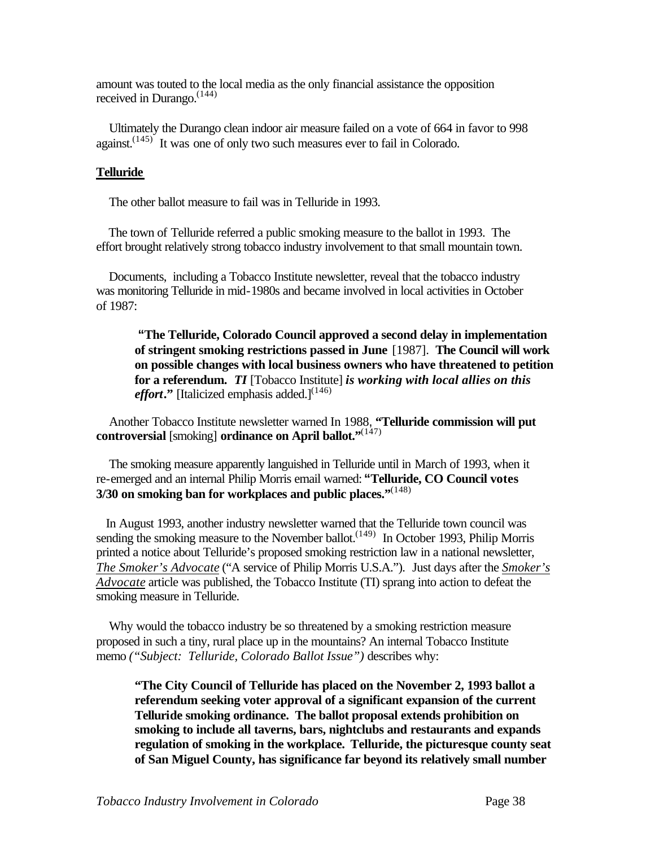amount was touted to the local media as the only financial assistance the opposition received in Durango.<sup>(144)</sup>

 Ultimately the Durango clean indoor air measure failed on a vote of 664 in favor to 998 against. $(145)$  It was one of only two such measures ever to fail in Colorado.

#### **Telluride**

The other ballot measure to fail was in Telluride in 1993.

 The town of Telluride referred a public smoking measure to the ballot in 1993. The effort brought relatively strong tobacco industry involvement to that small mountain town.

 Documents, including a Tobacco Institute newsletter, reveal that the tobacco industry was monitoring Telluride in mid-1980s and became involved in local activities in October of 1987:

**"The Telluride, Colorado Council approved a second delay in implementation of stringent smoking restrictions passed in June** [1987]. **The Council will work on possible changes with local business owners who have threatened to petition for a referendum.** *TI* [Tobacco Institute] *is working with local allies on this effort*." [Italicized emphasis added.]<sup>(146)</sup>

 Another Tobacco Institute newsletter warned In 1988, **"Telluride commission will put controversial** [smoking] **ordinance on April ballot.**"<sup>(147)</sup>

 The smoking measure apparently languished in Telluride until in March of 1993, when it re-emerged and an internal Philip Morris email warned: **"Telluride, CO Council votes 3/30 on smoking ban for workplaces and public places."**(148)

 In August 1993, another industry newsletter warned that the Telluride town council was sending the smoking measure to the November ballot.<sup> $(149)$ </sup> In October 1993, Philip Morris printed a notice about Telluride's proposed smoking restriction law in a national newsletter, *The Smoker's Advocate* ("A service of Philip Morris U.S.A."). Just days after the *Smoker's Advocate* article was published, the Tobacco Institute (TI) sprang into action to defeat the smoking measure in Telluride.

 Why would the tobacco industry be so threatened by a smoking restriction measure proposed in such a tiny, rural place up in the mountains? An internal Tobacco Institute memo *("Subject: Telluride, Colorado Ballot Issue")* describes why:

**"The City Council of Telluride has placed on the November 2, 1993 ballot a referendum seeking voter approval of a significant expansion of the current Telluride smoking ordinance. The ballot proposal extends prohibition on smoking to include all taverns, bars, nightclubs and restaurants and expands regulation of smoking in the workplace. Telluride, the picturesque county seat of San Miguel County, has significance far beyond its relatively small number**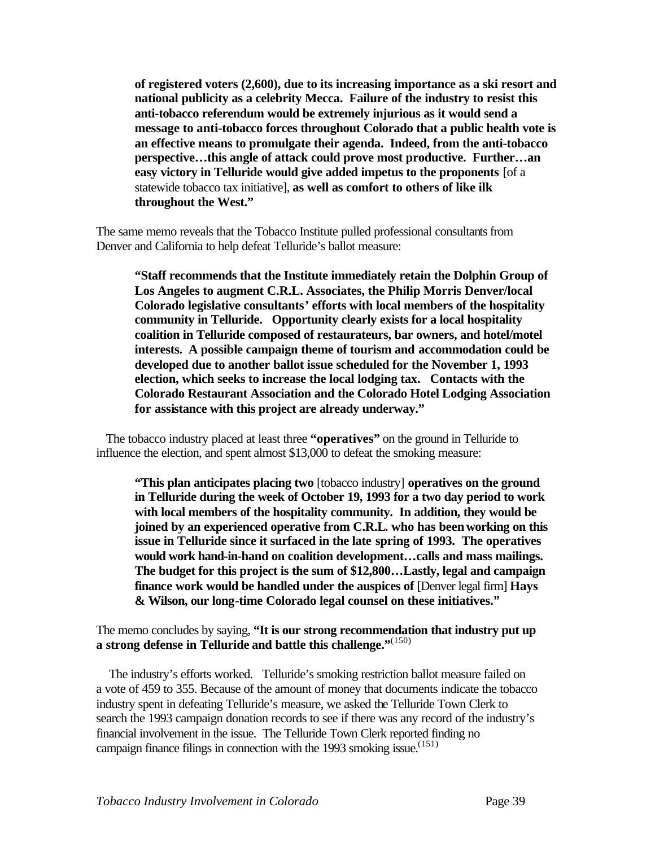**of registered voters (2,600), due to its increasing importance as a ski resort and national publicity as a celebrity Mecca. Failure of the industry to resist this anti-tobacco referendum would be extremely injurious as it would send a message to anti-tobacco forces throughout Colorado that a public health vote is an effective means to promulgate their agenda. Indeed, from the anti-tobacco perspective…this angle of attack could prove most productive. Further…an easy victory in Telluride would give added impetus to the proponents** [of a statewide tobacco tax initiative], **as well as comfort to others of like ilk throughout the West."** 

The same memo reveals that the Tobacco Institute pulled professional consultants from Denver and California to help defeat Telluride's ballot measure:

**"Staff recommends that the Institute immediately retain the Dolphin Group of Los Angeles to augment C.R.L. Associates, the Philip Morris Denver/local Colorado legislative consultants' efforts with local members of the hospitality community in Telluride. Opportunity clearly exists for a local hospitality coalition in Telluride composed of restaurateurs, bar owners, and hotel/motel interests. A possible campaign theme of tourism and accommodation could be developed due to another ballot issue scheduled for the November 1, 1993 election, which seeks to increase the local lodging tax. Contacts with the Colorado Restaurant Association and the Colorado Hotel Lodging Association for assistance with this project are already underway."**

 The tobacco industry placed at least three **"operatives"** on the ground in Telluride to influence the election, and spent almost \$13,000 to defeat the smoking measure:

**"This plan anticipates placing two** [tobacco industry] **operatives on the ground in Telluride during the week of October 19, 1993 for a two day period to work with local members of the hospitality community. In addition, they would be joined by an experienced operative from C.R.L. who has been working on this issue in Telluride since it surfaced in the late spring of 1993. The operatives would work hand-in-hand on coalition development…calls and mass mailings. The budget for this project is the sum of \$12,800…Lastly, legal and campaign finance work would be handled under the auspices of** [Denver legal firm] **Hays & Wilson, our long-time Colorado legal counsel on these initiatives."**

The memo concludes by saying, **"It is our strong recommendation that industry put up a strong defense in Telluride and battle this challenge."**(150)

 The industry's efforts worked. Telluride's smoking restriction ballot measure failed on a vote of 459 to 355. Because of the amount of money that documents indicate the tobacco industry spent in defeating Telluride's measure, we asked the Telluride Town Clerk to search the 1993 campaign donation records to see if there was any record of the industry's financial involvement in the issue. The Telluride Town Clerk reported finding no campaign finance filings in connection with the 1993 smoking issue.<sup> $(151)$ </sup>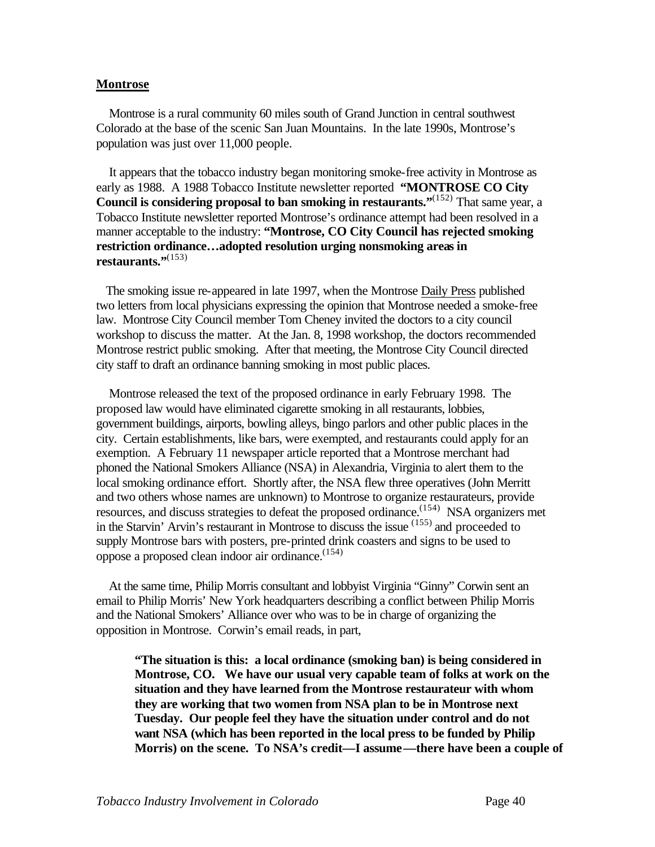#### **Montrose**

 Montrose is a rural community 60 miles south of Grand Junction in central southwest Colorado at the base of the scenic San Juan Mountains. In the late 1990s, Montrose's population was just over 11,000 people.

 It appears that the tobacco industry began monitoring smoke-free activity in Montrose as early as 1988. A 1988 Tobacco Institute newsletter reported **"MONTROSE CO City Council is considering proposal to ban smoking in restaurants."**<sup>(152)</sup> That same year, a Tobacco Institute newsletter reported Montrose's ordinance attempt had been resolved in a manner acceptable to the industry: **"Montrose, CO City Council has rejected smoking restriction ordinance…adopted resolution urging nonsmoking areas in restaurants."**(153)

 The smoking issue re-appeared in late 1997, when the Montrose Daily Press published two letters from local physicians expressing the opinion that Montrose needed a smoke-free law. Montrose City Council member Tom Cheney invited the doctors to a city council workshop to discuss the matter. At the Jan. 8, 1998 workshop, the doctors recommended Montrose restrict public smoking. After that meeting, the Montrose City Council directed city staff to draft an ordinance banning smoking in most public places.

 Montrose released the text of the proposed ordinance in early February 1998. The proposed law would have eliminated cigarette smoking in all restaurants, lobbies, government buildings, airports, bowling alleys, bingo parlors and other public places in the city. Certain establishments, like bars, were exempted, and restaurants could apply for an exemption. A February 11 newspaper article reported that a Montrose merchant had phoned the National Smokers Alliance (NSA) in Alexandria, Virginia to alert them to the local smoking ordinance effort. Shortly after, the NSA flew three operatives (John Merritt and two others whose names are unknown) to Montrose to organize restaurateurs, provide resources, and discuss strategies to defeat the proposed ordinance.<sup>(154)</sup> NSA organizers met in the Starvin' Arvin's restaurant in Montrose to discuss the issue (155) and proceeded to supply Montrose bars with posters, pre-printed drink coasters and signs to be used to oppose a proposed clean indoor air ordinance.<sup>(154)</sup>

 At the same time, Philip Morris consultant and lobbyist Virginia "Ginny" Corwin sent an email to Philip Morris' New York headquarters describing a conflict between Philip Morris and the National Smokers' Alliance over who was to be in charge of organizing the opposition in Montrose. Corwin's email reads, in part,

**"The situation is this: a local ordinance (smoking ban) is being considered in Montrose, CO. We have our usual very capable team of folks at work on the situation and they have learned from the Montrose restaurateur with whom they are working that two women from NSA plan to be in Montrose next Tuesday. Our people feel they have the situation under control and do not want NSA (which has been reported in the local press to be funded by Philip Morris) on the scene. To NSA's credit—I assume—there have been a couple of**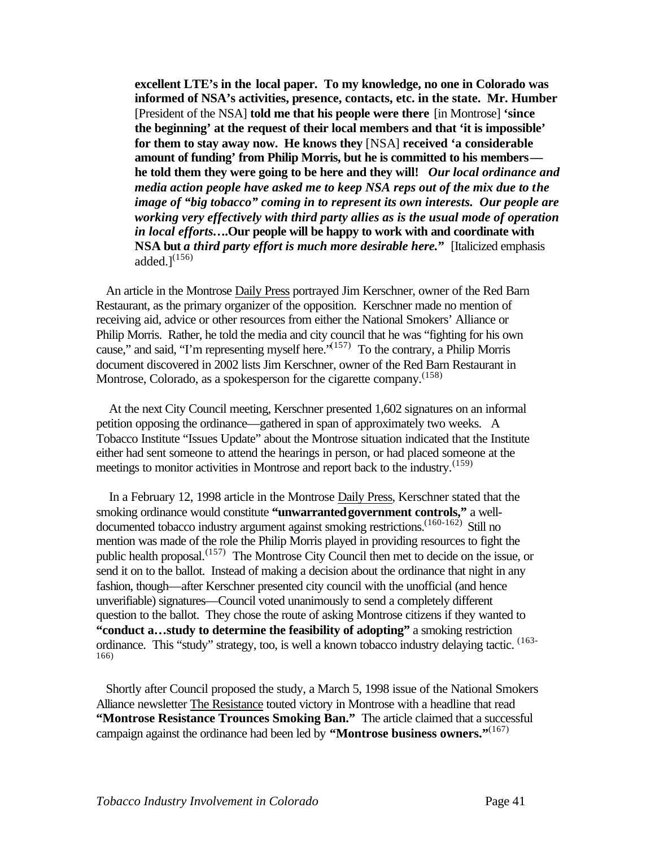**excellent LTE's in the local paper. To my knowledge, no one in Colorado was informed of NSA's activities, presence, contacts, etc. in the state. Mr. Humber** [President of the NSA] **told me that his people were there** [in Montrose] **'since the beginning' at the request of their local members and that 'it is impossible' for them to stay away now. He knows they** [NSA] **received 'a considerable amount of funding' from Philip Morris, but he is committed to his members he told them they were going to be here and they will!** *Our local ordinance and media action people have asked me to keep NSA reps out of the mix due to the image of "big tobacco" coming in to represent its own interests. Our people are working very effectively with third party allies as is the usual mode of operation in local efforts***….Our people will be happy to work with and coordinate with NSA but** *a third party effort is much more desirable here.***"** [Italicized emphasis added. $l^{(156)}$ 

 An article in the Montrose Daily Press portrayed Jim Kerschner, owner of the Red Barn Restaurant, as the primary organizer of the opposition. Kerschner made no mention of receiving aid, advice or other resources from either the National Smokers' Alliance or Philip Morris. Rather, he told the media and city council that he was "fighting for his own cause," and said, "I'm representing myself here."<sup> $(157)$ </sup> To the contrary, a Philip Morris document discovered in 2002 lists Jim Kerschner, owner of the Red Barn Restaurant in Montrose, Colorado, as a spokesperson for the cigarette company.<sup>(158)</sup>

 At the next City Council meeting, Kerschner presented 1,602 signatures on an informal petition opposing the ordinance—gathered in span of approximately two weeks. A Tobacco Institute "Issues Update" about the Montrose situation indicated that the Institute either had sent someone to attend the hearings in person, or had placed someone at the meetings to monitor activities in Montrose and report back to the industry.<sup>(159)</sup>

 In a February 12, 1998 article in the Montrose Daily Press, Kerschner stated that the smoking ordinance would constitute **"unwarranted government controls,"** a welldocumented tobacco industry argument against smoking restrictions.<sup>(160-162)</sup> Still no mention was made of the role the Philip Morris played in providing resources to fight the public health proposal.<sup> $(157)$ </sup> The Montrose City Council then met to decide on the issue, or send it on to the ballot. Instead of making a decision about the ordinance that night in any fashion, though—after Kerschner presented city council with the unofficial (and hence unverifiable) signatures—Council voted unanimously to send a completely different question to the ballot. They chose the route of asking Montrose citizens if they wanted to **"conduct a…study to determine the feasibility of adopting"** a smoking restriction ordinance. This "study" strategy, too, is well a known tobacco industry delaying tactic. <sup>(163-</sup> 166)

 Shortly after Council proposed the study, a March 5, 1998 issue of the National Smokers Alliance newsletter The Resistance touted victory in Montrose with a headline that read **"Montrose Resistance Trounces Smoking Ban."** The article claimed that a successful campaign against the ordinance had been led by **"Montrose business owners."**(167)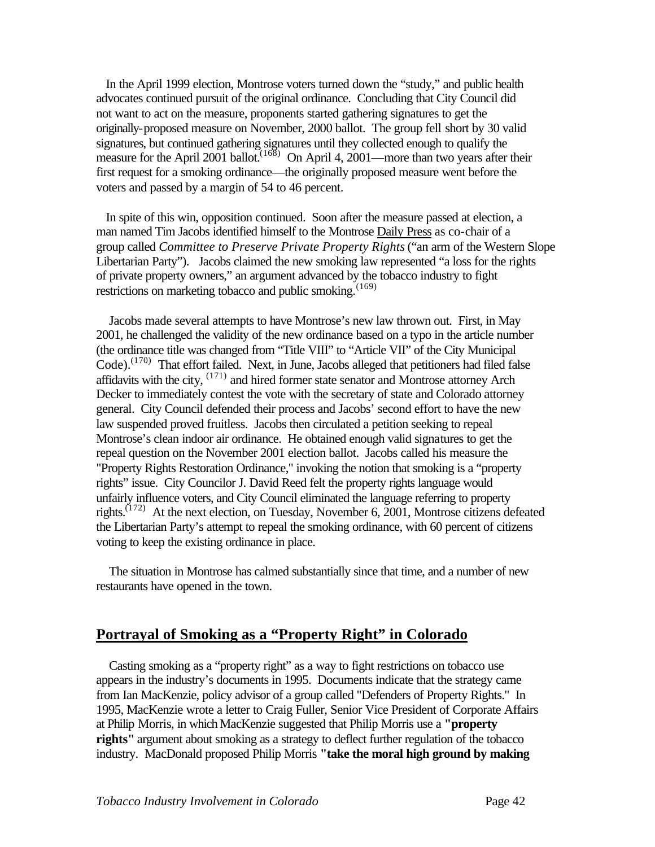In the April 1999 election, Montrose voters turned down the "study," and public health advocates continued pursuit of the original ordinance. Concluding that City Council did not want to act on the measure, proponents started gathering signatures to get the originally-proposed measure on November, 2000 ballot. The group fell short by 30 valid signatures, but continued gathering signatures until they collected enough to qualify the measure for the April 2001 ballot.<sup> $(168)$ </sup> On April 4, 2001—more than two years after their first request for a smoking ordinance—the originally proposed measure went before the voters and passed by a margin of 54 to 46 percent.

 In spite of this win, opposition continued. Soon after the measure passed at election, a man named Tim Jacobs identified himself to the Montrose Daily Press as co-chair of a group called *Committee to Preserve Private Property Rights* ("an arm of the Western Slope Libertarian Party"). Jacobs claimed the new smoking law represented "a loss for the rights of private property owners," an argument advanced by the tobacco industry to fight restrictions on marketing tobacco and public smoking.<sup>(169)</sup>

 Jacobs made several attempts to have Montrose's new law thrown out. First, in May 2001, he challenged the validity of the new ordinance based on a typo in the article number (the ordinance title was changed from "Title VIII" to "Article VII" of the City Municipal Code).<sup>(170)</sup> That effort failed. Next, in June, Jacobs alleged that petitioners had filed false affidavits with the city,  $(171)$  and hired former state senator and Montrose attorney Arch Decker to immediately contest the vote with the secretary of state and Colorado attorney general. City Council defended their process and Jacobs' second effort to have the new law suspended proved fruitless. Jacobs then circulated a petition seeking to repeal Montrose's clean indoor air ordinance. He obtained enough valid signatures to get the repeal question on the November 2001 election ballot. Jacobs called his measure the "Property Rights Restoration Ordinance," invoking the notion that smoking is a "property rights" issue. City Councilor J. David Reed felt the property rights language would unfairly influence voters, and City Council eliminated the language referring to property rights.<sup> $(172)$ </sup> At the next election, on Tuesday, November 6, 2001, Montrose citizens defeated the Libertarian Party's attempt to repeal the smoking ordinance, with 60 percent of citizens voting to keep the existing ordinance in place.

 The situation in Montrose has calmed substantially since that time, and a number of new restaurants have opened in the town.

# **Portrayal of Smoking as a "Property Right" in Colorado**

 Casting smoking as a "property right" as a way to fight restrictions on tobacco use appears in the industry's documents in 1995. Documents indicate that the strategy came from Ian MacKenzie, policy advisor of a group called "Defenders of Property Rights." In 1995, MacKenzie wrote a letter to Craig Fuller, Senior Vice President of Corporate Affairs at Philip Morris, in whichMacKenzie suggested that Philip Morris use a **"property rights''** argument about smoking as a strategy to deflect further regulation of the tobacco industry. MacDonald proposed Philip Morris **"take the moral high ground by making**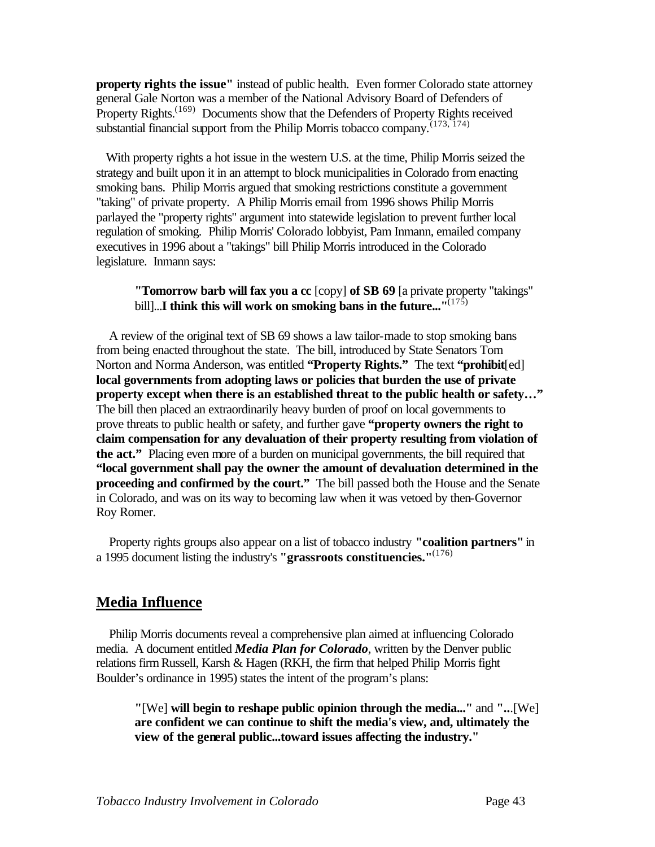**property rights the issue"** instead of public health. Even former Colorado state attorney general Gale Norton was a member of the National Advisory Board of Defenders of Property Rights.<sup>(169)</sup> Documents show that the Defenders of Property Rights received substantial financial support from the Philip Morris tobacco company.<sup> $(173, 174)$ </sup>

 With property rights a hot issue in the western U.S. at the time, Philip Morris seized the strategy and built upon it in an attempt to block municipalities in Colorado from enacting smoking bans. Philip Morris argued that smoking restrictions constitute a government "taking" of private property. A Philip Morris email from 1996 shows Philip Morris parlayed the "property rights" argument into statewide legislation to prevent further local regulation of smoking. Philip Morris' Colorado lobbyist, Pam Inmann, emailed company executives in 1996 about a "takings" bill Philip Morris introduced in the Colorado legislature. Inmann says:

#### **"Tomorrow barb will fax you a cc** [copy] **of SB 69** [a private property "takings" bill]...**I** think this will work on smoking bans in the future...''<sup>(175)</sup>

 A review of the original text of SB 69 shows a law tailor-made to stop smoking bans from being enacted throughout the state. The bill, introduced by State Senators Tom Norton and Norma Anderson, was entitled **"Property Rights."** The text **"prohibit**[ed] **local governments from adopting laws or policies that burden the use of private property except when there is an established threat to the public health or safety…"** The bill then placed an extraordinarily heavy burden of proof on local governments to prove threats to public health or safety, and further gave **"property owners the right to claim compensation for any devaluation of their property resulting from violation of the act."** Placing even more of a burden on municipal governments, the bill required that **"local government shall pay the owner the amount of devaluation determined in the proceeding and confirmed by the court."** The bill passed both the House and the Senate in Colorado, and was on its way to becoming law when it was vetoed by then-Governor Roy Romer.

 Property rights groups also appear on a list of tobacco industry **"coalition partners"** in a 1995 document listing the industry's **"grassroots constituencies."**(176)

# **Media Influence**

 Philip Morris documents reveal a comprehensive plan aimed at influencing Colorado media. A document entitled *Media Plan for Colorado*, written by the Denver public relations firmRussell, Karsh & Hagen (RKH, the firm that helped Philip Morris fight Boulder's ordinance in 1995) states the intent of the program's plans:

**"**[We] **will begin to reshape public opinion through the media..."** and **"..**.[We] **are confident we can continue to shift the media's view, and, ultimately the view of the general public...toward issues affecting the industry."**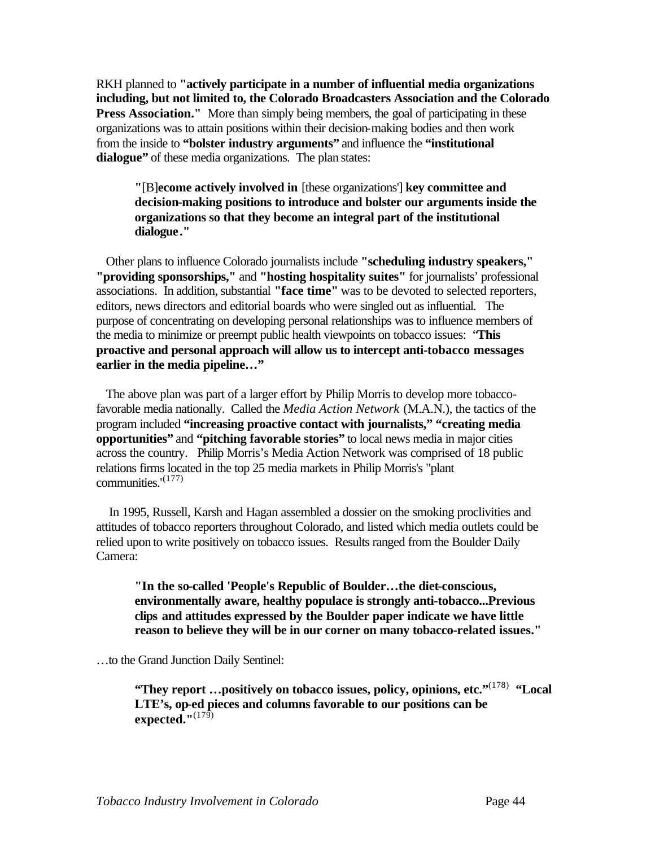RKH planned to **"actively participate in a number of influential media organizations including, but not limited to, the Colorado Broadcasters Association and the Colorado Press Association.**" More than simply being members, the goal of participating in these organizations was to attain positions within their decision-making bodies and then work from the inside to **"bolster industry arguments"** and influence the **"institutional**  dialogue" of these media organizations. The plan states:

**"**[B]**ecome actively involved in** [these organizations'] **key committee and decision-making positions to introduce and bolster our arguments inside the organizations so that they become an integral part of the institutional dialogue."** 

 Other plans to influence Colorado journalists include **"scheduling industry speakers," "providing sponsorships,"** and **"hosting hospitality suites"** for journalists' professional associations. In addition, substantial **"face time"** was to be devoted to selected reporters, editors, news directors and editorial boards who were singled out as influential. The purpose of concentrating on developing personal relationships was to influence members of the media to minimize or preempt public health viewpoints on tobacco issues: "**This proactive and personal approach will allow us to intercept anti-tobacco messages earlier in the media pipeline…"**

 The above plan was part of a larger effort by Philip Morris to develop more tobaccofavorable media nationally. Called the *Media Action Network* (M.A.N.), the tactics of the program included **"increasing proactive contact with journalists," "creating media opportunities"** and **"pitching favorable stories"** to local news media in major cities across the country. Philip Morris's Media Action Network was comprised of 18 public relations firms located in the top 25 media markets in Philip Morris's "plant communities."<sup>(177)</sup>

 In 1995, Russell, Karsh and Hagan assembled a dossier on the smoking proclivities and attitudes of tobacco reporters throughout Colorado, and listed which media outlets could be relied upon to write positively on tobacco issues. Results ranged from the Boulder Daily Camera:

**"In the so-called 'People's Republic of Boulder…the diet-conscious, environmentally aware, healthy populace is strongly anti-tobacco...Previous clips and attitudes expressed by the Boulder paper indicate we have little reason to believe they will be in our corner on many tobacco-related issues."** 

…to the Grand Junction Daily Sentinel:

**"They report …positively on tobacco issues, policy, opinions, etc."**(178) **"Local LTE's, op-ed pieces and columns favorable to our positions can be expected."**(179)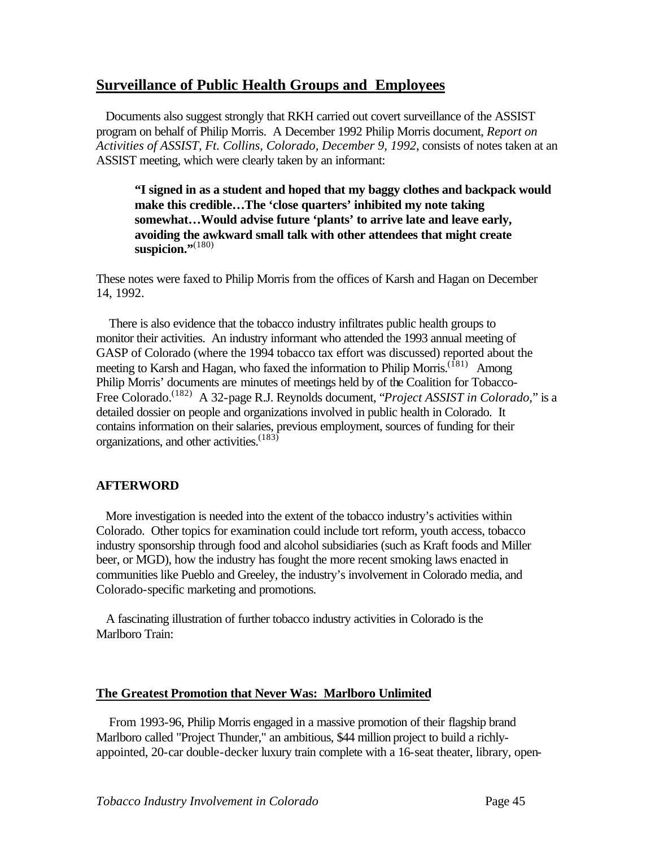# **Surveillance of Public Health Groups and Employees**

 Documents also suggest strongly that RKH carried out covert surveillance of the ASSIST program on behalf of Philip Morris. A December 1992 Philip Morris document, *Report on Activities of ASSIST, Ft. Collins, Colorado, December 9, 1992*, consists of notes taken at an ASSIST meeting, which were clearly taken by an informant:

**"I signed in as a student and hoped that my baggy clothes and backpack would make this credible…The 'close quarters' inhibited my note taking somewhat…Would advise future 'plants' to arrive late and leave early, avoiding the awkward small talk with other attendees that might create**  suspicion."<sup>(180)</sup>

These notes were faxed to Philip Morris from the offices of Karsh and Hagan on December 14, 1992.

 There is also evidence that the tobacco industry infiltrates public health groups to monitor their activities. An industry informant who attended the 1993 annual meeting of GASP of Colorado (where the 1994 tobacco tax effort was discussed) reported about the meeting to Karsh and Hagan, who faxed the information to Philip Morris.<sup>(181)</sup> Among Philip Morris' documents are minutes of meetings held by of the Coalition for Tobacco-Free Colorado.(182) A 32-page R.J. Reynolds document, "*Project ASSIST in Colorado,*" is a detailed dossier on people and organizations involved in public health in Colorado. It contains information on their salaries, previous employment, sources of funding for their organizations, and other activities.<sup>(183)</sup>

# **AFTERWORD**

 More investigation is needed into the extent of the tobacco industry's activities within Colorado. Other topics for examination could include tort reform, youth access, tobacco industry sponsorship through food and alcohol subsidiaries (such as Kraft foods and Miller beer, or MGD), how the industry has fought the more recent smoking laws enacted in communities like Pueblo and Greeley, the industry's involvement in Colorado media, and Colorado-specific marketing and promotions.

 A fascinating illustration of further tobacco industry activities in Colorado is the Marlboro Train:

#### **The Greatest Promotion that Never Was: Marlboro Unlimited**

 From 1993-96, Philip Morris engaged in a massive promotion of their flagship brand Marlboro called "Project Thunder," an ambitious, \$44 million project to build a richlyappointed, 20-car double-decker luxury train complete with a 16-seat theater, library, open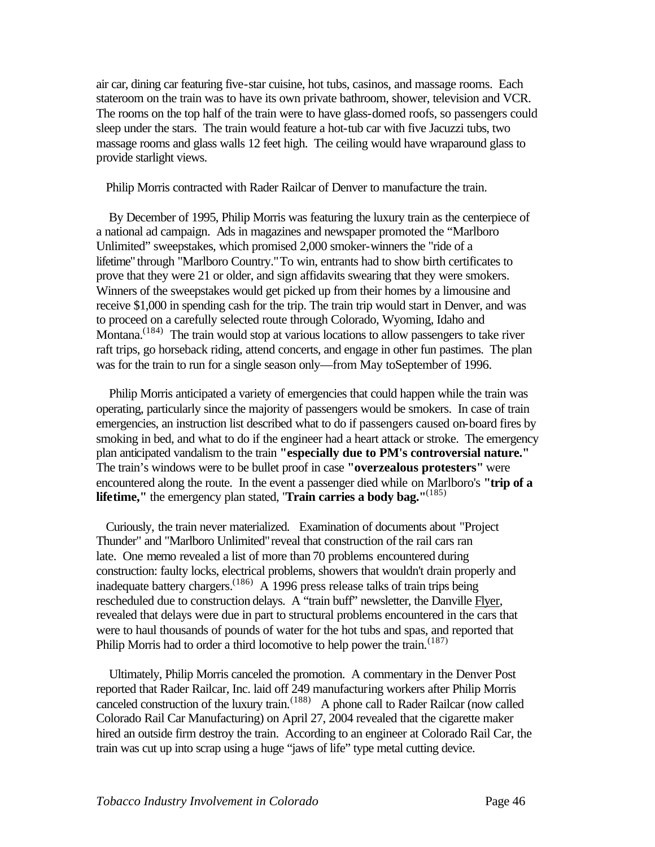air car, dining car featuring five-star cuisine, hot tubs, casinos, and massage rooms. Each stateroom on the train was to have its own private bathroom, shower, television and VCR. The rooms on the top half of the train were to have glass-domed roofs, so passengers could sleep under the stars. The train would feature a hot-tub car with five Jacuzzi tubs, two massage rooms and glass walls 12 feet high. The ceiling would have wraparound glass to provide starlight views.

Philip Morris contracted with Rader Railcar of Denver to manufacture the train.

 By December of 1995, Philip Morris was featuring the luxury train as the centerpiece of a national ad campaign. Ads in magazines and newspaper promoted the "Marlboro Unlimited" sweepstakes, which promised 2,000 smoker-winners the "ride of a lifetime" through "Marlboro Country."To win, entrants had to show birth certificates to prove that they were 21 or older, and sign affidavits swearing that they were smokers. Winners of the sweepstakes would get picked up from their homes by a limousine and receive \$1,000 in spending cash for the trip. The train trip would start in Denver, and was to proceed on a carefully selected route through Colorado, Wyoming, Idaho and Montana.<sup> $(184)$ </sup> The train would stop at various locations to allow passengers to take river raft trips, go horseback riding, attend concerts, and engage in other fun pastimes. The plan was for the train to run for a single season only—from May toSeptember of 1996.

 Philip Morris anticipated a variety of emergencies that could happen while the train was operating, particularly since the majority of passengers would be smokers. In case of train emergencies, an instruction list described what to do if passengers caused on-board fires by smoking in bed, and what to do if the engineer had a heart attack or stroke. The emergency plan anticipated vandalism to the train **"especially due to PM's controversial nature."** The train's windows were to be bullet proof in case **"overzealous protesters"** were encountered along the route. In the event a passenger died while on Marlboro's **"trip of a lifetime,"** the emergency plan stated, "**Train carries a body bag."**(185)

 Curiously, the train never materialized. Examination of documents about "Project Thunder" and "Marlboro Unlimited" reveal that construction of the rail cars ran late. One memo revealed a list of more than 70 problems encountered during construction: faulty locks, electrical problems, showers that wouldn't drain properly and inadequate battery chargers.<sup> $(186)$ </sup> A 1996 press release talks of train trips being rescheduled due to construction delays. A "train buff" newsletter, the Danville Flyer, revealed that delays were due in part to structural problems encountered in the cars that were to haul thousands of pounds of water for the hot tubs and spas, and reported that Philip Morris had to order a third locomotive to help power the train.<sup> $(187)$ </sup>

 Ultimately, Philip Morris canceled the promotion. A commentary in the Denver Post reported that Rader Railcar, Inc. laid off 249 manufacturing workers after Philip Morris canceled construction of the luxury train.<sup> $(188)$ </sup> A phone call to Rader Railcar (now called Colorado Rail Car Manufacturing) on April 27, 2004 revealed that the cigarette maker hired an outside firm destroy the train. According to an engineer at Colorado Rail Car, the train was cut up into scrap using a huge "jaws of life" type metal cutting device.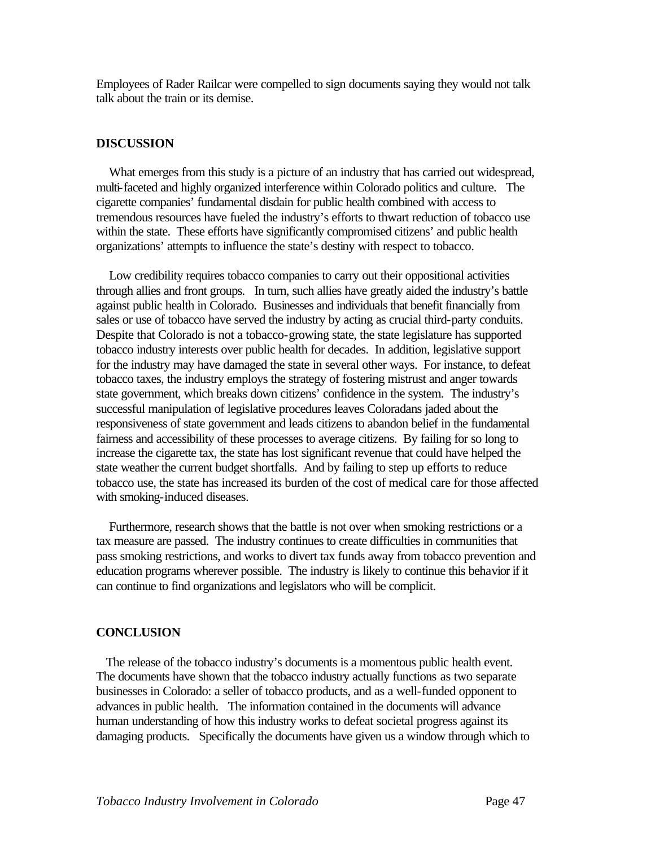Employees of Rader Railcar were compelled to sign documents saying they would not talk talk about the train or its demise.

#### **DISCUSSION**

 What emerges from this study is a picture of an industry that has carried out widespread, multi-faceted and highly organized interference within Colorado politics and culture. The cigarette companies' fundamental disdain for public health combined with access to tremendous resources have fueled the industry's efforts to thwart reduction of tobacco use within the state. These efforts have significantly compromised citizens' and public health organizations' attempts to influence the state's destiny with respect to tobacco.

 Low credibility requires tobacco companies to carry out their oppositional activities through allies and front groups. In turn, such allies have greatly aided the industry's battle against public health in Colorado. Businesses and individuals that benefit financially from sales or use of tobacco have served the industry by acting as crucial third-party conduits. Despite that Colorado is not a tobacco-growing state, the state legislature has supported tobacco industry interests over public health for decades. In addition, legislative support for the industry may have damaged the state in several other ways. For instance, to defeat tobacco taxes, the industry employs the strategy of fostering mistrust and anger towards state government, which breaks down citizens' confidence in the system. The industry's successful manipulation of legislative procedures leaves Coloradans jaded about the responsiveness of state government and leads citizens to abandon belief in the fundamental fairness and accessibility of these processes to average citizens. By failing for so long to increase the cigarette tax, the state has lost significant revenue that could have helped the state weather the current budget shortfalls. And by failing to step up efforts to reduce tobacco use, the state has increased its burden of the cost of medical care for those affected with smoking-induced diseases.

 Furthermore, research shows that the battle is not over when smoking restrictions or a tax measure are passed. The industry continues to create difficulties in communities that pass smoking restrictions, and works to divert tax funds away from tobacco prevention and education programs wherever possible. The industry is likely to continue this behavior if it can continue to find organizations and legislators who will be complicit.

#### **CONCLUSION**

 The release of the tobacco industry's documents is a momentous public health event. The documents have shown that the tobacco industry actually functions as two separate businesses in Colorado: a seller of tobacco products, and as a well-funded opponent to advances in public health. The information contained in the documents will advance human understanding of how this industry works to defeat societal progress against its damaging products. Specifically the documents have given us a window through which to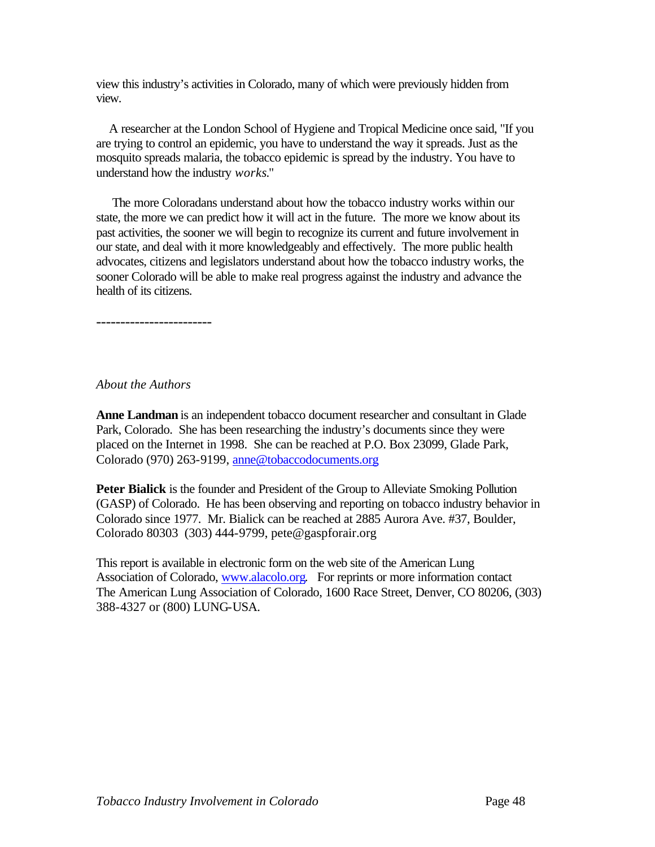view this industry's activities in Colorado, many of which were previously hidden from view.

 A researcher at the London School of Hygiene and Tropical Medicine once said, "If you are trying to control an epidemic, you have to understand the way it spreads. Just as the mosquito spreads malaria, the tobacco epidemic is spread by the industry. You have to understand how the industry *works*."

 The more Coloradans understand about how the tobacco industry works within our state, the more we can predict how it will act in the future. The more we know about its past activities, the sooner we will begin to recognize its current and future involvement in our state, and deal with it more knowledgeably and effectively. The more public health advocates, citizens and legislators understand about how the tobacco industry works, the sooner Colorado will be able to make real progress against the industry and advance the health of its citizens.

------------------------

#### *About the Authors*

**Anne Landman** is an independent tobacco document researcher and consultant in Glade Park, Colorado. She has been researching the industry's documents since they were placed on the Internet in 1998. She can be reached at P.O. Box 23099, Glade Park, Colorado (970) 263-9199, [anne@tobaccodocuments.org](mailto:anne@tobaccodocuments.org)

**Peter Bialick** is the founder and President of the Group to Alleviate Smoking Pollution (GASP) of Colorado. He has been observing and reporting on tobacco industry behavior in Colorado since 1977. Mr. Bialick can be reached at 2885 Aurora Ave. #37, Boulder, Colorado 80303 (303) 444-9799, [pete@gaspforair.org](mailto:pete@gaspforair.org)

This report is available in electronic form on the web site of the American Lung Association of Colorado, [www.alacolo.org.](www.alacolo.org) For reprints or more information contact The American Lung Association of Colorado, 1600 Race Street, Denver, CO 80206, (303) 388-4327 or (800) LUNG-USA.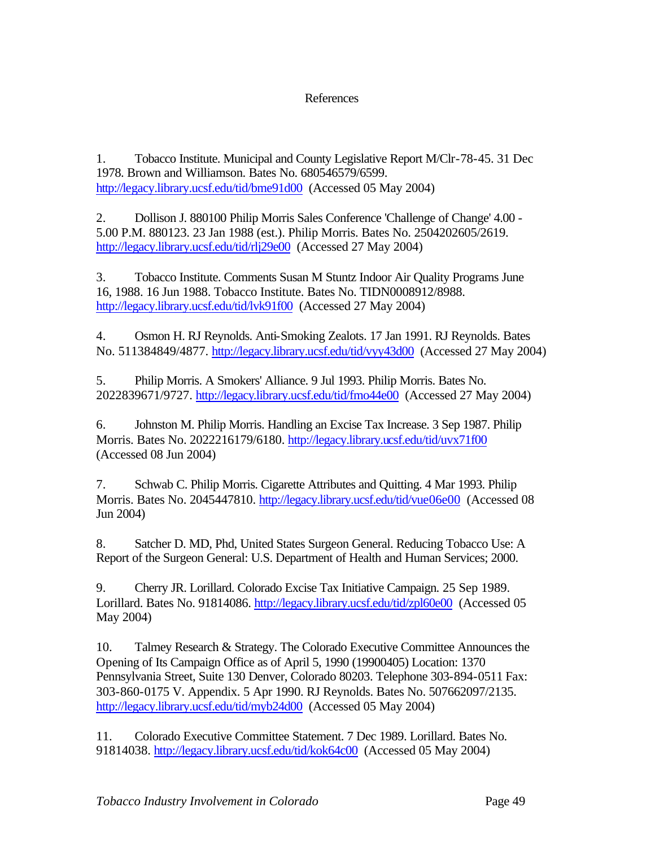# References

1. Tobacco Institute. Municipal and County Legislative Report M/Clr-78-45. 31 Dec 1978. Brown and Williamson. Bates No. 680546579/6599. <http://legacy.library.ucsf.edu/tid/bme91d00>(Accessed 05 May 2004)

2. Dollison J. 880100 Philip Morris Sales Conference 'Challenge of Change' 4.00 - 5.00 P.M. 880123. 23 Jan 1988 (est.). Philip Morris. Bates No. 2504202605/2619. <http://legacy.library.ucsf.edu/tid/rlj29e00>(Accessed 27 May 2004)

3. Tobacco Institute. Comments Susan M Stuntz Indoor Air Quality Programs June 16, 1988. 16 Jun 1988. Tobacco Institute. Bates No. TIDN0008912/8988. <http://legacy.library.ucsf.edu/tid/lvk91f00>(Accessed 27 May 2004)

4. Osmon H. RJ Reynolds. Anti-Smoking Zealots. 17 Jan 1991. RJ Reynolds. Bates No. 511384849/4877. <http://legacy.library.ucsf.edu/tid/vyy43d00>(Accessed 27 May 2004)

5. Philip Morris. A Smokers' Alliance. 9 Jul 1993. Philip Morris. Bates No. 2022839671/9727.<http://legacy.library.ucsf.edu/tid/fmo44e00>(Accessed 27 May 2004)

6. Johnston M. Philip Morris. Handling an Excise Tax Increase. 3 Sep 1987. Philip Morris. Bates No. 2022216179/6180.<http://legacy.library.ucsf.edu/tid/uvx71f00> (Accessed 08 Jun 2004)

7. Schwab C. Philip Morris. Cigarette Attributes and Quitting. 4 Mar 1993. Philip Morris. Bates No. 2045447810.<http://legacy.library.ucsf.edu/tid/vue06e00>(Accessed 08 Jun 2004)

8. Satcher D. MD, Phd, United States Surgeon General. Reducing Tobacco Use: A Report of the Surgeon General: U.S. Department of Health and Human Services; 2000.

9. Cherry JR. Lorillard. Colorado Excise Tax Initiative Campaign. 25 Sep 1989. Lorillard. Bates No. 91814086.<http://legacy.library.ucsf.edu/tid/zpl60e00>(Accessed 05 May 2004)

10. Talmey Research & Strategy. The Colorado Executive Committee Announces the Opening of Its Campaign Office as of April 5, 1990 (19900405) Location: 1370 Pennsylvania Street, Suite 130 Denver, Colorado 80203. Telephone 303-894-0511 Fax: 303-860-0175 V. Appendix. 5 Apr 1990. RJ Reynolds. Bates No. 507662097/2135. <http://legacy.library.ucsf.edu/tid/myb24d00>(Accessed 05 May 2004)

11. Colorado Executive Committee Statement. 7 Dec 1989. Lorillard. Bates No. 91814038. <http://legacy.library.ucsf.edu/tid/kok64c00>(Accessed 05 May 2004)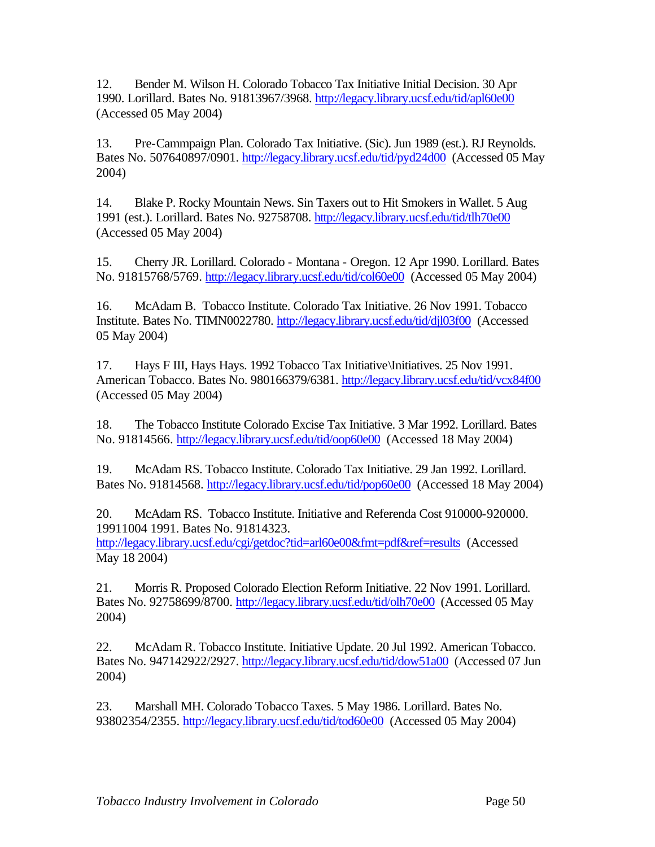12. Bender M. Wilson H. Colorado Tobacco Tax Initiative Initial Decision. 30 Apr 1990. Lorillard. Bates No. 91813967/3968.<http://legacy.library.ucsf.edu/tid/apl60e00> (Accessed 05 May 2004)

13. Pre-Cammpaign Plan. Colorado Tax Initiative. (Sic). Jun 1989 (est.). RJ Reynolds. Bates No. 507640897/0901.<http://legacy.library.ucsf.edu/tid/pyd24d00>(Accessed 05 May 2004)

14. Blake P. Rocky Mountain News. Sin Taxers out to Hit Smokers in Wallet. 5 Aug 1991 (est.). Lorillard. Bates No. 92758708.<http://legacy.library.ucsf.edu/tid/tlh70e00> (Accessed 05 May 2004)

15. Cherry JR. Lorillard. Colorado - Montana - Oregon. 12 Apr 1990. Lorillard. Bates No. 91815768/5769.<http://legacy.library.ucsf.edu/tid/col60e00> (Accessed 05 May 2004)

16. McAdam B. Tobacco Institute. Colorado Tax Initiative. 26 Nov 1991. Tobacco Institute. Bates No. TIMN0022780. <http://legacy.library.ucsf.edu/tid/djl03f00>(Accessed 05 May 2004)

17. Hays F III, Hays Hays. 1992 Tobacco Tax Initiative\Initiatives. 25 Nov 1991. American Tobacco. Bates No. 980166379/6381. http://legacy.library.ucsf.edu/tid/vcx84f00 (Accessed 05 May 2004)

18. The Tobacco Institute Colorado Excise Tax Initiative. 3 Mar 1992. Lorillard. Bates No. 91814566. <http://legacy.library.ucsf.edu/tid/oop60e00>(Accessed 18 May 2004)

19. McAdam RS. Tobacco Institute. Colorado Tax Initiative. 29 Jan 1992. Lorillard. Bates No. 91814568.<http://legacy.library.ucsf.edu/tid/pop60e00>(Accessed 18 May 2004)

20. McAdam RS. Tobacco Institute. Initiative and Referenda Cost 910000-920000. 19911004 1991. Bates No. 91814323. <http://legacy.library.ucsf.edu/cgi/getdoc?tid=arl60e00&fmt=pdf&ref=results>(Accessed May 18 2004)

21. Morris R. Proposed Colorado Election Reform Initiative. 22 Nov 1991. Lorillard. Bates No. 92758699/8700.<http://legacy.library.ucsf.edu/tid/olh70e00>(Accessed 05 May 2004)

22. McAdam R. Tobacco Institute. Initiative Update. 20 Jul 1992. American Tobacco. Bates No. 947142922/2927.<http://legacy.library.ucsf.edu/tid/dow51a00>(Accessed 07 Jun 2004)

23. Marshall MH. Colorado Tobacco Taxes. 5 May 1986. Lorillard. Bates No. 93802354/2355.<http://legacy.library.ucsf.edu/tid/tod60e00>(Accessed 05 May 2004)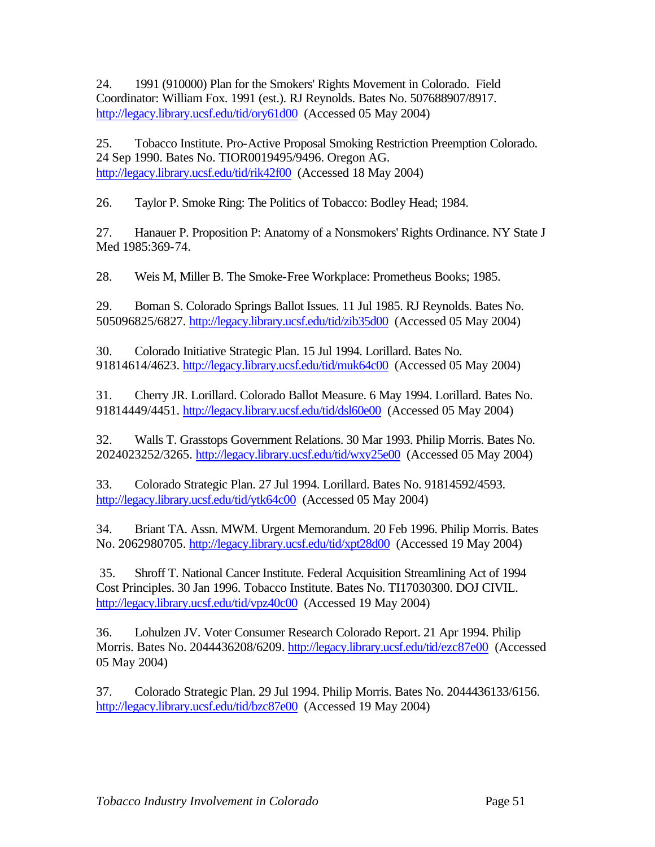24. 1991 (910000) Plan for the Smokers' Rights Movement in Colorado. Field Coordinator: William Fox. 1991 (est.). RJ Reynolds. Bates No. 507688907/8917. <http://legacy.library.ucsf.edu/tid/ory61d00>(Accessed 05 May 2004)

25. Tobacco Institute. Pro-Active Proposal Smoking Restriction Preemption Colorado. 24 Sep 1990. Bates No. TIOR0019495/9496. Oregon AG. <http://legacy.library.ucsf.edu/tid/rik42f00>(Accessed 18 May 2004)

26. Taylor P. Smoke Ring: The Politics of Tobacco: Bodley Head; 1984.

27. Hanauer P. Proposition P: Anatomy of a Nonsmokers' Rights Ordinance. NY State J Med 1985:369-74.

28. Weis M, Miller B. The Smoke-Free Workplace: Prometheus Books; 1985.

29. Boman S. Colorado Springs Ballot Issues. 11 Jul 1985. RJ Reynolds. Bates No. 505096825/6827.<http://legacy.library.ucsf.edu/tid/zib35d00>(Accessed 05 May 2004)

30. Colorado Initiative Strategic Plan. 15 Jul 1994. Lorillard. Bates No. 91814614/4623.<http://legacy.library.ucsf.edu/tid/muk64c00>(Accessed 05 May 2004)

31. Cherry JR. Lorillard. Colorado Ballot Measure. 6 May 1994. Lorillard. Bates No. 91814449/4451. <http://legacy.library.ucsf.edu/tid/dsl60e00>(Accessed 05 May 2004)

32. Walls T. Grasstops Government Relations. 30 Mar 1993. Philip Morris. Bates No. 2024023252/3265. <http://legacy.library.ucsf.edu/tid/wxy25e00>(Accessed 05 May 2004)

33. Colorado Strategic Plan. 27 Jul 1994. Lorillard. Bates No. 91814592/4593. <http://legacy.library.ucsf.edu/tid/ytk64c00>(Accessed 05 May 2004)

34. Briant TA. Assn. MWM. Urgent Memorandum. 20 Feb 1996. Philip Morris. Bates No. 2062980705. <http://legacy.library.ucsf.edu/tid/xpt28d00>(Accessed 19 May 2004)

 35. Shroff T. National Cancer Institute. Federal Acquisition Streamlining Act of 1994 Cost Principles. 30 Jan 1996. Tobacco Institute. Bates No. TI17030300. DOJ CIVIL. <http://legacy.library.ucsf.edu/tid/vpz40c00>(Accessed 19 May 2004)

36. Lohulzen JV. Voter Consumer Research Colorado Report. 21 Apr 1994. Philip Morris. Bates No. 2044436208/6209.<http://legacy.library.ucsf.edu/tid/ezc87e00>(Accessed 05 May 2004)

37. Colorado Strategic Plan. 29 Jul 1994. Philip Morris. Bates No. 2044436133/6156. <http://legacy.library.ucsf.edu/tid/bzc87e00>(Accessed 19 May 2004)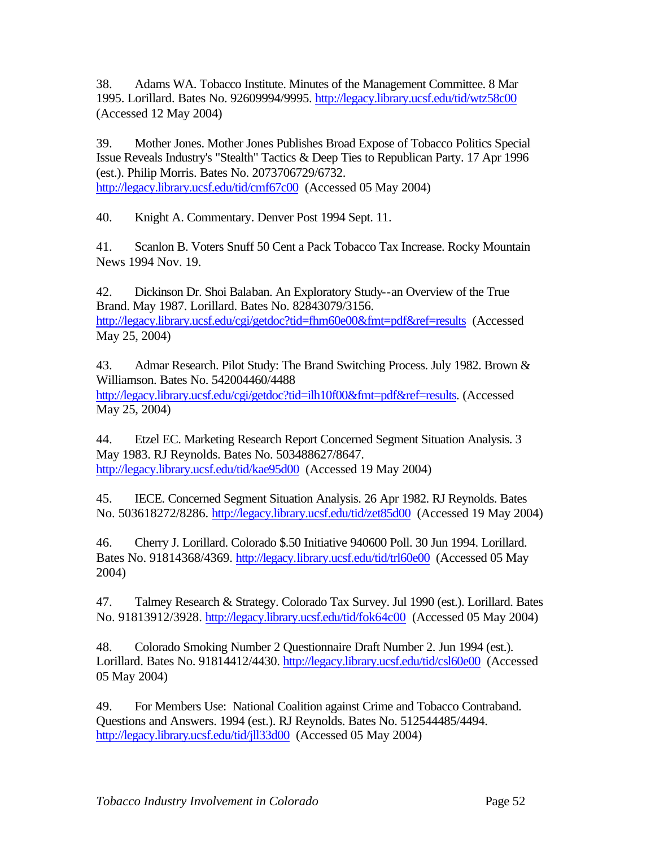38. Adams WA. Tobacco Institute. Minutes of the Management Committee. 8 Mar 1995. Lorillard. Bates No. 92609994/9995. <http://legacy.library.ucsf.edu/tid/wtz58c00> (Accessed 12 May 2004)

39. Mother Jones. Mother Jones Publishes Broad Expose of Tobacco Politics Special Issue Reveals Industry's "Stealth" Tactics & Deep Ties to Republican Party. 17 Apr 1996 (est.). Philip Morris. Bates No. 2073706729/6732. <http://legacy.library.ucsf.edu/tid/cmf67c00>(Accessed 05 May 2004)

40. Knight A. Commentary. Denver Post 1994 Sept. 11.

41. Scanlon B. Voters Snuff 50 Cent a Pack Tobacco Tax Increase. Rocky Mountain News 1994 Nov. 19.

42. Dickinson Dr. Shoi Balaban. An Exploratory Study--an Overview of the True Brand. May 1987. Lorillard. Bates No. 82843079/3156. <http://legacy.library.ucsf.edu/cgi/getdoc?tid=fhm60e00&fmt=pdf&ref=results>(Accessed May 25, 2004)

43. Admar Research. Pilot Study: The Brand Switching Process. July 1982. Brown & Williamson. Bates No. 542004460/4488

<http://legacy.library.ucsf.edu/cgi/getdoc?tid=ilh10f00&fmt=pdf&ref=results.>(Accessed May 25, 2004)

44. Etzel EC. Marketing Research Report Concerned Segment Situation Analysis. 3 May 1983. RJ Reynolds. Bates No. 503488627/8647. <http://legacy.library.ucsf.edu/tid/kae95d00>(Accessed 19 May 2004)

45. IECE. Concerned Segment Situation Analysis. 26 Apr 1982. RJ Reynolds. Bates No. 503618272/8286.<http://legacy.library.ucsf.edu/tid/zet85d00>(Accessed 19 May 2004)

46. Cherry J. Lorillard. Colorado \$.50 Initiative 940600 Poll. 30 Jun 1994. Lorillard. Bates No. 91814368/4369.<http://legacy.library.ucsf.edu/tid/trl60e00>(Accessed 05 May 2004)

47. Talmey Research & Strategy. Colorado Tax Survey. Jul 1990 (est.). Lorillard. Bates No. 91813912/3928.<http://legacy.library.ucsf.edu/tid/fok64c00>(Accessed 05 May 2004)

48. Colorado Smoking Number 2 Questionnaire Draft Number 2. Jun 1994 (est.). Lorillard. Bates No. 91814412/4430.<http://legacy.library.ucsf.edu/tid/csl60e00>(Accessed 05 May 2004)

49. For Members Use: National Coalition against Crime and Tobacco Contraband. Questions and Answers. 1994 (est.). RJ Reynolds. Bates No. 512544485/4494. <http://legacy.library.ucsf.edu/tid/jll33d00>(Accessed 05 May 2004)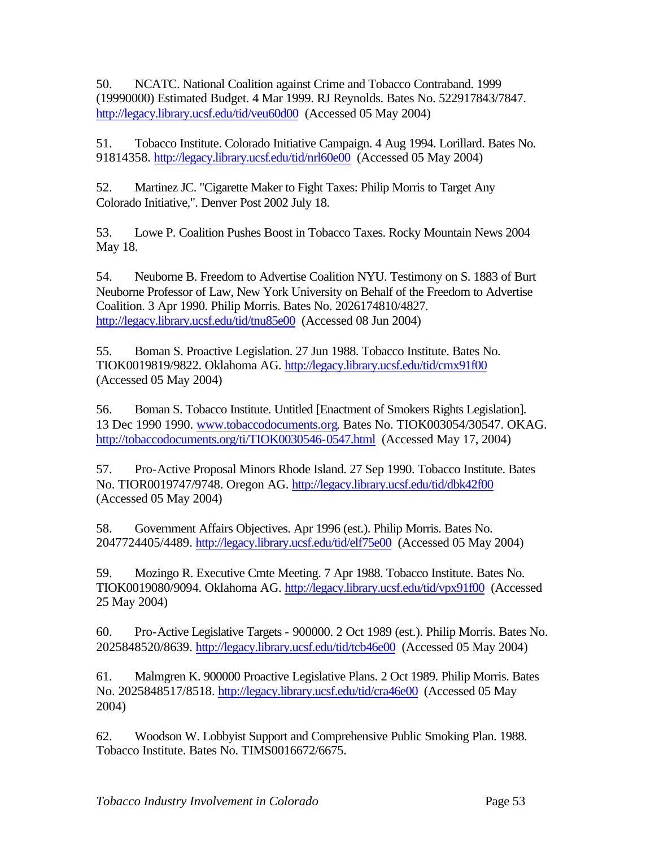50. NCATC. National Coalition against Crime and Tobacco Contraband. 1999 (19990000) Estimated Budget. 4 Mar 1999. RJ Reynolds. Bates No. 522917843/7847. <http://legacy.library.ucsf.edu/tid/veu60d00>(Accessed 05 May 2004)

51. Tobacco Institute. Colorado Initiative Campaign. 4 Aug 1994. Lorillard. Bates No. 91814358.<http://legacy.library.ucsf.edu/tid/nrl60e00>(Accessed 05 May 2004)

52. Martinez JC. "Cigarette Maker to Fight Taxes: Philip Morris to Target Any Colorado Initiative,". Denver Post 2002 July 18.

53. Lowe P. Coalition Pushes Boost in Tobacco Taxes. Rocky Mountain News 2004 May 18.

54. Neuborne B. Freedom to Advertise Coalition NYU. Testimony on S. 1883 of Burt Neuborne Professor of Law, New York University on Behalf of the Freedom to Advertise Coalition. 3 Apr 1990. Philip Morris. Bates No. 2026174810/4827. <http://legacy.library.ucsf.edu/tid/tnu85e00>(Accessed 08 Jun 2004)

55. Boman S. Proactive Legislation. 27 Jun 1988. Tobacco Institute. Bates No. TIOK0019819/9822. Oklahoma AG. <http://legacy.library.ucsf.edu/tid/cmx91f00> (Accessed 05 May 2004)

56. Boman S. Tobacco Institute. Untitled [Enactment of Smokers Rights Legislation]. 13 Dec 1990 1990. www.tobaccodocuments.org. Bates No. TIOK003054/30547. OKAG. <http://tobaccodocuments.org/ti/TIOK0030546-0547.html>(Accessed May 17, 2004)

57. Pro-Active Proposal Minors Rhode Island. 27 Sep 1990. Tobacco Institute. Bates No. TIOR0019747/9748. Oregon AG.<http://legacy.library.ucsf.edu/tid/dbk42f00> (Accessed 05 May 2004)

58. Government Affairs Objectives. Apr 1996 (est.). Philip Morris. Bates No. 2047724405/4489.<http://legacy.library.ucsf.edu/tid/elf75e00>(Accessed 05 May 2004)

59. Mozingo R. Executive Cmte Meeting. 7 Apr 1988. Tobacco Institute. Bates No. TIOK0019080/9094. Oklahoma AG. <http://legacy.library.ucsf.edu/tid/vpx91f00>(Accessed 25 May 2004)

60. Pro-Active Legislative Targets - 900000. 2 Oct 1989 (est.). Philip Morris. Bates No. 2025848520/8639. <http://legacy.library.ucsf.edu/tid/tcb46e00>(Accessed 05 May 2004)

61. Malmgren K. 900000 Proactive Legislative Plans. 2 Oct 1989. Philip Morris. Bates No. 2025848517/8518.<http://legacy.library.ucsf.edu/tid/cra46e00>(Accessed 05 May 2004)

62. Woodson W. Lobbyist Support and Comprehensive Public Smoking Plan. 1988. Tobacco Institute. Bates No. TIMS0016672/6675.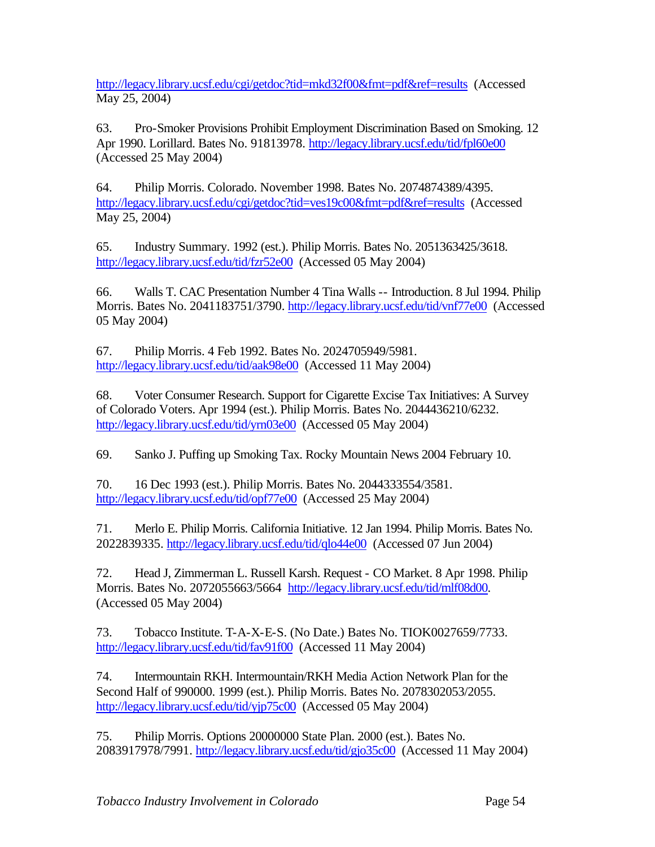<http://legacy.library.ucsf.edu/cgi/getdoc?tid=mkd32f00&fmt=pdf&ref=results>(Accessed May 25, 2004)

63. Pro-Smoker Provisions Prohibit Employment Discrimination Based on Smoking. 12 Apr 1990. Lorillard. Bates No. 91813978. http://legacy.library.ucsf.edu/tid/fpl60e00 (Accessed 25 May 2004)

64. Philip Morris. Colorado. November 1998. Bates No. 2074874389/4395. <http://legacy.library.ucsf.edu/cgi/getdoc?tid=ves19c00&fmt=pdf&ref=results>(Accessed May 25, 2004)

65. Industry Summary. 1992 (est.). Philip Morris. Bates No. 2051363425/3618. <http://legacy.library.ucsf.edu/tid/fzr52e00>(Accessed 05 May 2004)

66. Walls T. CAC Presentation Number 4 Tina Walls -- Introduction. 8 Jul 1994. Philip Morris. Bates No. 2041183751/3790.<http://legacy.library.ucsf.edu/tid/vnf77e00>(Accessed 05 May 2004)

67. Philip Morris. 4 Feb 1992. Bates No. 2024705949/5981. <http://legacy.library.ucsf.edu/tid/aak98e00>(Accessed 11 May 2004)

68. Voter Consumer Research. Support for Cigarette Excise Tax Initiatives: A Survey of Colorado Voters. Apr 1994 (est.). Philip Morris. Bates No. 2044436210/6232. <http://legacy.library.ucsf.edu/tid/yrn03e00>(Accessed 05 May 2004)

69. Sanko J. Puffing up Smoking Tax. Rocky Mountain News 2004 February 10.

70. 16 Dec 1993 (est.). Philip Morris. Bates No. 2044333554/3581. <http://legacy.library.ucsf.edu/tid/opf77e00>(Accessed 25 May 2004)

71. Merlo E. Philip Morris. California Initiative. 12 Jan 1994. Philip Morris. Bates No. 2022839335.<http://legacy.library.ucsf.edu/tid/qlo44e00>(Accessed 07 Jun 2004)

72. Head J, Zimmerman L. Russell Karsh. Request - CO Market. 8 Apr 1998. Philip Morris. Bates No. 2072055663/5664 [http://legacy.library.ucsf.edu/tid/mlf08d00.](http://legacy.library.ucsf.edu/tid/mlf08d00) (Accessed 05 May 2004)

73. Tobacco Institute. T-A-X-E-S. (No Date.) Bates No. TIOK0027659/7733. <http://legacy.library.ucsf.edu/tid/fav91f00>(Accessed 11 May 2004)

74. Intermountain RKH. Intermountain/RKH Media Action Network Plan for the Second Half of 990000. 1999 (est.). Philip Morris. Bates No. 2078302053/2055. <http://legacy.library.ucsf.edu/tid/yjp75c00>(Accessed 05 May 2004)

75. Philip Morris. Options 20000000 State Plan. 2000 (est.). Bates No. 2083917978/7991.<http://legacy.library.ucsf.edu/tid/gjo35c00>(Accessed 11 May 2004)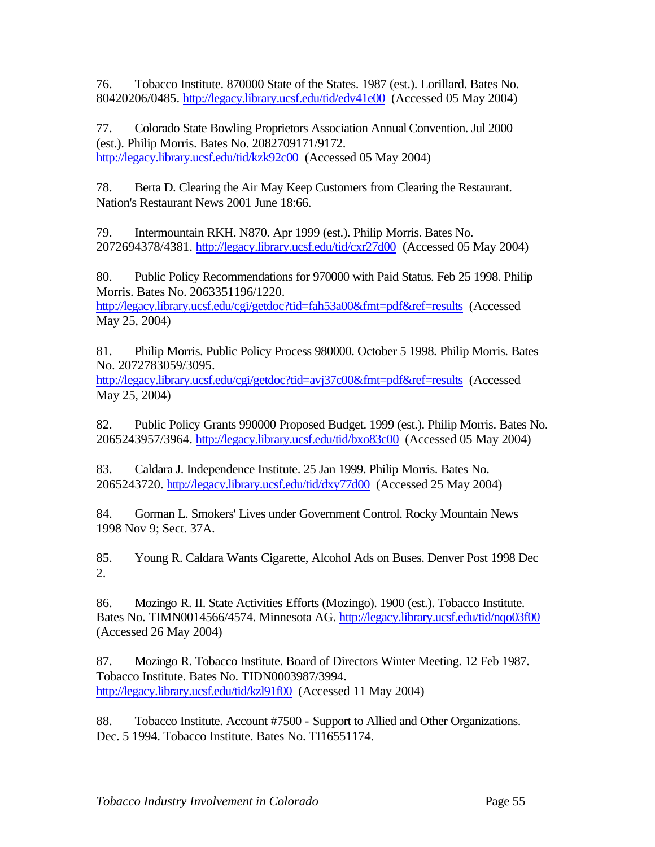76. Tobacco Institute. 870000 State of the States. 1987 (est.). Lorillard. Bates No. 80420206/0485.<http://legacy.library.ucsf.edu/tid/edv41e00>(Accessed 05 May 2004)

77. Colorado State Bowling Proprietors Association Annual Convention. Jul 2000 (est.). Philip Morris. Bates No. 2082709171/9172. <http://legacy.library.ucsf.edu/tid/kzk92c00>(Accessed 05 May 2004)

78. Berta D. Clearing the Air May Keep Customers from Clearing the Restaurant. Nation's Restaurant News 2001 June 18:66.

79. Intermountain RKH. N870. Apr 1999 (est.). Philip Morris. Bates No. 2072694378/4381. <http://legacy.library.ucsf.edu/tid/cxr27d00>(Accessed 05 May 2004)

80. Public Policy Recommendations for 970000 with Paid Status. Feb 25 1998. Philip Morris. Bates No. 2063351196/1220.

<http://legacy.library.ucsf.edu/cgi/getdoc?tid=fah53a00&fmt=pdf&ref=results>(Accessed May 25, 2004)

81. Philip Morris. Public Policy Process 980000. October 5 1998. Philip Morris. Bates No. 2072783059/3095.

<http://legacy.library.ucsf.edu/cgi/getdoc?tid=avj37c00&fmt=pdf&ref=results>(Accessed May 25, 2004)

82. Public Policy Grants 990000 Proposed Budget. 1999 (est.). Philip Morris. Bates No. 2065243957/3964.<http://legacy.library.ucsf.edu/tid/bxo83c00>(Accessed 05 May 2004)

83. Caldara J. Independence Institute. 25 Jan 1999. Philip Morris. Bates No. 2065243720.<http://legacy.library.ucsf.edu/tid/dxy77d00>(Accessed 25 May 2004)

84. Gorman L. Smokers' Lives under Government Control. Rocky Mountain News 1998 Nov 9; Sect. 37A.

85. Young R. Caldara Wants Cigarette, Alcohol Ads on Buses. Denver Post 1998 Dec 2.

86. Mozingo R. II. State Activities Efforts (Mozingo). 1900 (est.). Tobacco Institute. Bates No. TIMN0014566/4574. Minnesota AG. <http://legacy.library.ucsf.edu/tid/nqo03f00> (Accessed 26 May 2004)

87. Mozingo R. Tobacco Institute. Board of Directors Winter Meeting. 12 Feb 1987. Tobacco Institute. Bates No. TIDN0003987/3994. <http://legacy.library.ucsf.edu/tid/kzl91f00>(Accessed 11 May 2004)

88. Tobacco Institute. Account #7500 - Support to Allied and Other Organizations. Dec. 5 1994. Tobacco Institute. Bates No. [TI16551174.](http://legacy.library.ucsf.edu/cgi/getdoc?tid=euv76d00&fmt=pdf&ref=results)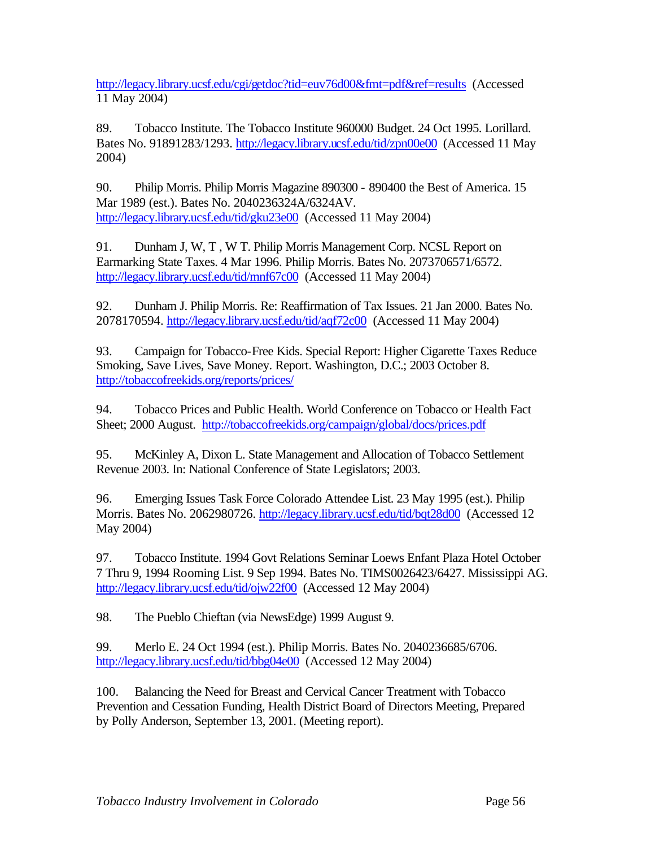<http://legacy.library.ucsf.edu/cgi/getdoc?tid=euv76d00&fmt=pdf&ref=results>(Accessed 11 May 2004)

89. Tobacco Institute. The Tobacco Institute 960000 Budget. 24 Oct 1995. Lorillard. Bates No. 91891283/1293.<http://legacy.library.ucsf.edu/tid/zpn00e00>(Accessed 11 May 2004)

90. Philip Morris. Philip Morris Magazine 890300 - 890400 the Best of America. 15 Mar 1989 (est.). Bates No. 2040236324A/6324AV. <http://legacy.library.ucsf.edu/tid/gku23e00>(Accessed 11 May 2004)

91. Dunham J, W, T, W T. Philip Morris Management Corp. NCSL Report on Earmarking State Taxes. 4 Mar 1996. Philip Morris. Bates No. 2073706571/6572. <http://legacy.library.ucsf.edu/tid/mnf67c00>(Accessed 11 May 2004)

92. Dunham J. Philip Morris. Re: Reaffirmation of Tax Issues. 21 Jan 2000. Bates No. 2078170594.<http://legacy.library.ucsf.edu/tid/aqf72c00>(Accessed 11 May 2004)

93. Campaign for Tobacco-Free Kids. Special Report: Higher Cigarette Taxes Reduce Smoking, Save Lives, Save Money. Report. Washington, D.C.; 2003 October 8. <http://tobaccofreekids.org/reports/prices/>

94. Tobacco Prices and Public Health. World Conference on Tobacco or Health Fact Sheet; 2000 August. <http://tobaccofreekids.org/campaign/global/docs/prices.pdf>

95. McKinley A, Dixon L. State Management and Allocation of Tobacco Settlement Revenue 2003. In: National Conference of State Legislators; 2003.

96. Emerging Issues Task Force Colorado Attendee List. 23 May 1995 (est.). Philip Morris. Bates No. 2062980726.<http://legacy.library.ucsf.edu/tid/bqt28d00>(Accessed 12 May 2004)

97. Tobacco Institute. 1994 Govt Relations Seminar Loews Enfant Plaza Hotel October 7 Thru 9, 1994 Rooming List. 9 Sep 1994. Bates No. TIMS0026423/6427. Mississippi AG. <http://legacy.library.ucsf.edu/tid/ojw22f00>(Accessed 12 May 2004)

98. The Pueblo Chieftan (via NewsEdge) 1999 August 9.

99. Merlo E. 24 Oct 1994 (est.). Philip Morris. Bates No. 2040236685/6706. <http://legacy.library.ucsf.edu/tid/bbg04e00>(Accessed 12 May 2004)

100. Balancing the Need for Breast and Cervical Cancer Treatment with Tobacco Prevention and Cessation Funding, Health District Board of Directors Meeting, Prepared by Polly Anderson, September 13, 2001. (Meeting report).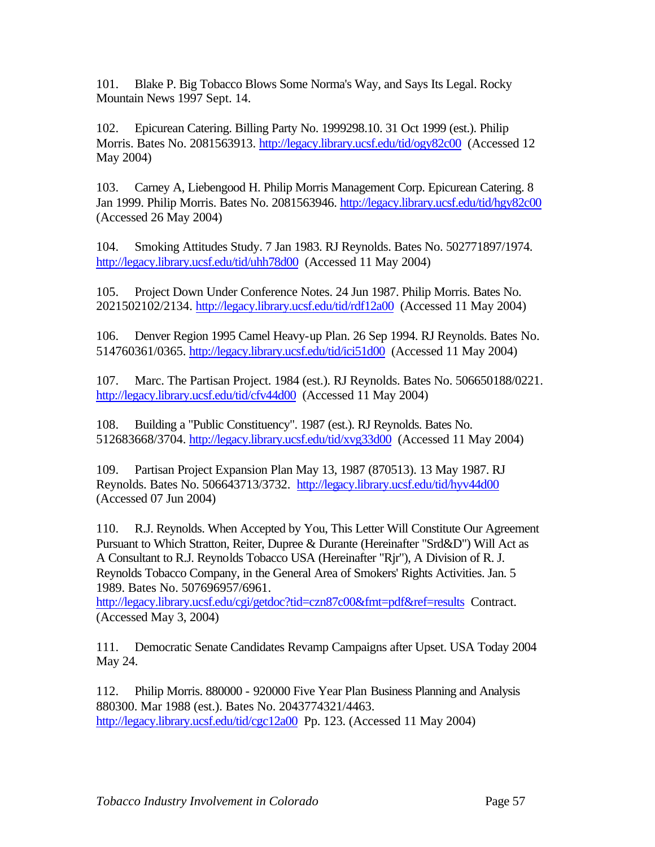101. Blake P. Big Tobacco Blows Some Norma's Way, and Says Its Legal. Rocky Mountain News 1997 Sept. 14.

102. Epicurean Catering. Billing Party No. 1999298.10. 31 Oct 1999 (est.). Philip Morris. Bates No. 2081563913.<http://legacy.library.ucsf.edu/tid/ogy82c00>(Accessed 12 May 2004)

103. Carney A, Liebengood H. Philip Morris Management Corp. Epicurean Catering. 8 Jan 1999. Philip Morris. Bates No. 2081563946.<http://legacy.library.ucsf.edu/tid/hgy82c00> (Accessed 26 May 2004)

104. Smoking Attitudes Study. 7 Jan 1983. RJ Reynolds. Bates No. 502771897/1974. <http://legacy.library.ucsf.edu/tid/uhh78d00>(Accessed 11 May 2004)

105. Project Down Under Conference Notes. 24 Jun 1987. Philip Morris. Bates No. 2021502102/2134.<http://legacy.library.ucsf.edu/tid/rdf12a00>(Accessed 11 May 2004)

106. Denver Region 1995 Camel Heavy-up Plan. 26 Sep 1994. RJ Reynolds. Bates No. 514760361/0365.<http://legacy.library.ucsf.edu/tid/ici51d00>(Accessed 11 May 2004)

107. Marc. The Partisan Project. 1984 (est.). RJ Reynolds. Bates No. 506650188/0221. <http://legacy.library.ucsf.edu/tid/cfv44d00>(Accessed 11 May 2004)

108. Building a "Public Constituency". 1987 (est.). RJ Reynolds. Bates No. 512683668/3704.<http://legacy.library.ucsf.edu/tid/xvg33d00>(Accessed 11 May 2004)

109. Partisan Project Expansion Plan May 13, 1987 (870513). 13 May 1987. RJ Reynolds. Bates No. 506643713/3732. <http://legacy.library.ucsf.edu/tid/hyv44d00> (Accessed 07 Jun 2004)

110. R.J. Reynolds. When Accepted by You, This Letter Will Constitute Our Agreement Pursuant to Which Stratton, Reiter, Dupree & Durante (Hereinafter "Srd&D") Will Act as A Consultant to R.J. Reynolds Tobacco USA (Hereinafter "Rjr"), A Division of R. J. Reynolds Tobacco Company, in the General Area of Smokers' Rights Activities. Jan. 5 1989. Bates No. 507696957/6961.

[http://legacy.library.ucsf.edu/cgi/getdoc?tid=czn87c00&fmt=pdf&ref=results C](http://legacy.library.ucsf.edu/cgi/getdoc?tid=czn87c00&fmt=pdf&ref=results)ontract. (Accessed May 3, 2004)

111. Democratic Senate Candidates Revamp Campaigns after Upset. USA Today 2004 May 24.

112. Philip Morris. 880000 - 920000 Five Year Plan Business Planning and Analysis 880300. Mar 1988 (est.). Bates No. 2043774321/4463. <http://legacy.library.ucsf.edu/tid/cgc12a00>Pp. 123. (Accessed 11 May 2004)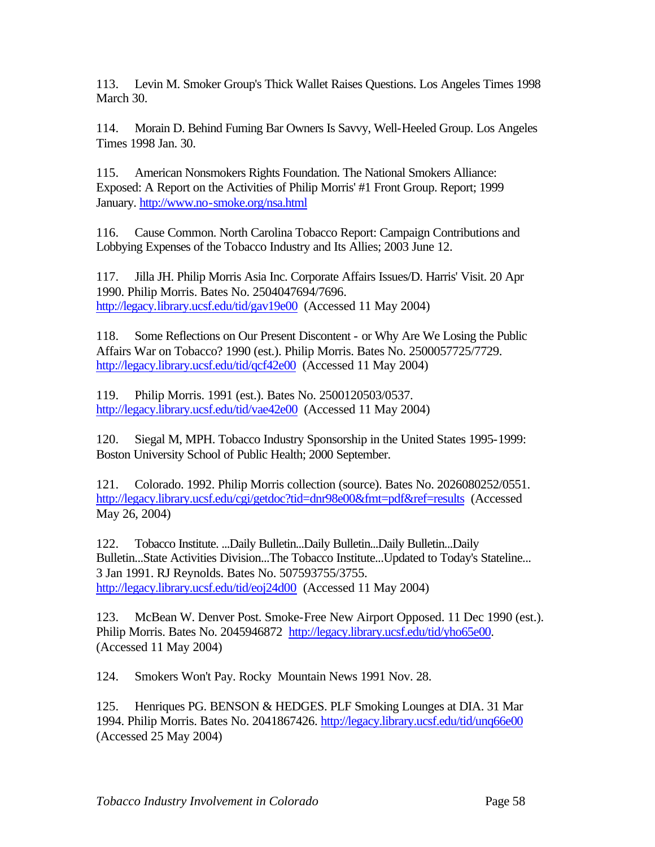113. Levin M. Smoker Group's Thick Wallet Raises Questions. Los Angeles Times 1998 March 30.

114. Morain D. Behind Fuming Bar Owners Is Savvy, Well-Heeled Group. Los Angeles Times 1998 Jan. 30.

115. American Nonsmokers Rights Foundation. The National Smokers Alliance: Exposed: A Report on the Activities of Philip Morris' #1 Front Group. Report; 1999 January.<http://www.no-smoke.org/nsa.html>

116. Cause Common. North Carolina Tobacco Report: Campaign Contributions and Lobbying Expenses of the Tobacco Industry and Its Allies; 2003 June 12.

117. Jilla JH. Philip Morris Asia Inc. Corporate Affairs Issues/D. Harris' Visit. 20 Apr 1990. Philip Morris. Bates No. 2504047694/7696. <http://legacy.library.ucsf.edu/tid/gav19e00>(Accessed 11 May 2004)

118. Some Reflections on Our Present Discontent - or Why Are We Losing the Public Affairs War on Tobacco? 1990 (est.). Philip Morris. Bates No. 2500057725/7729. [http://legacy.library.ucsf.edu/tid/qcf42e00 \(](http://legacy.library.ucsf.edu/tid/qcf42e00)Accessed 11 May 2004)

119. Philip Morris. 1991 (est.). Bates No. 2500120503/0537. <http://legacy.library.ucsf.edu/tid/vae42e00>(Accessed 11 May 2004)

120. Siegal M, MPH. Tobacco Industry Sponsorship in the United States 1995-1999: Boston University School of Public Health; 2000 September.

121. Colorado. 1992. Philip Morris collection (source). Bates No. 2026080252/0551. <http://legacy.library.ucsf.edu/cgi/getdoc?tid=dnr98e00&fmt=pdf&ref=results>(Accessed May 26, 2004)

122. Tobacco Institute. ...Daily Bulletin...Daily Bulletin...Daily Bulletin...Daily Bulletin...State Activities Division...The Tobacco Institute...Updated to Today's Stateline... 3 Jan 1991. RJ Reynolds. Bates No. 507593755/3755. <http://legacy.library.ucsf.edu/tid/eoj24d00>(Accessed 11 May 2004)

123. McBean W. Denver Post. Smoke-Free New Airport Opposed. 11 Dec 1990 (est.). Philip Morris. Bates No. 2045946872 [http://legacy.library.ucsf.edu/tid/yho65e00.](http://legacy.library.ucsf.edu/tid/yho65e00) (Accessed 11 May 2004)

124. Smokers Won't Pay. Rocky Mountain News 1991 Nov. 28.

125. Henriques PG. BENSON & HEDGES. PLF Smoking Lounges at DIA. 31 Mar 1994. Philip Morris. Bates No. 2041867426.<http://legacy.library.ucsf.edu/tid/unq66e00> (Accessed 25 May 2004)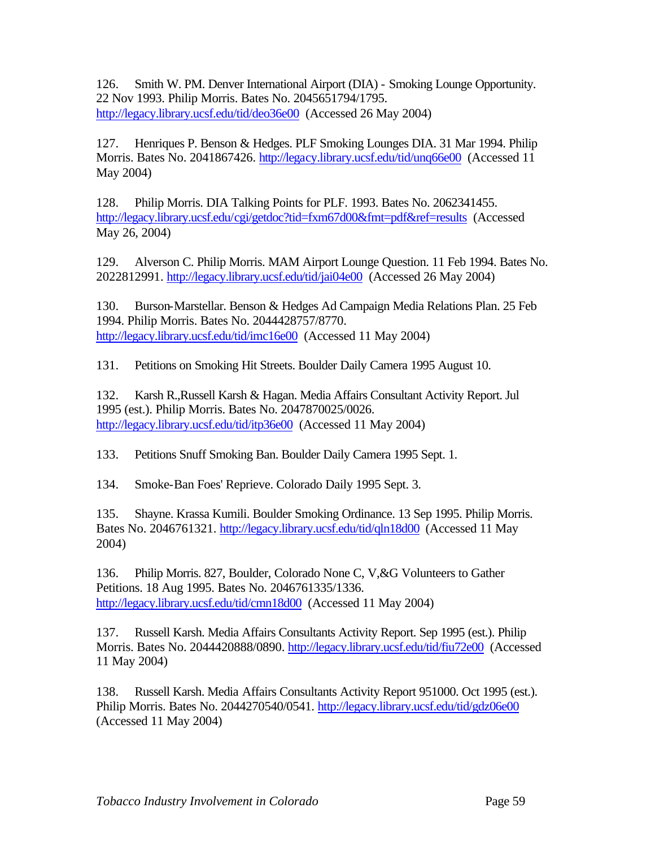126. Smith W. PM. Denver International Airport (DIA) - Smoking Lounge Opportunity. 22 Nov 1993. Philip Morris. Bates No. 2045651794/1795. <http://legacy.library.ucsf.edu/tid/deo36e00>(Accessed 26 May 2004)

127. Henriques P. Benson & Hedges. PLF Smoking Lounges DIA. 31 Mar 1994. Philip Morris. Bates No. 2041867426.<http://legacy.library.ucsf.edu/tid/unq66e00>(Accessed 11 May 2004)

128. Philip Morris. DIA Talking Points for PLF. 1993. Bates No. 2062341455. <http://legacy.library.ucsf.edu/cgi/getdoc?tid=fxm67d00&fmt=pdf&ref=results>(Accessed May 26, 2004)

129. Alverson C. Philip Morris. MAM Airport Lounge Question. 11 Feb 1994. Bates No. 2022812991.<http://legacy.library.ucsf.edu/tid/jai04e00>(Accessed 26 May 2004)

130. Burson-Marstellar. Benson & Hedges Ad Campaign Media Relations Plan. 25 Feb 1994. Philip Morris. Bates No. 2044428757/8770. <http://legacy.library.ucsf.edu/tid/imc16e00>(Accessed 11 May 2004)

131. Petitions on Smoking Hit Streets. Boulder Daily Camera 1995 August 10.

132. Karsh R.,Russell Karsh & Hagan. Media Affairs Consultant Activity Report. Jul 1995 (est.). Philip Morris. Bates No. 2047870025/0026. <http://legacy.library.ucsf.edu/tid/itp36e00>(Accessed 11 May 2004)

133. Petitions Snuff Smoking Ban. Boulder Daily Camera 1995 Sept. 1.

134. Smoke-Ban Foes' Reprieve. Colorado Daily 1995 Sept. 3.

135. Shayne. Krassa Kumili. Boulder Smoking Ordinance. 13 Sep 1995. Philip Morris. Bates No. 2046761321.<http://legacy.library.ucsf.edu/tid/qln18d00>(Accessed 11 May 2004)

136. Philip Morris. 827, Boulder, Colorado None C, V,&G Volunteers to Gather Petitions. 18 Aug 1995. Bates No. 2046761335/1336. <http://legacy.library.ucsf.edu/tid/cmn18d00>(Accessed 11 May 2004)

137. Russell Karsh. Media Affairs Consultants Activity Report. Sep 1995 (est.). Philip Morris. Bates No. 2044420888/0890. [http://legacy.library.ucsf.edu/tid/fiu72e00](http://legacy.library.ucsf.edu/tid/cmn18d00) (Accessed 11 May 2004)

138. Russell Karsh. Media Affairs Consultants Activity Report 951000. Oct 1995 (est.). Philip Morris. Bates No. 2044270540/0541.<http://legacy.library.ucsf.edu/tid/gdz06e00> (Accessed 11 May 2004)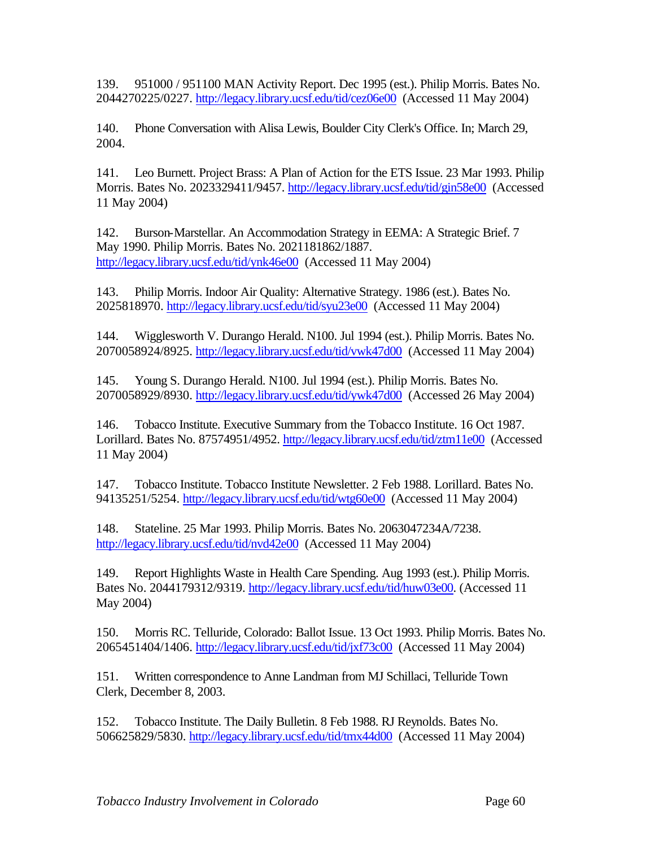139. 951000 / 951100 MAN Activity Report. Dec 1995 (est.). Philip Morris. Bates No. 2044270225/0227.<http://legacy.library.ucsf.edu/tid/cez06e00>(Accessed 11 May 2004)

140. Phone Conversation with Alisa Lewis, Boulder City Clerk's Office. In; March 29, 2004.

141. Leo Burnett. Project Brass: A Plan of Action for the ETS Issue. 23 Mar 1993. Philip Morris. Bates No. 2023329411/9457.<http://legacy.library.ucsf.edu/tid/gin58e00>(Accessed 11 May 2004)

142. Burson-Marstellar. An Accommodation Strategy in EEMA: A Strategic Brief. 7 May 1990. Philip Morris. Bates No. 2021181862/1887. <http://legacy.library.ucsf.edu/tid/ynk46e00>(Accessed 11 May 2004)

143. Philip Morris. Indoor Air Quality: Alternative Strategy. 1986 (est.). Bates No. 2025818970.<http://legacy.library.ucsf.edu/tid/syu23e00>(Accessed 11 May 2004)

144. Wigglesworth V. Durango Herald. N100. Jul 1994 (est.). Philip Morris. Bates No. 2070058924/8925. <http://legacy.library.ucsf.edu/tid/vwk47d00>(Accessed 11 May 2004)

145. Young S. Durango Herald. N100. Jul 1994 (est.). Philip Morris. Bates No. 2070058929/8930.<http://legacy.library.ucsf.edu/tid/ywk47d00>(Accessed 26 May 2004)

146. Tobacco Institute. Executive Summary from the Tobacco Institute. 16 Oct 1987. Lorillard. Bates No. 87574951/4952.<http://legacy.library.ucsf.edu/tid/ztm11e00>(Accessed 11 May 2004)

147. Tobacco Institute. Tobacco Institute Newsletter. 2 Feb 1988. Lorillard. Bates No. 94135251/5254.<http://legacy.library.ucsf.edu/tid/wtg60e00>(Accessed 11 May 2004)

148. Stateline. 25 Mar 1993. Philip Morris. Bates No. 2063047234A/7238. <http://legacy.library.ucsf.edu/tid/nvd42e00>(Accessed 11 May 2004)

149. Report Highlights Waste in Health Care Spending. Aug 1993 (est.). Philip Morris. Bates No. 2044179312/9319. [http://legacy.library.ucsf.edu/tid/huw03e00.](http://legacy.library.ucsf.edu/tid/huw03e00) (Accessed 11 May 2004)

150. Morris RC. Telluride, Colorado: Ballot Issue. 13 Oct 1993. Philip Morris. Bates No. 2065451404/1406.<http://legacy.library.ucsf.edu/tid/jxf73c00>(Accessed 11 May 2004)

151. Written correspondence to Anne Landman from MJ Schillaci, Telluride Town Clerk, December 8, 2003.

152. Tobacco Institute. The Daily Bulletin. 8 Feb 1988. RJ Reynolds. Bates No. 506625829/5830.<http://legacy.library.ucsf.edu/tid/tmx44d00>(Accessed 11 May 2004)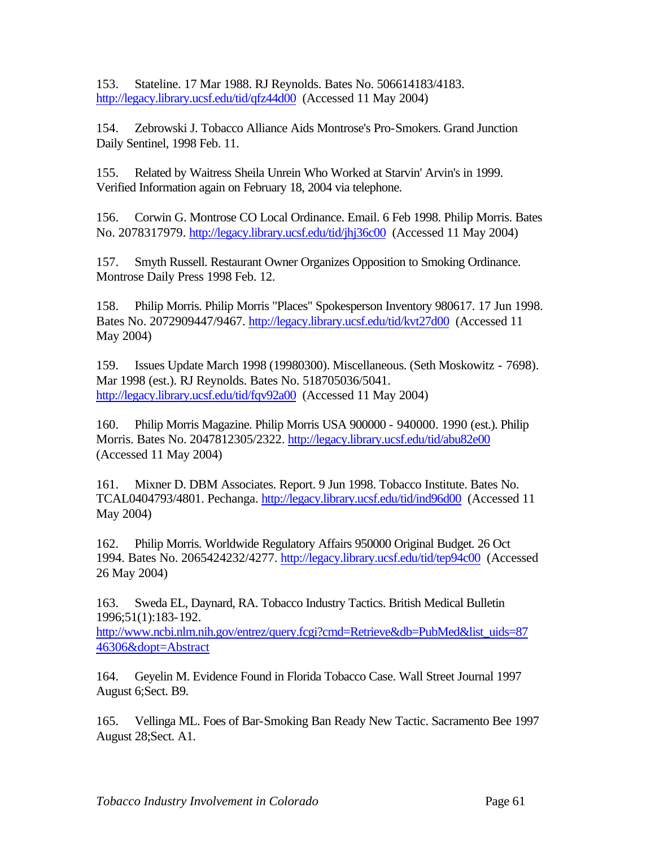153. Stateline. 17 Mar 1988. RJ Reynolds. Bates No. 506614183/4183. <http://legacy.library.ucsf.edu/tid/qfz44d00>(Accessed 11 May 2004)

154. Zebrowski J. Tobacco Alliance Aids Montrose's Pro-Smokers. Grand Junction Daily Sentinel, 1998 Feb. 11.

155. Related by Waitress Sheila Unrein Who Worked at Starvin' Arvin's in 1999. Verified Information again on February 18, 2004 via telephone.

156. Corwin G. Montrose CO Local Ordinance. Email. 6 Feb 1998. Philip Morris. Bates No. 2078317979.<http://legacy.library.ucsf.edu/tid/jhj36c00>(Accessed 11 May 2004)

157. Smyth Russell. Restaurant Owner Organizes Opposition to Smoking Ordinance. Montrose Daily Press 1998 Feb. 12.

158. Philip Morris. Philip Morris "Places" Spokesperson Inventory 980617. 17 Jun 1998. Bates No. 2072909447/9467.<http://legacy.library.ucsf.edu/tid/kvt27d00>(Accessed 11 May 2004)

159. Issues Update March 1998 (19980300). Miscellaneous. (Seth Moskowitz - 7698). Mar 1998 (est.). RJ Reynolds. Bates No. 518705036/5041. <http://legacy.library.ucsf.edu/tid/fqv92a00>(Accessed 11 May 2004)

160. Philip Morris Magazine. Philip Morris USA 900000 - 940000. 1990 (est.). Philip Morris. Bates No. 2047812305/2322.<http://legacy.library.ucsf.edu/tid/abu82e00> (Accessed 11 May 2004)

161. Mixner D. DBM Associates. Report. 9 Jun 1998. Tobacco Institute. Bates No. TCAL0404793/4801. Pechanga. <http://legacy.library.ucsf.edu/tid/ind96d00>(Accessed 11 May 2004)

162. Philip Morris. Worldwide Regulatory Affairs 950000 Original Budget. 26 Oct 1994. Bates No. 2065424232/4277.<http://legacy.library.ucsf.edu/tid/tep94c00>(Accessed 26 May 2004)

163. Sweda EL, Daynard, RA. Tobacco Industry Tactics. British Medical Bulletin 1996;51(1):183-192.

[http://www.ncbi.nlm.nih.gov/entrez/query.fcgi?cmd=Retrieve&db=PubMed&list\\_uids=87](http://www.ncbi.nlm.nih.gov/entrez/query.fcgi?cmd=Retrieve&db=PubMed&list_uids=87) 46306&dopt=Abstract

164. Geyelin M. Evidence Found in Florida Tobacco Case. Wall Street Journal 1997 August 6;Sect. B9.

165. Vellinga ML. Foes of Bar-Smoking Ban Ready New Tactic. Sacramento Bee 1997 August 28;Sect. A1.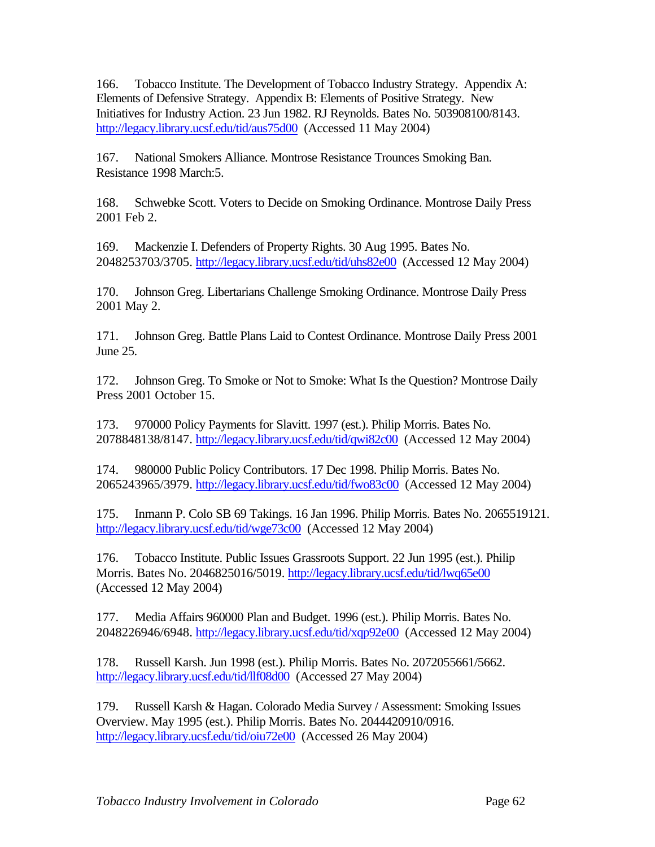166. Tobacco Institute. The Development of Tobacco Industry Strategy. Appendix A: Elements of Defensive Strategy. Appendix B: Elements of Positive Strategy. New Initiatives for Industry Action. 23 Jun 1982. RJ Reynolds. Bates No. 503908100/8143. <http://legacy.library.ucsf.edu/tid/aus75d00>(Accessed 11 May 2004)

167. National Smokers Alliance. Montrose Resistance Trounces Smoking Ban. Resistance 1998 March:5.

168. Schwebke Scott. Voters to Decide on Smoking Ordinance. Montrose Daily Press 2001 Feb 2.

169. Mackenzie I. Defenders of Property Rights. 30 Aug 1995. Bates No. 2048253703/3705.<http://legacy.library.ucsf.edu/tid/uhs82e00>(Accessed 12 May 2004)

170. Johnson Greg. Libertarians Challenge Smoking Ordinance. Montrose Daily Press 2001 May 2.

171. Johnson Greg. Battle Plans Laid to Contest Ordinance. Montrose Daily Press 2001 June 25.

172. Johnson Greg. To Smoke or Not to Smoke: What Is the Question? Montrose Daily Press 2001 October 15.

173. 970000 Policy Payments for Slavitt. 1997 (est.). Philip Morris. Bates No. 2078848138/8147.<http://legacy.library.ucsf.edu/tid/qwi82c00>(Accessed 12 May 2004)

174. 980000 Public Policy Contributors. 17 Dec 1998. Philip Morris. Bates No. 2065243965/3979.<http://legacy.library.ucsf.edu/tid/fwo83c00>(Accessed 12 May 2004)

175. Inmann P. Colo SB 69 Takings. 16 Jan 1996. Philip Morris. Bates No. 2065519121. <http://legacy.library.ucsf.edu/tid/wge73c00>(Accessed 12 May 2004)

176. Tobacco Institute. Public Issues Grassroots Support. 22 Jun 1995 (est.). Philip Morris. Bates No. 2046825016/5019. http://legacy.library.ucsf.edu/tid/lwq65e00 (Accessed 12 May 2004)

177. Media Affairs 960000 Plan and Budget. 1996 (est.). Philip Morris. Bates No. 2048226946/6948. <http://legacy.library.ucsf.edu/tid/xqp92e00>(Accessed 12 May 2004)

178. Russell Karsh. Jun 1998 (est.). Philip Morris. Bates No. 2072055661/5662. <http://legacy.library.ucsf.edu/tid/llf08d00>(Accessed 27 May 2004)

179. Russell Karsh & Hagan. Colorado Media Survey / Assessment: Smoking Issues Overview. May 1995 (est.). Philip Morris. Bates No. 2044420910/0916. <http://legacy.library.ucsf.edu/tid/oiu72e00>(Accessed 26 May 2004)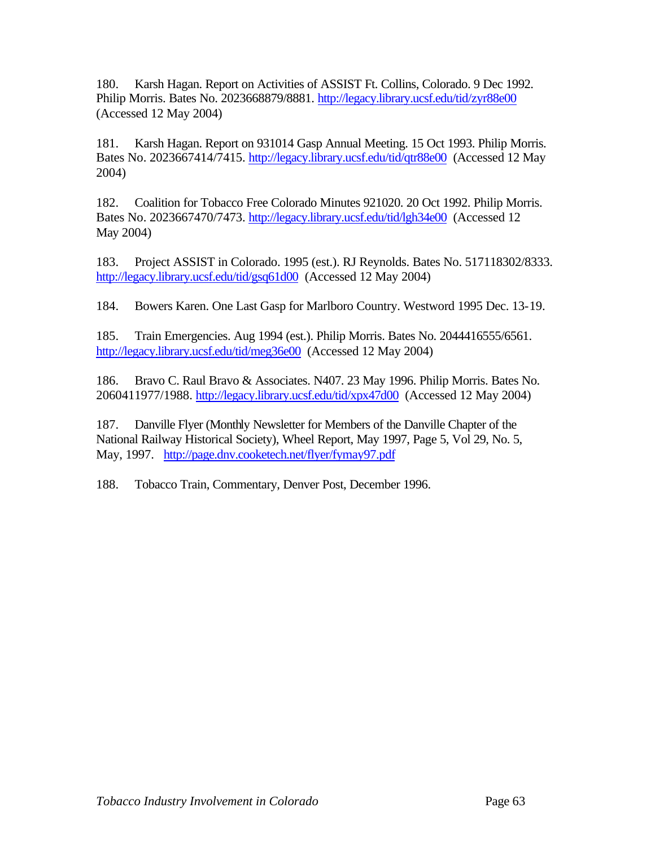180. Karsh Hagan. Report on Activities of ASSIST Ft. Collins, Colorado. 9 Dec 1992. Philip Morris. Bates No. 2023668879/8881. <http://legacy.library.ucsf.edu/tid/zyr88e00> (Accessed 12 May 2004)

181. Karsh Hagan. Report on 931014 Gasp Annual Meeting. 15 Oct 1993. Philip Morris. Bates No. 2023667414/7415.<http://legacy.library.ucsf.edu/tid/qtr88e00>(Accessed 12 May 2004)

182. Coalition for Tobacco Free Colorado Minutes 921020. 20 Oct 1992. Philip Morris. Bates No. 2023667470/7473.<http://legacy.library.ucsf.edu/tid/lgh34e00>(Accessed 12 May 2004)

183. Project ASSIST in Colorado. 1995 (est.). RJ Reynolds. Bates No. 517118302/8333. <http://legacy.library.ucsf.edu/tid/gsq61d00>(Accessed 12 May 2004)

184. Bowers Karen. One Last Gasp for Marlboro Country. Westword 1995 Dec. 13-19.

185. Train Emergencies. Aug 1994 (est.). Philip Morris. Bates No. 2044416555/6561. <http://legacy.library.ucsf.edu/tid/meg36e00>(Accessed 12 May 2004)

186. Bravo C. Raul Bravo & Associates. N407. 23 May 1996. Philip Morris. Bates No. 2060411977/1988.<http://legacy.library.ucsf.edu/tid/xpx47d00>(Accessed 12 May 2004)

187. Danville Flyer (Monthly Newsletter for Members of the Danville Chapter of the National Railway Historical Society), Wheel Report, May 1997, Page 5, Vol 29, No. 5, May, 1997. <http://page.dnv.cooketech.net/flyer/fymay97.pdf>

188. Tobacco Train, Commentary, Denver Post, December 1996.